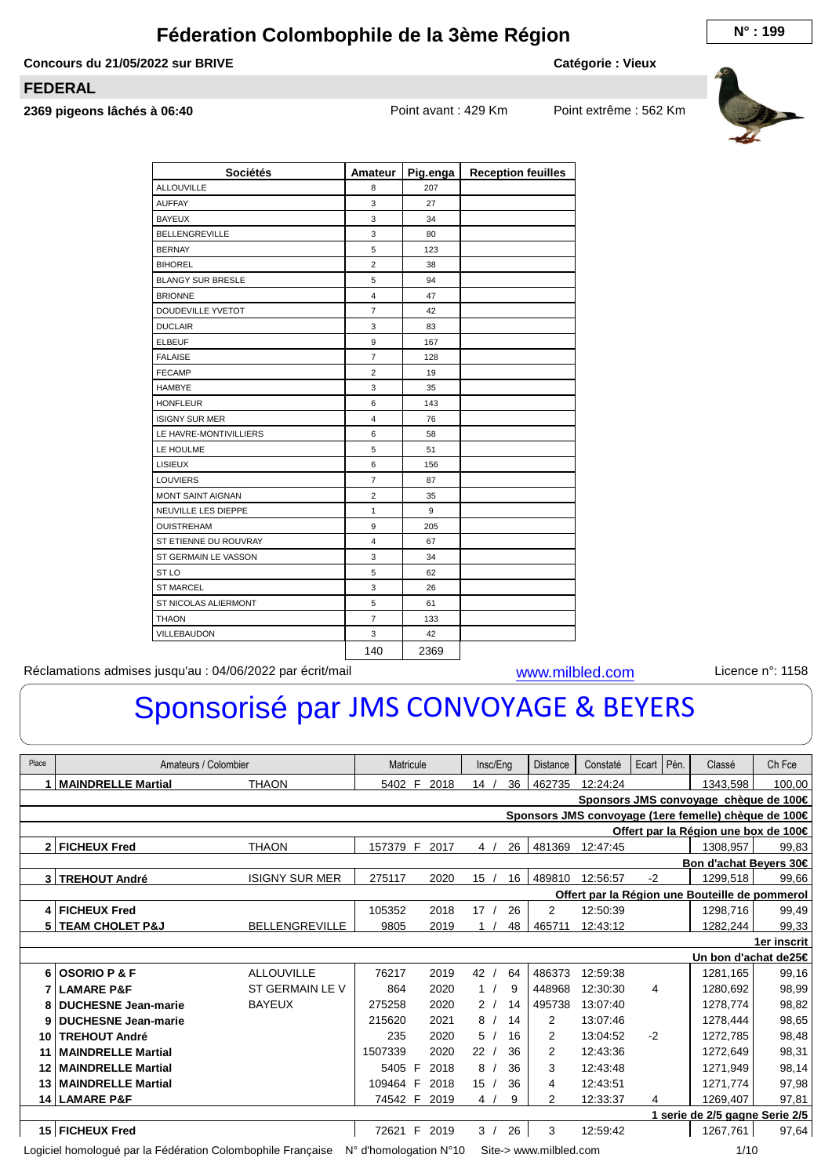## **Féderation Colombophile de la 3ème Région**  $N^{\circ}$ **: 199**

**Concours du 21/05/2022 sur BRIVE**

**Catégorie : Vieux**

## **FEDERAL**

**2369 pigeons lâchés à 06:40** Point avant : 429 Km Point extrême : 562 Km



| <b>Sociétés</b>          | Amateur                 | Pig.enga | <b>Reception feuilles</b> |
|--------------------------|-------------------------|----------|---------------------------|
| <b>ALLOUVILLE</b>        | 8                       | 207      |                           |
| <b>AUFFAY</b>            | 3                       | 27       |                           |
| <b>BAYEUX</b>            | 3                       | 34       |                           |
| <b>BELLENGREVILLE</b>    | 3                       | 80       |                           |
| <b>BERNAY</b>            | 5                       | 123      |                           |
| <b>BIHOREL</b>           | $\overline{2}$          | 38       |                           |
| <b>BLANGY SUR BRESLE</b> | 5                       | 94       |                           |
| <b>BRIONNE</b>           | $\overline{4}$          | 47       |                           |
| DOUDEVILLE YVETOT        | $\overline{7}$          | 42       |                           |
| <b>DUCLAIR</b>           | 3                       | 83       |                           |
| <b>ELBEUF</b>            | 9                       | 167      |                           |
| <b>FALAISE</b>           | $\overline{7}$          | 128      |                           |
| <b>FECAMP</b>            | $\overline{2}$          | 19       |                           |
| <b>HAMBYE</b>            | 3                       | 35       |                           |
| <b>HONFLEUR</b>          | 6                       | 143      |                           |
| <b>ISIGNY SUR MER</b>    | $\overline{4}$          | 76       |                           |
| LE HAVRE-MONTIVILLIERS   | 6                       | 58       |                           |
| LE HOULME                | 5                       | 51       |                           |
| LISIEUX                  | 6                       | 156      |                           |
| <b>LOUVIERS</b>          | $\overline{7}$          | 87       |                           |
| <b>MONT SAINT AIGNAN</b> | $\overline{2}$          | 35       |                           |
| NEUVILLE LES DIEPPE      | $\mathbf{1}$            | 9        |                           |
| <b>OUISTREHAM</b>        | 9                       | 205      |                           |
| ST ETIENNE DU ROUVRAY    | $\overline{\mathbf{4}}$ | 67       |                           |
| ST GERMAIN LE VASSON     | 3                       | 34       |                           |
| ST <sub>LO</sub>         | 5                       | 62       |                           |
| <b>ST MARCEL</b>         | 3                       | 26       |                           |
| ST NICOLAS ALIERMONT     | 5                       | 61       |                           |
| <b>THAON</b>             | $\overline{7}$          | 133      |                           |
| VILLEBAUDON              | 3                       | 42       |                           |
|                          | 140                     | 2369     |                           |

Réclamations admises jusqu'au : 04/06/2022 par écrit/mail [www.milbled.com](http://www.milbled.com) Licence n°: 1158

## Sponsorisé par JMS CONVOYAGE & BEYERS

|       | Ecart   Pén.                                                                            |                       |                                          |      |                 |    |                        |          |      |  |                                                      |        |  |  |  |
|-------|-----------------------------------------------------------------------------------------|-----------------------|------------------------------------------|------|-----------------|----|------------------------|----------|------|--|------------------------------------------------------|--------|--|--|--|
| Place | Amateurs / Colombier                                                                    |                       | Matricule                                |      | Insc/Eng        |    | <b>Distance</b>        | Constaté |      |  | Classé                                               | Ch Fce |  |  |  |
|       | <b>MAINDRELLE Martial</b>                                                               | <b>THAON</b>          | 5402 F                                   | 2018 | 14 <sub>l</sub> | 36 | 462735                 | 12:24:24 |      |  | 1343,598                                             | 100,00 |  |  |  |
|       |                                                                                         |                       |                                          |      |                 |    |                        |          |      |  | Sponsors JMS convoyage chèque de 100€                |        |  |  |  |
|       |                                                                                         |                       |                                          |      |                 |    |                        |          |      |  | Sponsors JMS convoyage (1ere femelle) chèque de 100€ |        |  |  |  |
|       |                                                                                         |                       |                                          |      |                 |    |                        |          |      |  | Offert par la Région une box de 100€                 |        |  |  |  |
|       | 2 FICHEUX Fred                                                                          | <b>THAON</b>          | 157379 F                                 | 2017 | 4 <sup>1</sup>  | 26 | 481369                 | 12:47:45 |      |  | 1308,957                                             | 99,83  |  |  |  |
|       |                                                                                         |                       |                                          |      |                 |    |                        |          |      |  | Bon d'achat Beyers 30€                               |        |  |  |  |
|       | 3 TREHOUT André                                                                         | <b>ISIGNY SUR MER</b> | 275117                                   | 2020 | 15              | 16 | 489810                 | 12:56:57 | $-2$ |  | 1299.518                                             | 99,66  |  |  |  |
|       |                                                                                         |                       |                                          |      |                 |    |                        |          |      |  | Offert par la Région une Bouteille de pommerol       |        |  |  |  |
| 4     | 105352<br>2018<br>17<br>2<br>12:50:39<br>1298.716<br>99,49<br><b>FICHEUX Fred</b><br>26 |                       |                                          |      |                 |    |                        |          |      |  |                                                      |        |  |  |  |
|       | 5 TEAM CHOLET P&J                                                                       | <b>BELLENGREVILLE</b> | 9805                                     | 2019 | 1               | 48 | 465711                 | 12:43:12 |      |  | 1282,244                                             | 99,33  |  |  |  |
|       | 1er inscrit                                                                             |                       |                                          |      |                 |    |                        |          |      |  |                                                      |        |  |  |  |
|       | Un bon d'achat de25€                                                                    |                       |                                          |      |                 |    |                        |          |      |  |                                                      |        |  |  |  |
| 6     | <b>OSORIO P &amp; F</b>                                                                 | <b>ALLOUVILLE</b>     | 76217                                    | 2019 | 42              | 64 | 486373                 | 12:59:38 |      |  | 1281,165                                             | 99,16  |  |  |  |
|       | <b>LAMARE P&amp;F</b>                                                                   | ST GERMAIN LE V       | 864                                      | 2020 | 1/              | 9  | 448968                 | 12:30:30 | 4    |  | 1280.692                                             | 98,99  |  |  |  |
| 8     | <b>DUCHESNE Jean-marie</b>                                                              | <b>BAYEUX</b>         | 275258                                   | 2020 | 2/              | 14 | 495738                 | 13:07:40 |      |  | 1278.774                                             | 98,82  |  |  |  |
| 9     | <b>DUCHESNE Jean-marie</b>                                                              |                       | 215620                                   | 2021 | 8               | 14 | $\overline{2}$         | 13:07:46 |      |  | 1278.444                                             | 98,65  |  |  |  |
| 10    | <b>TREHOUT André</b>                                                                    |                       | 235                                      | 2020 | 5               | 16 | 2                      | 13:04:52 | $-2$ |  | 1272.785                                             | 98,48  |  |  |  |
| 11    | <b>MAINDRELLE Martial</b>                                                               |                       | 1507339                                  | 2020 | 22              | 36 | 2                      | 12:43:36 |      |  | 1272.649                                             | 98,31  |  |  |  |
| 12    | <b>MAINDRELLE Martial</b>                                                               |                       | 5405 F                                   | 2018 | 8               | 36 | 3                      | 12:43:48 |      |  | 1271.949                                             | 98,14  |  |  |  |
| 13    | <b>MAINDRELLE Martial</b>                                                               |                       | 109464 F                                 | 2018 | 15              | 36 | 4                      | 12:43:51 |      |  | 1271,774                                             | 97,98  |  |  |  |
|       | 14 LAMARE P&F                                                                           |                       | 74542 F                                  | 2019 | 4               | 9  | $\overline{2}$         | 12:33:37 | 4    |  | 1269,407                                             | 97,81  |  |  |  |
|       |                                                                                         |                       |                                          |      |                 |    |                        |          |      |  | 1 serie de 2/5 gagne Serie 2/5                       |        |  |  |  |
|       | 15 FICHEUX Fred                                                                         |                       | 72621 F                                  | 2019 | 3/              | 26 | 3                      | 12:59:42 |      |  | 1267,761                                             | 97,64  |  |  |  |
|       | Logiciel homologué par la Fédération Colombophile Française                             |                       | $N^{\circ}$ d'homologation $N^{\circ}10$ |      |                 |    | Site-> www.milbled.com |          |      |  | 1/10                                                 |        |  |  |  |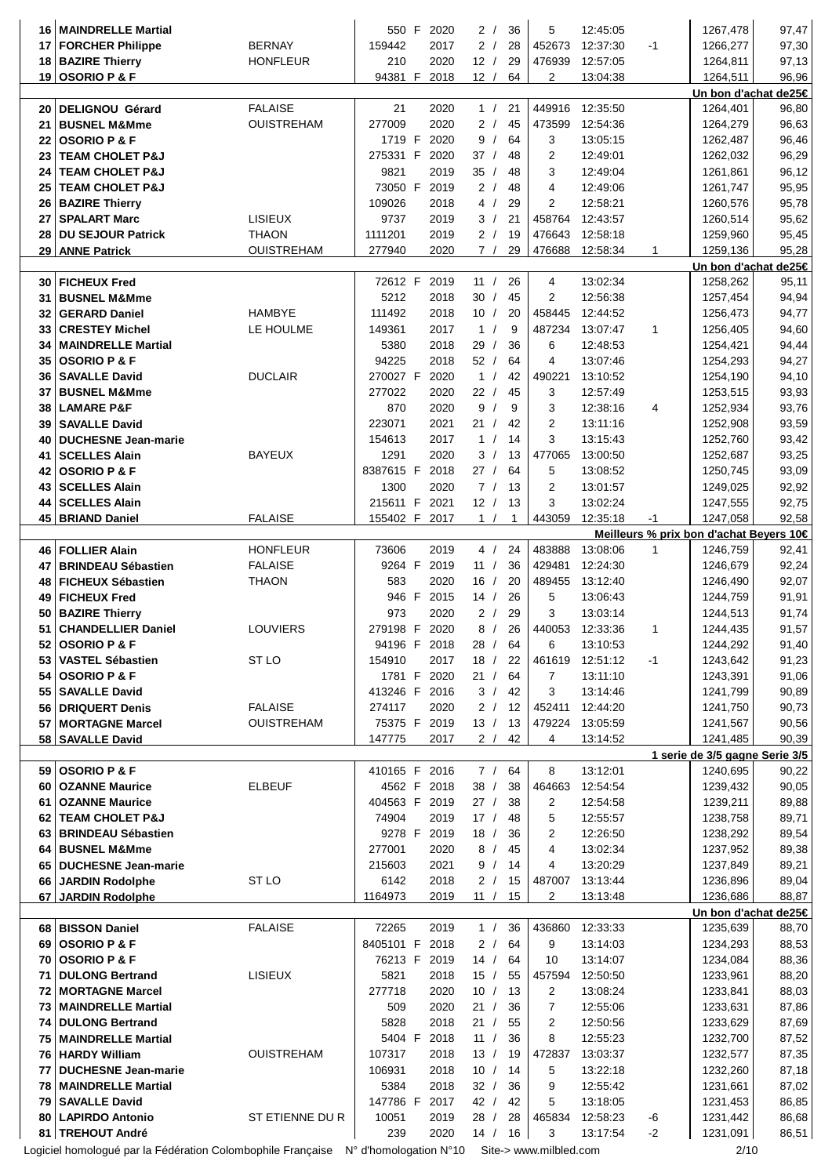| 16       | <b>MAINDRELLE Martial</b>                                                                                 |                   | 550 F            | 2020          | 2/<br>36                     | 5              | 12:45:05             |              | 1267,478                                            | 97,47          |
|----------|-----------------------------------------------------------------------------------------------------------|-------------------|------------------|---------------|------------------------------|----------------|----------------------|--------------|-----------------------------------------------------|----------------|
| 17       | <b>FORCHER Philippe</b>                                                                                   | <b>BERNAY</b>     | 159442           | 2017          | 2/<br>28                     | 452673         | 12:37:30             | $-1$         | 1266,277                                            | 97,30          |
| 18       | <b>BAZIRE Thierry</b>                                                                                     | <b>HONFLEUR</b>   | 210              | 2020          | 12/<br>29                    | 476939         | 12:57:05             |              | 1264,811                                            | 97,13          |
|          | 19 OSORIO P & F                                                                                           |                   | 94381 F          | 2018          | 12/<br>64                    | 2              | 13:04:38             |              | 1264,511                                            | 96,96          |
|          |                                                                                                           |                   |                  |               |                              |                |                      |              | Un bon d'achat de25€                                |                |
| 20       | <b>DELIGNOU Gérard</b>                                                                                    | <b>FALAISE</b>    | 21               | 2020          | 1/<br>21                     | 449916         | 12:35:50             |              | 1264,401                                            | 96,80          |
| 21       | <b>BUSNEL M&amp;Mme</b>                                                                                   | <b>OUISTREHAM</b> | 277009           | 2020          | 2/<br>45                     | 473599         | 12:54:36             |              | 1264,279                                            | 96,63          |
| 22       | <b>OSORIO P &amp; F</b>                                                                                   |                   | 1719 F           | 2020          | 9<br>64<br>$\sqrt{ }$<br>37/ | 3<br>2         | 13:05:15             |              | 1262,487                                            | 96,46          |
| 23<br>24 | <b>TEAM CHOLET P&amp;J</b><br><b>TEAM CHOLET P&amp;J</b>                                                  |                   | 275331 F<br>9821 | 2020<br>2019  | 48<br>35/<br>48              | 3              | 12:49:01<br>12:49:04 |              | 1262,032                                            | 96,29<br>96,12 |
| 25       | <b>TEAM CHOLET P&amp;J</b>                                                                                |                   | 73050 F          | 2019          | 2/<br>48                     | 4              | 12:49:06             |              | 1261,861<br>1261,747                                | 95,95          |
| 26       | <b>BAZIRE Thierry</b>                                                                                     |                   | 109026           | 2018          | 4<br>29<br>$\sqrt{ }$        | $\overline{2}$ | 12:58:21             |              | 1260,576                                            | 95,78          |
| 27       | <b>SPALART Marc</b>                                                                                       | <b>LISIEUX</b>    | 9737             | 2019          | 3/<br>21                     | 458764         | 12:43:57             |              | 1260,514                                            | 95,62          |
| 28       | <b>DU SEJOUR Patrick</b>                                                                                  | <b>THAON</b>      | 1111201          | 2019          | 2/<br>19                     | 476643         | 12:58:18             |              | 1259,960                                            | 95,45          |
|          | 29 ANNE Patrick                                                                                           | <b>OUISTREHAM</b> | 277940           | 2020          | 7/<br>29                     | 476688         | 12:58:34             | 1            | 1259,136                                            | 95,28          |
|          |                                                                                                           |                   |                  |               |                              |                |                      |              | Un bon d'achat de25€                                |                |
| 30       | <b>FICHEUX Fred</b>                                                                                       |                   | 72612 F          | 2019          | 11 $/$<br>26                 | 4              | 13:02:34             |              | 1258,262                                            | 95,11          |
| 31       | <b>BUSNEL M&amp;Mme</b>                                                                                   |                   | 5212             | 2018          | 30/<br>45                    | 2              | 12:56:38             |              | 1257,454                                            | 94,94          |
| 32       | <b>GERARD Daniel</b>                                                                                      | <b>HAMBYE</b>     | 111492           | 2018          | 10 /<br>20                   | 458445         | 12:44:52             |              | 1256,473                                            | 94,77          |
| 33       | <b>CRESTEY Michel</b>                                                                                     | LE HOULME         | 149361           | 2017          | 1/<br>9                      | 487234         | 13:07:47             | $\mathbf{1}$ | 1256,405                                            | 94,60          |
| 34       | <b>MAINDRELLE Martial</b>                                                                                 |                   | 5380             | 2018          | 29/<br>36                    | 6              | 12:48:53             |              | 1254,421                                            | 94,44          |
| 35       | <b>OSORIO P &amp; F</b>                                                                                   |                   | 94225            | 2018          | 52/<br>64                    | $\overline{4}$ | 13:07:46             |              | 1254,293                                            | 94,27          |
| 36       | <b>SAVALLE David</b>                                                                                      | <b>DUCLAIR</b>    | 270027 F         | 2020          | 1 /<br>42                    | 490221         | 13:10:52             |              | 1254,190                                            | 94,10          |
| 37       | <b>BUSNEL M&amp;Mme</b>                                                                                   |                   | 277022           | 2020          | 22/<br>45                    | 3              | 12:57:49             |              | 1253,515                                            | 93,93          |
| 38       | <b>LAMARE P&amp;F</b>                                                                                     |                   | 870              | 2020          | 9<br>9<br>$\sqrt{ }$         | 3              | 12:38:16             | 4            | 1252,934                                            | 93,76          |
| 39       | <b>SAVALLE David</b>                                                                                      |                   | 223071           | 2021          | 21/<br>42                    | 2              | 13:11:16             |              | 1252,908                                            | 93,59          |
| 40       | <b>DUCHESNE Jean-marie</b>                                                                                |                   | 154613           | 2017          | $\mathbf{1}$<br>14           | 3              | 13:15:43             |              | 1252,760                                            | 93,42          |
| 41       | <b>SCELLES Alain</b>                                                                                      | <b>BAYEUX</b>     | 1291             | 2020          | 3/<br>13                     | 477065         | 13:00:50             |              | 1252,687                                            | 93,25          |
| 42       | <b>OSORIO P &amp; F</b>                                                                                   |                   | 8387615 F        | 2018          | 27/<br>64                    | 5              | 13:08:52             |              | 1250,745                                            | 93,09          |
| 43       | <b>SCELLES Alain</b>                                                                                      |                   | 1300             | 2020          | 7/<br>13                     | 2              | 13:01:57             |              | 1249,025                                            | 92,92          |
| 44       | <b>SCELLES Alain</b>                                                                                      |                   | 215611 F         | 2021          | 12/<br>13                    | 3              | 13:02:24             |              | 1247,555                                            | 92,75          |
|          | 45 BRIAND Daniel                                                                                          | <b>FALAISE</b>    |                  | 155402 F 2017 | 1 /<br>1                     | 443059         | 12:35:18             | $-1$         | 1247,058                                            | 92,58          |
|          | <b>FOLLIER Alain</b>                                                                                      | <b>HONFLEUR</b>   | 73606            | 2019          | 4/<br>24                     | 483888         | 13:08:06             | 1            | Meilleurs % prix bon d'achat Beyers 10€<br>1246,759 | 92,41          |
| 46<br>47 | <b>BRINDEAU Sébastien</b>                                                                                 | <b>FALAISE</b>    | 9264 F           | 2019          | 36<br>11 /                   | 429481         | 12:24:30             |              | 1246,679                                            | 92,24          |
| 48       | <b>FICHEUX Sébastien</b>                                                                                  | <b>THAON</b>      | 583              | 2020          | 16/<br>20                    | 489455         | 13:12:40             |              | 1246,490                                            | 92,07          |
| 49       | <b>FICHEUX Fred</b>                                                                                       |                   | 946 F            | 2015          | 26<br>14/                    | 5              | 13:06:43             |              | 1244,759                                            | 91,91          |
| 50       | <b>BAZIRE Thierry</b>                                                                                     |                   | 973              | 2020          | 29<br>2/                     | 3              | 13:03:14             |              | 1244,513                                            | 91,74          |
| 51       | <b>CHANDELLIER Daniel</b>                                                                                 | <b>LOUVIERS</b>   | 279198 F         | 2020          | 8/<br>26                     | 440053         | 12:33:36             | 1            | 1244,435                                            | 91,57          |
|          | 52 OSORIO P & F                                                                                           |                   |                  | 94196 F 2018  | 28 / 64                      | 6              | 13:10:53             |              | 1244,292                                            | 91,40          |
| 53       | <b>VASTEL Sébastien</b>                                                                                   | ST LO             | 154910           | 2017          | 18 / 22                      |                | 461619 12:51:12      | -1           | 1243,642                                            | 91,23          |
| 54       | <b>OSORIO P &amp; F</b>                                                                                   |                   |                  | 1781 F 2020   | 21/<br>64                    | $\overline{7}$ | 13:11:10             |              | 1243,391                                            | 91,06          |
| 55       | <b>SAVALLE David</b>                                                                                      |                   |                  | 413246 F 2016 | 3 / 42                       | 3              | 13:14:46             |              | 1241,799                                            | 90,89          |
| 56       | <b>DRIQUERT Denis</b>                                                                                     | <b>FALAISE</b>    | 274117           | 2020          | 2/<br>12                     | 452411         | 12:44:20             |              | 1241,750                                            | 90,73          |
| 57       | <b>MORTAGNE Marcel</b>                                                                                    | <b>OUISTREHAM</b> | 75375 F          | 2019          | 13/<br>13                    | 479224         | 13:05:59             |              | 1241,567                                            | 90,56          |
|          | 58   SAVALLE David                                                                                        |                   | 147775           | 2017          | 2/<br>42                     | 4              | 13:14:52             |              | 1241,485                                            | 90,39          |
|          |                                                                                                           |                   |                  |               |                              |                |                      |              | 1 serie de 3/5 gagne Serie 3/5                      |                |
|          | 59 OSORIO P & F                                                                                           |                   |                  | 410165 F 2016 | 64<br>7/                     | 8              | 13:12:01             |              | 1240,695                                            | 90,22          |
| 60       | <b>OZANNE Maurice</b>                                                                                     | <b>ELBEUF</b>     |                  | 4562 F 2018   | 38 /<br>38                   | 464663         | 12:54:54             |              | 1239,432                                            | 90,05          |
| 61       | <b>OZANNE Maurice</b>                                                                                     |                   |                  | 404563 F 2019 | 27 / 38                      | $\overline{2}$ | 12:54:58             |              | 1239,211                                            | 89,88          |
| 62       | <b>TEAM CHOLET P&amp;J</b>                                                                                |                   | 74904            | 2019          | 17 / 48                      | 5              | 12:55:57             |              | 1238,758                                            | 89,71          |
| 63       | <b>BRINDEAU Sébastien</b>                                                                                 |                   |                  | 9278 F 2019   | 18/<br>36                    | 2              | 12:26:50             |              | 1238,292                                            | 89,54          |
| 64       | <b>BUSNEL M&amp;Mme</b>                                                                                   |                   | 277001<br>215603 | 2020          | 8<br>45<br>$\sqrt{ }$<br>9/  | 4<br>4         | 13:02:34<br>13:20:29 |              | 1237,952<br>1237,849                                | 89,38          |
| 65       | <b>DUCHESNE Jean-marie</b><br>66 JARDIN Rodolphe                                                          | ST <sub>LO</sub>  | 6142             | 2021<br>2018  | 14<br>2/<br>15               | 487007         | 13:13:44             |              | 1236,896                                            | 89,21<br>89,04 |
|          | 67 JARDIN Rodolphe                                                                                        |                   | 1164973          | 2019          | 15<br>11/                    | $\mathbf{2}$   | 13:13:48             |              | 1236,686                                            | 88,87          |
|          |                                                                                                           |                   |                  |               |                              |                |                      |              | Un bon d'achat de25€                                |                |
|          | 68 BISSON Daniel                                                                                          | <b>FALAISE</b>    | 72265            | 2019          | 1 /<br>36                    | 436860         | 12:33:33             |              | 1235,639                                            | 88,70          |
| 69       | <b>OSORIO P &amp; F</b>                                                                                   |                   | 8405101 F 2018   |               | 64<br>2/                     | 9              | 13:14:03             |              | 1234,293                                            | 88,53          |
| 70       | <b>OSORIO P &amp; F</b>                                                                                   |                   |                  | 76213 F 2019  | 14 / 64                      | 10             | 13:14:07             |              | 1234,084                                            | 88,36          |
| 71       | <b>DULONG Bertrand</b>                                                                                    | <b>LISIEUX</b>    | 5821             | 2018          | 15/<br>55                    | 457594         | 12:50:50             |              | 1233,961                                            | 88,20          |
| 72       | <b>MORTAGNE Marcel</b>                                                                                    |                   | 277718           | 2020          | 10 / 13                      | $\overline{2}$ | 13:08:24             |              | 1233,841                                            | 88,03          |
| 73       | MAINDRELLE Martial                                                                                        |                   | 509              | 2020          | 21/<br>36                    | 7              | 12:55:06             |              | 1233,631                                            | 87,86          |
| 74       | <b>DULONG Bertrand</b>                                                                                    |                   | 5828             | 2018          | 55<br>21/                    | 2              | 12:50:56             |              | 1233,629                                            | 87,69          |
| 75       | <b>MAINDRELLE Martial</b>                                                                                 |                   | 5404 F           | 2018          | 11 /<br>36                   | 8              | 12:55:23             |              | 1232,700                                            | 87,52          |
|          | 76 HARDY William                                                                                          | <b>OUISTREHAM</b> | 107317           | 2018          | 13 / 19                      | 472837         | 13:03:37             |              | 1232,577                                            | 87,35          |
| 77       | <b>DUCHESNE Jean-marie</b>                                                                                |                   | 106931           | 2018          | 10 / 14                      | 5              | 13:22:18             |              | 1232,260                                            | 87,18          |
| 78       | <b>MAINDRELLE Martial</b>                                                                                 |                   | 5384             | 2018          | 32 / 36                      | 9              | 12:55:42             |              | 1231,661                                            | 87,02          |
| 79       | <b>SAVALLE David</b>                                                                                      |                   | 147786 F         | 2017          | 42 / 42                      | 5              | 13:18:05             |              | 1231,453                                            | 86,85          |
| 80       | <b>LAPIRDO Antonio</b><br>81   TREHOUT André                                                              | ST ETIENNE DU R   | 10051<br>239     | 2019<br>2020  | 28/<br>28<br>14/<br>16       | 465834<br>3    | 12:58:23<br>13:17:54 | -6<br>$-2$   | 1231,442                                            | 86,68<br>86,51 |
|          | Logiciel homologué par la Fédération Colombophile Française N° d'homologation N°10 Site-> www.milbled.com |                   |                  |               |                              |                |                      |              | 1231,091<br>2/10                                    |                |
|          |                                                                                                           |                   |                  |               |                              |                |                      |              |                                                     |                |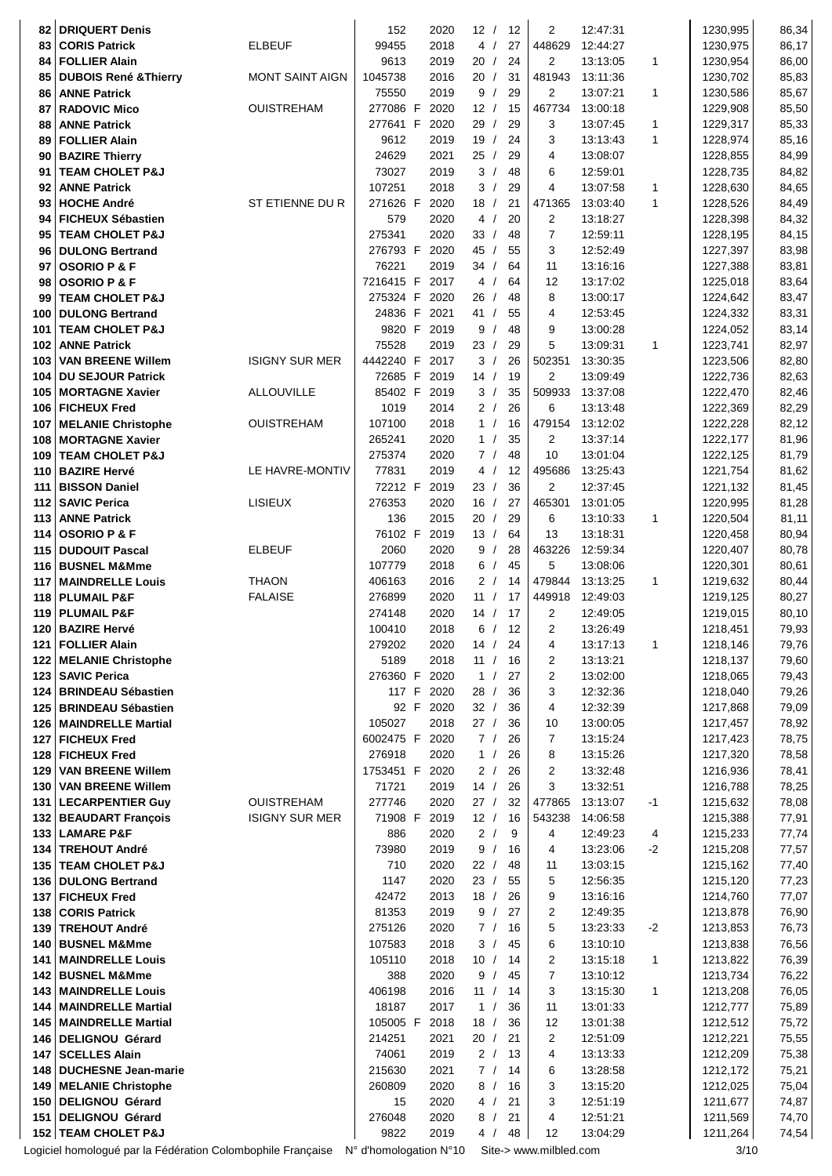| 82         | <b>DRIQUERT Denis</b>                                       |                        | 152                     | 2020         | 12/           |            | 12       | 2                      | 12:47:31             |              | 1230,995             | 86,34          |
|------------|-------------------------------------------------------------|------------------------|-------------------------|--------------|---------------|------------|----------|------------------------|----------------------|--------------|----------------------|----------------|
| 83         | <b>CORIS Patrick</b>                                        | <b>ELBEUF</b>          | 99455                   | 2018         | 4/            |            | 27       | 448629                 | 12:44:27             |              | 1230,975             | 86,17          |
| 84         | <b>FOLLIER Alain</b>                                        |                        | 9613                    | 2019         | 20/           |            | 24       | 2                      | 13:13:05             | 1            | 1230,954             | 86,00          |
| 85         | <b>DUBOIS René &amp; Thierry</b>                            | <b>MONT SAINT AIGN</b> | 1045738                 | 2016         | 20/           |            | 31       | 481943                 | 13:11:36             |              | 1230,702             | 85,83          |
| 86         | <b>ANNE Patrick</b>                                         |                        | 75550                   | 2019         | 9/            |            | 29       | $\overline{2}$         | 13:07:21             | 1            | 1230,586             | 85,67          |
| 87         | <b>RADOVIC Mico</b>                                         | <b>OUISTREHAM</b>      | 277086 F                | 2020         | 12/           |            | 15       | 467734                 | 13:00:18             |              | 1229,908             | 85,50          |
| 88         | <b>ANNE Patrick</b>                                         |                        | 277641 F                | 2020         | 29/           |            | 29       | 3                      | 13:07:45             | 1            | 1229,317             | 85,33          |
| 89<br>90   | <b>FOLLIER Alain</b><br><b>BAZIRE Thierry</b>               |                        | 9612<br>24629           | 2019<br>2021 | 19/<br>25/    |            | 24<br>29 | 3<br>$\overline{4}$    | 13:13:43<br>13:08:07 | $\mathbf{1}$ | 1228,974<br>1228,855 | 85,16<br>84,99 |
| 91         | <b>TEAM CHOLET P&amp;J</b>                                  |                        | 73027                   | 2019         | 3/            |            | 48       | 6                      | 12:59:01             |              | 1228,735             | 84,82          |
| 92         | <b>ANNE Patrick</b>                                         |                        | 107251                  | 2018         | 3             | $\sqrt{2}$ | 29       | $\overline{4}$         | 13:07:58             | 1            | 1228,630             | 84,65          |
| 93         | <b>HOCHE André</b>                                          | ST ETIENNE DU R        | 271626 F                | 2020         | 18            | $\sqrt{ }$ | 21       | 471365                 | 13:03:40             | 1            | 1228,526             | 84,49          |
| 94         | <b>FICHEUX Sébastien</b>                                    |                        | 579                     | 2020         | 4/            |            | 20       | $\overline{2}$         | 13:18:27             |              | 1228,398             | 84,32          |
| 95         | <b>TEAM CHOLET P&amp;J</b>                                  |                        | 275341                  | 2020         | 33/           |            | 48       | $\overline{7}$         | 12:59:11             |              | 1228,195             | 84,15          |
| 96         | <b>DULONG Bertrand</b>                                      |                        | 276793 F                | 2020         | 45            | $\sqrt{2}$ | 55       | 3                      | 12:52:49             |              | 1227,397             | 83,98          |
| 97         | <b>OSORIO P &amp; F</b>                                     |                        | 76221<br>7216415 F 2017 | 2019         | 34/<br>4/     |            | 64       | 11                     | 13:16:16             |              | 1227,388             | 83,81          |
| 98<br>99   | <b>OSORIO P &amp; F</b><br><b>TEAM CHOLET P&amp;J</b>       |                        | 275324 F                | 2020         | 26            | $\sqrt{ }$ | 64<br>48 | 12<br>8                | 13:17:02<br>13:00:17 |              | 1225,018<br>1224,642 | 83,64<br>83,47 |
| 100        | <b>DULONG Bertrand</b>                                      |                        | 24836 F 2021            |              | 41/           |            | 55       | 4                      | 12:53:45             |              | 1224,332             | 83,31          |
| 101        | <b>TEAM CHOLET P&amp;J</b>                                  |                        | 9820 F 2019             |              | 9             | $\sqrt{ }$ | 48       | 9                      | 13:00:28             |              | 1224,052             | 83,14          |
| 102        | <b>ANNE Patrick</b>                                         |                        | 75528                   | 2019         | 23/           |            | 29       | 5                      | 13:09:31             | 1            | 1223,741             | 82,97          |
| 103        | <b>VAN BREENE Willem</b>                                    | <b>ISIGNY SUR MER</b>  | 4442240 F               | 2017         | 3/            |            | 26       | 502351                 | 13:30:35             |              | 1223,506             | 82,80          |
| 104        | <b>DU SEJOUR Patrick</b>                                    |                        | 72685 F                 | 2019         | 14/           |            | 19       | 2                      | 13:09:49             |              | 1222,736             | 82,63          |
| 105        | <b>MORTAGNE Xavier</b>                                      | <b>ALLOUVILLE</b>      | 85402 F                 | 2019         | 3/            |            | 35       | 509933                 | 13:37:08             |              | 1222,470             | 82,46          |
| 106<br>107 | <b>FICHEUX Fred</b><br><b>MELANIE Christophe</b>            | <b>OUISTREHAM</b>      | 1019<br>107100          | 2014<br>2018 | 2/<br>1/      |            | 26<br>16 | 6<br>479154            | 13:13:48<br>13:12:02 |              | 1222,369<br>1222,228 | 82,29<br>82,12 |
| 108        | <b>MORTAGNE Xavier</b>                                      |                        | 265241                  | 2020         | 1/            |            | 35       | 2                      | 13:37:14             |              | 1222,177             | 81,96          |
| 109        | <b>TEAM CHOLET P&amp;J</b>                                  |                        | 275374                  | 2020         | 7/            |            | 48       | 10                     | 13:01:04             |              | 1222,125             | 81,79          |
| 110        | <b>BAZIRE Hervé</b>                                         | LE HAVRE-MONTIV        | 77831                   | 2019         | 4/            |            | 12       | 495686                 | 13:25:43             |              | 1221,754             | 81,62          |
| 111        | <b>BISSON Daniel</b>                                        |                        | 72212 F                 | 2019         | 23 /          |            | 36       | 2                      | 12:37:45             |              | 1221,132             | 81,45          |
| 112        | <b>SAVIC Perica</b>                                         | <b>LISIEUX</b>         | 276353                  | 2020         | 16/           |            | 27       | 465301                 | 13:01:05             |              | 1220,995             | 81,28          |
| 113        | <b>ANNE Patrick</b>                                         |                        | 136                     | 2015         | 20/           |            | 29       | 6                      | 13:10:33             | $\mathbf{1}$ | 1220,504             | 81,11          |
| 114<br>115 | <b>OSORIO P &amp; F</b><br><b>DUDOUIT Pascal</b>            | <b>ELBEUF</b>          | 76102 F<br>2060         | 2019<br>2020 | 13/<br>9      |            | 64<br>28 | 13<br>463226           | 13:18:31<br>12:59:34 |              | 1220,458<br>1220,407 | 80,94<br>80,78 |
| 116        | <b>BUSNEL M&amp;Mme</b>                                     |                        | 107779                  | 2018         | 6             | $\sqrt{2}$ | 45       | 5                      | 13:08:06             |              | 1220,301             | 80,61          |
| 117        | <b>MAINDRELLE Louis</b>                                     | <b>THAON</b>           | 406163                  | 2016         | 2/            |            | 14       | 479844                 | 13:13:25             | 1            | 1219,632             | 80,44          |
| 118        | <b>PLUMAIL P&amp;F</b>                                      | <b>FALAISE</b>         | 276899                  | 2020         | 11 /          |            | 17       | 449918                 | 12:49:03             |              | 1219,125             | 80,27          |
| 119        | <b>PLUMAIL P&amp;F</b>                                      |                        | 274148                  | 2020         | 14/           |            | 17       | $\overline{2}$         | 12:49:05             |              | 1219,015             | 80,10          |
| 120        | <b>BAZIRE Hervé</b>                                         |                        | 100410                  | 2018         | 6/            |            | 12       | $\overline{2}$         | 13:26:49             |              | 1218,451             | 79,93          |
| 121        | <b>FOLLIER Alain</b>                                        |                        | 279202                  | 2020         | $14$ /        |            | 24       | 4                      | 13:17:13             | 1            | 1218,146             | 79,76          |
| 122<br>123 | <b>MELANIE Christophe</b><br><b>SAVIC Perica</b>            |                        | 5189<br>276360 F        | 2018<br>2020 | 11 /<br>1/    |            | 16<br>27 | 2<br>$\overline{c}$    | 13:13:21<br>13:02:00 |              | 1218,137<br>1218,065 | 79,60<br>79,43 |
| 124        | <b>BRINDEAU Sébastien</b>                                   |                        | 117 F                   | 2020         | 28/           |            | 36       | 3                      | 12:32:36             |              | 1218,040             | 79,26          |
| 125        | <b>BRINDEAU Sébastien</b>                                   |                        |                         | 92 F 2020    | 32/           |            | 36       | 4                      | 12:32:39             |              | 1217,868             | 79,09          |
|            | 126   MAINDRELLE Martial                                    |                        | 105027                  | 2018         | 27/           |            | 36       | 10                     | 13:00:05             |              | 1217,457             | 78,92          |
| 127        | <b>FICHEUX Fred</b>                                         |                        | 6002475 F               | 2020         | 7/            |            | 26       | $\overline{7}$         | 13:15:24             |              | 1217,423             | 78,75          |
| 128        | <b>FICHEUX Fred</b>                                         |                        | 276918                  | 2020         | 1 /           |            | 26       | 8                      | 13:15:26             |              | 1217,320             | 78,58          |
| 129        | <b>VAN BREENE Willem</b>                                    |                        | 1753451 F               | 2020         | 2/            |            | 26       | $\overline{c}$         | 13:32:48             |              | 1216,936             | 78,41          |
| 130<br>131 | <b>VAN BREENE Willem</b><br><b>LECARPENTIER Guy</b>         | <b>OUISTREHAM</b>      | 71721<br>277746         | 2019<br>2020 | $14$ /<br>27/ |            | 26<br>32 | 3<br>477865            | 13:32:51<br>13:13:07 | $-1$         | 1216,788<br>1215,632 | 78,25<br>78,08 |
|            | 132 BEAUDART François                                       | <b>ISIGNY SUR MER</b>  | 71908 F                 | 2019         | 12/           |            | 16       | 543238                 | 14:06:58             |              | 1215,388             | 77,91          |
|            | 133 LAMARE P&F                                              |                        | 886                     | 2020         | 2/            |            | 9        | 4                      | 12:49:23             | 4            | 1215,233             | 77,74          |
| 134        | <b>TREHOUT André</b>                                        |                        | 73980                   | 2019         | 9/            |            | 16       | 4                      | 13:23:06             | $-2$         | 1215,208             | 77,57          |
| 135        | <b>TEAM CHOLET P&amp;J</b>                                  |                        | 710                     | 2020         | 22/           |            | 48       | 11                     | 13:03:15             |              | 1215,162             | 77,40          |
| 136        | <b>DULONG Bertrand</b>                                      |                        | 1147                    | 2020         | 23/           |            | 55       | 5                      | 12:56:35             |              | 1215,120             | 77,23          |
| 137        | <b>FICHEUX Fred</b>                                         |                        | 42472                   | 2013         | 18/           |            | 26       | 9                      | 13:16:16             |              | 1214,760             | 77,07          |
| 138<br>139 | <b>CORIS Patrick</b><br><b>TREHOUT André</b>                |                        | 81353<br>275126         | 2019<br>2020 | 9<br>7/       | $\sqrt{ }$ | 27<br>16 | $\overline{c}$<br>5    | 12:49:35<br>13:23:33 | $-2$         | 1213,878<br>1213,853 | 76,90<br>76,73 |
| 140        | <b>BUSNEL M&amp;Mme</b>                                     |                        | 107583                  | 2018         | 3/            |            | 45       | 6                      | 13:10:10             |              | 1213,838             | 76,56          |
| 141        | <b>MAINDRELLE Louis</b>                                     |                        | 105110                  | 2018         | 10/           |            | 14       | 2                      | 13:15:18             | 1            | 1213,822             | 76,39          |
| 142        | <b>BUSNEL M&amp;Mme</b>                                     |                        | 388                     | 2020         | 9             | $\sqrt{2}$ | 45       | $\overline{7}$         | 13:10:12             |              | 1213,734             | 76,22          |
| 143        | <b>MAINDRELLE Louis</b>                                     |                        | 406198                  | 2016         | 11 /          |            | 14       | 3                      | 13:15:30             | 1            | 1213,208             | 76,05          |
| 144        | MAINDRELLE Martial                                          |                        | 18187                   | 2017         | 1 /           |            | 36       | 11                     | 13:01:33             |              | 1212,777             | 75,89          |
| 145        | <b>MAINDRELLE Martial</b>                                   |                        | 105005 F                | 2018         | 18/           |            | 36       | 12                     | 13:01:38             |              | 1212,512             | 75,72          |
| 146<br>147 | <b>DELIGNOU Gérard</b><br><b>SCELLES Alain</b>              |                        | 214251<br>74061         | 2021<br>2019 | 20 /<br>2/    |            | 21<br>13 | $\overline{c}$<br>4    | 12:51:09<br>13:13:33 |              | 1212,221<br>1212,209 | 75,55<br>75,38 |
| 148        | <b>DUCHESNE Jean-marie</b>                                  |                        | 215630                  | 2021         | 7/            |            | 14       | 6                      | 13:28:58             |              | 1212,172             | 75,21          |
|            | 149   MELANIE Christophe                                    |                        | 260809                  | 2020         | 8/            |            | 16       | 3                      | 13:15:20             |              | 1212,025             | 75,04          |
|            | 150 DELIGNOU Gérard                                         |                        | 15                      | 2020         | 4             | $\sqrt{ }$ | 21       | 3                      | 12:51:19             |              | 1211,677             | 74,87          |
| 151        | DELIGNOU Gérard                                             |                        | 276048                  | 2020         | 8             | $\sqrt{ }$ | 21       | 4                      | 12:51:21             |              | 1211,569             | 74,70          |
|            | 152 TEAM CHOLET P&J                                         |                        | 9822                    | 2019         | 4/            |            | 48       | 12                     | 13:04:29             |              | 1211,264             | 74,54          |
|            | Logiciel homologué par la Fédération Colombophile Française |                        | N° d'homologation N°10  |              |               |            |          | Site-> www.milbled.com |                      |              | 3/10                 |                |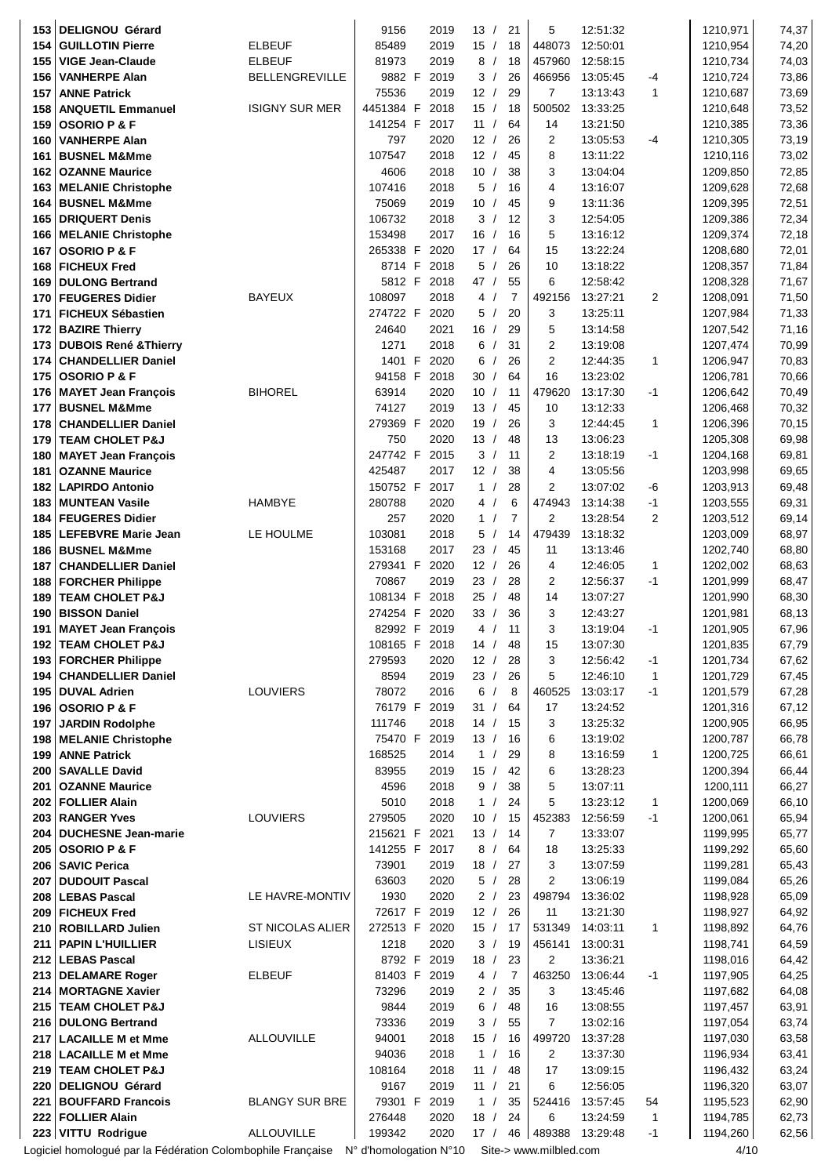| 153        | <b>DELIGNOU Gérard</b>                                      |                       | 9156                   | 2019         | 13/                         | 21       |    | 5                        | 12:51:32             |                | 1210,971             | 74,37          |
|------------|-------------------------------------------------------------|-----------------------|------------------------|--------------|-----------------------------|----------|----|--------------------------|----------------------|----------------|----------------------|----------------|
| 154        | <b>GUILLOTIN Pierre</b>                                     | <b>ELBEUF</b>         | 85489                  | 2019         | 15/                         | 18       |    | 448073                   | 12:50:01             |                | 1210,954             | 74,20          |
| 155        | <b>VIGE Jean-Claude</b>                                     | <b>ELBEUF</b>         | 81973                  | 2019         | 8/                          | 18       |    | 457960                   | 12:58:15             |                | 1210,734             | 74,03          |
| 156        | <b>VANHERPE Alan</b>                                        | <b>BELLENGREVILLE</b> | 9882 F                 | 2019         | 3/                          | 26       |    | 466956                   | 13:05:45             | -4             | 1210,724             | 73,86          |
| 157        | <b>ANNE Patrick</b><br><b>ANQUETIL Emmanuel</b>             | <b>ISIGNY SUR MER</b> | 75536<br>4451384 F     | 2019<br>2018 | 12/<br>15/                  | 29<br>18 |    | $\overline{7}$<br>500502 | 13:13:43<br>13:33:25 | $\mathbf{1}$   | 1210,687<br>1210,648 | 73,69          |
| 158<br>159 | <b>OSORIO P &amp; F</b>                                     |                       | 141254 F               | 2017         | 11/                         | 64       |    | 14                       | 13:21:50             |                | 1210,385             | 73,52<br>73,36 |
| 160        | <b>VANHERPE Alan</b>                                        |                       | 797                    | 2020         | 12/                         | 26       |    | 2                        | 13:05:53             | -4             | 1210,305             | 73,19          |
| 161        | <b>BUSNEL M&amp;Mme</b>                                     |                       | 107547                 | 2018         | 12/                         | 45       |    | 8                        | 13:11:22             |                | 1210,116             | 73,02          |
| 162        | <b>OZANNE Maurice</b>                                       |                       | 4606                   | 2018         | 10/                         | 38       |    | 3                        | 13:04:04             |                | 1209,850             | 72,85          |
| 163        | <b>MELANIE Christophe</b>                                   |                       | 107416                 | 2018         | 5/                          | 16       |    | 4                        | 13:16:07             |                | 1209,628             | 72,68          |
| 164        | <b>BUSNEL M&amp;Mme</b>                                     |                       | 75069                  | 2019         | 10 <sup>1</sup><br>$\prime$ | 45       |    | 9                        | 13:11:36             |                | 1209,395             | 72,51          |
| 165        | <b>DRIQUERT Denis</b>                                       |                       | 106732                 | 2018         | 3/                          | 12       |    | 3                        | 12:54:05             |                | 1209,386             | 72,34          |
| 166        | <b>MELANIE Christophe</b>                                   |                       | 153498                 | 2017         | 16/                         | 16       |    | 5                        | 13:16:12             |                | 1209,374             | 72,18          |
| 167        | <b>OSORIO P &amp; F</b>                                     |                       | 265338 F               | 2020         | 17/                         | 64       |    | 15                       | 13:22:24             |                | 1208,680             | 72,01          |
| 168<br>169 | <b>FICHEUX Fred</b><br><b>DULONG Bertrand</b>               |                       | 8714 F<br>5812 F       | 2018<br>2018 | 5/<br>47 /                  | 26<br>55 |    | 10<br>6                  | 13:18:22<br>12:58:42 |                | 1208,357<br>1208,328 | 71,84<br>71,67 |
| 170        | <b>FEUGERES Didier</b>                                      | BAYEUX                | 108097                 | 2018         | 4/                          | 7        |    | 492156                   | 13:27:21             | $\overline{c}$ | 1208,091             | 71,50          |
| 171        | <b>FICHEUX Sébastien</b>                                    |                       | 274722 F               | 2020         | 5/                          | 20       |    | 3                        | 13:25:11             |                | 1207,984             | 71,33          |
|            | 172 BAZIRE Thierry                                          |                       | 24640                  | 2021         | 16/                         | 29       |    | 5                        | 13:14:58             |                | 1207,542             | 71,16          |
| 173        | <b>DUBOIS René &amp; Thierry</b>                            |                       | 1271                   | 2018         | 6                           | 31       |    | 2                        | 13:19:08             |                | 1207,474             | 70,99          |
| 174        | <b>CHANDELLIER Daniel</b>                                   |                       | 1401 F                 | 2020         | 6<br>$\prime$               | 26       |    | 2                        | 12:44:35             | $\mathbf{1}$   | 1206,947             | 70,83          |
| 175        | <b>OSORIO P &amp; F</b>                                     |                       | 94158 F                | 2018         | 30<br>$\prime$              | 64       |    | 16                       | 13:23:02             |                | 1206,781             | 70,66          |
| 176        | <b>MAYET Jean François</b>                                  | <b>BIHOREL</b>        | 63914                  | 2020         | 10/                         | 11       |    | 479620                   | 13:17:30             | -1             | 1206,642             | 70,49          |
| 177        | <b>BUSNEL M&amp;Mme</b>                                     |                       | 74127                  | 2019         | 13/                         | 45       |    | 10                       | 13:12:33             |                | 1206,468             | 70,32          |
| 178<br>179 | <b>CHANDELLIER Daniel</b><br><b>TEAM CHOLET P&amp;J</b>     |                       | 279369 F<br>750        | 2020<br>2020 | 19/<br>13/                  | 26<br>48 |    | 3<br>13                  | 12:44:45<br>13:06:23 | $\mathbf{1}$   | 1206,396<br>1205,308 | 70,15<br>69,98 |
| 180        | <b>MAYET Jean François</b>                                  |                       | 247742 F               | 2015         | 3/                          | 11       |    | 2                        | 13:18:19             | -1             | 1204,168             | 69,81          |
| 181        | <b>OZANNE Maurice</b>                                       |                       | 425487                 | 2017         | 12/                         | 38       |    | 4                        | 13:05:56             |                | 1203,998             | 69,65          |
| 182        | <b>LAPIRDO Antonio</b>                                      |                       | 150752 F               | 2017         | 1 /                         | 28       |    | 2                        | 13:07:02             | -6             | 1203,913             | 69,48          |
| 183        | <b>MUNTEAN Vasile</b>                                       | <b>HAMBYE</b>         | 280788                 | 2020         | 4/                          | 6        |    | 474943                   | 13:14:38             | -1             | 1203,555             | 69,31          |
| 184        | <b>FEUGERES Didier</b>                                      |                       | 257                    | 2020         | 1 /                         | 7        |    | 2                        | 13:28:54             | 2              | 1203,512             | 69,14          |
| 185        | <b>LEFEBVRE Marie Jean</b>                                  | LE HOULME             | 103081                 | 2018         | 5/                          | 14       |    | 479439                   | 13:18:32             |                | 1203,009             | 68,97          |
| 186        | <b>BUSNEL M&amp;Mme</b>                                     |                       | 153168                 | 2017         | 23 /                        | 45       |    | 11                       | 13:13:46             |                | 1202,740             | 68,80          |
| 187        | <b>CHANDELLIER Daniel</b>                                   |                       | 279341 F               | 2020         | 12/                         | 26       |    | 4                        | 12:46:05             | 1              | 1202,002             | 68,63          |
| 188<br>189 | <b>FORCHER Philippe</b><br><b>TEAM CHOLET P&amp;J</b>       |                       | 70867<br>108134 F      | 2019<br>2018 | 23 /<br>25 /                | 28<br>48 |    | 2<br>14                  | 12:56:37<br>13:07:27 | $-1$           | 1201,999<br>1201,990 | 68,47<br>68,30 |
| 190        | <b>BISSON Daniel</b>                                        |                       | 274254 F               | 2020         | 33/                         | 36       |    | 3                        | 12:43:27             |                | 1201,981             | 68,13          |
| 191        | <b>MAYET Jean François</b>                                  |                       | 82992 F                | 2019         | 4/                          | 11       |    | 3                        | 13:19:04             | -1             | 1201,905             | 67,96          |
|            | 192   TEAM CHOLET P&J                                       |                       | 108165 F 2018          |              | 14/                         | 48       |    | 15                       | 13:07:30             |                | 1201,835             | 67,79          |
| 193        | <b>FORCHER Philippe</b>                                     |                       | 279593                 | 2020         | 12/                         | 28       |    | 3                        | 12:56:42             | -1             | 1201,734             | 67,62          |
| 194        | <b>CHANDELLIER Daniel</b>                                   |                       | 8594                   | 2019         | 23/                         | 26       |    | 5                        | 12:46:10             | 1              | 1201,729             | 67,45          |
| 195        | <b>DUVAL Adrien</b>                                         | LOUVIERS              | 78072                  | 2016         | 6/                          | 8        |    | 460525                   | 13:03:17             | $-1$           | 1201,579             | 67,28          |
| 196        | <b>OSORIO P &amp; F</b>                                     |                       | 76179 F                | 2019         | 31/                         | 64       |    | 17                       | 13:24:52             |                | 1201,316             | 67,12          |
| 197        | <b>JARDIN Rodolphe</b><br>198   MELANIE Christophe          |                       | 111746<br>75470 F      | 2018<br>2019 | 14/<br>13/                  | 15<br>16 |    | 3<br>6                   | 13:25:32<br>13:19:02 |                | 1200,905<br>1200,787 | 66,95<br>66,78 |
|            | 199 ANNE Patrick                                            |                       | 168525                 | 2014         | 1 /                         | 29       |    | 8                        | 13:16:59             | 1              | 1200,725             | 66,61          |
| $200 \mid$ | <b>SAVALLE David</b>                                        |                       | 83955                  | 2019         | 15/                         | 42       |    | 6                        | 13:28:23             |                | 1200,394             | 66,44          |
| 201        | <b>OZANNE Maurice</b>                                       |                       | 4596                   | 2018         | 9/                          | 38       |    | 5                        | 13:07:11             |                | 1200,111             | 66,27          |
| 202        | <b>FOLLIER Alain</b>                                        |                       | 5010                   | 2018         | 1 /                         | 24       |    | 5                        | 13:23:12             | 1              | 1200,069             | 66,10          |
| 203        | <b>RANGER Yves</b>                                          | LOUVIERS              | 279505                 | 2020         | 10/                         | 15       |    | 452383                   | 12:56:59             | -1             | 1200,061             | 65,94          |
| 204        | <b>DUCHESNE Jean-marie</b>                                  |                       | 215621 F               | 2021         | 13/                         | 14       |    | 7                        | 13:33:07             |                | 1199,995             | 65,77          |
| 205        | <b>OSORIO P &amp; F</b>                                     |                       | 141255 F               | 2017         | 8/                          | 64       |    | 18                       | 13:25:33             |                | 1199,292             | 65,60          |
| 207        | 206   SAVIC Perica<br><b>DUDOUIT Pascal</b>                 |                       | 73901<br>63603         | 2019<br>2020 | 18/<br>5/                   | 27<br>28 |    | 3<br>2                   | 13:07:59<br>13:06:19 |                | 1199,281<br>1199,084 | 65,43<br>65,26 |
| 208        | <b>LEBAS Pascal</b>                                         | LE HAVRE-MONTIV       | 1930                   | 2020         | 2/                          | 23       |    | 498794                   | 13:36:02             |                | 1198,928             | 65,09          |
| 209        | <b>FICHEUX Fred</b>                                         |                       | 72617 F 2019           |              | 12/                         | 26       |    | 11                       | 13:21:30             |                | 1198,927             | 64,92          |
| 210        | <b>ROBILLARD Julien</b>                                     | ST NICOLAS ALIER      | 272513 F               | 2020         | 15/                         | - 17     |    | 531349                   | 14:03:11             | 1              | 1198,892             | 64,76          |
| 211        | <b>PAPIN L'HUILLIER</b>                                     | LISIEUX               | 1218                   | 2020         | 3/                          | 19       |    | 456141                   | 13:00:31             |                | 1198,741             | 64,59          |
| 212        | <b>LEBAS Pascal</b>                                         |                       | 8792 F                 | 2019         | 18/                         | 23       |    | 2                        | 13:36:21             |                | 1198,016             | 64,42          |
| 213        | <b>DELAMARE Roger</b>                                       | <b>ELBEUF</b>         | 81403 F                | 2019         | 4/                          | 7        |    | 463250                   | 13:06:44             | $-1$           | 1197,905             | 64,25          |
|            | 214   MORTAGNE Xavier                                       |                       | 73296                  | 2019         | 2/                          | 35       |    | 3                        | 13:45:46             |                | 1197,682             | 64,08          |
|            | 215   TEAM CHOLET P&J<br>216   DULONG Bertrand              |                       | 9844<br>73336          | 2019<br>2019 | 6<br>3/                     | 48<br>55 |    | 16<br>$\overline{7}$     | 13:08:55<br>13:02:16 |                | 1197,457<br>1197,054 | 63,91<br>63,74 |
| 217        | <b>LACAILLE M et Mme</b>                                    | ALLOUVILLE            | 94001                  | 2018         | 15/                         | 16       |    | 499720                   | 13:37:28             |                | 1197,030             | 63,58          |
| 218        | <b>LACAILLE M et Mme</b>                                    |                       | 94036                  | 2018         | 1 /                         | 16       |    | 2                        | 13:37:30             |                | 1196,934             | 63,41          |
| 219        | <b>TEAM CHOLET P&amp;J</b>                                  |                       | 108164                 | 2018         | 11 /                        | 48       |    | 17                       | 13:09:15             |                | 1196,432             | 63,24          |
| 220        | <b>DELIGNOU Gérard</b>                                      |                       | 9167                   | 2019         | 11 /                        | 21       |    | 6                        | 12:56:05             |                | 1196,320             | 63,07          |
| 221        | <b>BOUFFARD Francois</b>                                    | <b>BLANGY SUR BRE</b> | 79301 F                | 2019         | 1 /                         | 35       |    | 524416                   | 13:57:45             | 54             | 1195,523             | 62,90          |
|            | 222 FOLLIER Alain                                           |                       | 276448                 | 2020         | 18/                         | 24       |    | 6                        | 13:24:59             | 1              | 1194,785             | 62,73          |
|            | 223 VITTU Rodrigue                                          | <b>ALLOUVILLE</b>     | 199342                 | 2020         | 17/                         |          | 46 | 489388                   | 13:29:48             | $-1$           | 1194,260             | 62,56          |
|            | Logiciel homologué par la Fédération Colombophile Française |                       | N° d'homologation N°10 |              |                             |          |    | Site-> www.milbled.com   |                      |                | 4/10                 |                |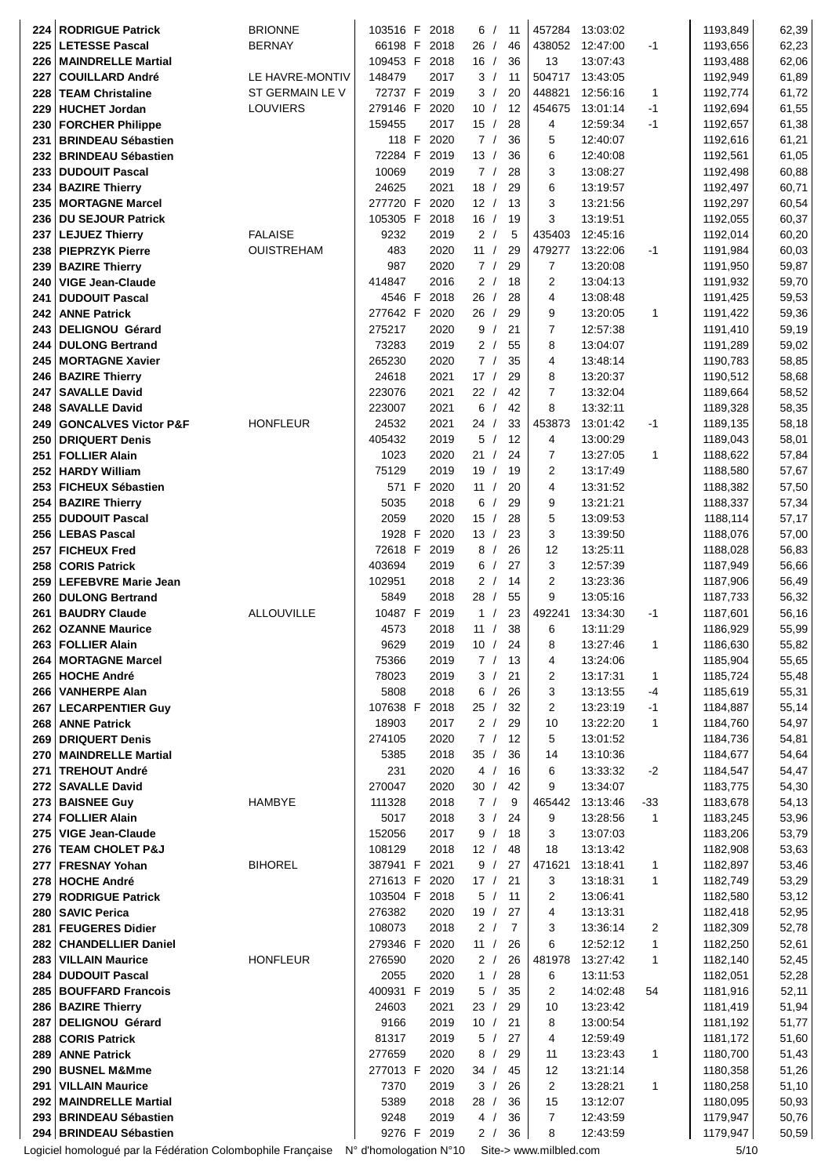| <b>LETESSE Pascal</b><br><b>BERNAY</b><br>46<br>62,23<br>225<br>66198 F<br>2018<br>26/<br>438052<br>12:47:00<br>$-1$<br>1193,656<br>36<br>13<br>62,06<br>109453 F<br>2018<br>16/<br>13:07:43<br>1193,488<br><b>MAINDRELLE Martial</b><br>226<br>LE HAVRE-MONTIV<br>148479<br>2017<br>3/<br>11<br>504717<br>13:43:05<br>1192,949<br>61,89<br>227<br><b>COUILLARD André</b><br>ST GERMAIN LE V<br>72737 F<br>448821<br>2019<br>3/<br>20<br>12:56:16<br>1<br>1192,774<br>61,72<br>228<br><b>TEAM Christaline</b><br>279146 F<br>454675<br><b>HUCHET Jordan</b><br>LOUVIERS<br>2020<br>10/<br>12<br>13:01:14<br>$-1$<br>1192,694<br>61,55<br>229<br>61,38<br>159455<br>2017<br>15/<br>28<br>4<br>12:59:34<br>1192,657<br><b>FORCHER Philippe</b><br>-1<br>230<br>36<br>5<br>61,21<br><b>BRINDEAU Sébastien</b><br>118 F<br>2020<br>7/<br>12:40:07<br>1192,616<br>231<br>6<br>72284 F<br>2019<br>13/<br>36<br>61,05<br><b>BRINDEAU Sébastien</b><br>12:40:08<br>1192,561<br>232<br>10069<br>28<br>3<br>60,88<br>233<br><b>DUDOUIT Pascal</b><br>2019<br>7/<br>13:08:27<br>1192,498<br>6<br>234<br><b>BAZIRE Thierry</b><br>24625<br>2021<br>18/<br>29<br>1192,497<br>60,71<br>13:19:57<br>277720 F<br>12/<br>13<br>3<br>235<br><b>MORTAGNE Marcel</b><br>2020<br>13:21:56<br>1192,297<br>60,54<br>105305 F<br>3<br><b>DU SEJOUR Patrick</b><br>2018<br>16/<br>19<br>13:19:51<br>1192,055<br>60,37<br>236<br>9232<br><b>FALAISE</b><br>2019<br>2/<br>5<br>435403<br>12:45:16<br>1192,014<br>60,20<br><b>LEJUEZ Thierry</b><br>237<br><b>OUISTREHAM</b><br>483<br>2020<br>11/<br>29<br>479277<br>13:22:06<br>1191,984<br>60,03<br>238<br><b>PIEPRZYK Pierre</b><br>-1<br>7<br>59,87<br><b>BAZIRE Thierry</b><br>987<br>2020<br>7/<br>29<br>13:20:08<br>1191,950<br>239<br>2<br><b>VIGE Jean-Claude</b><br>414847<br>2016<br>2/<br>18<br>13:04:13<br>1191,932<br>59,70<br>240<br>4546 F<br>26/<br>2018<br>28<br>4<br>13:08:48<br>59,53<br><b>DUDOUIT Pascal</b><br>1191,425<br>241<br>277642 F<br><b>ANNE Patrick</b><br>2020<br>26/<br>29<br>9<br>13:20:05<br>1<br>1191,422<br>59,36<br>242<br>21<br>7<br>275217<br>2020<br>9/<br>12:57:38<br>1191,410<br>59,19<br><b>DELIGNOU Gérard</b><br>243<br>73283<br>2/<br>8<br><b>DULONG Bertrand</b><br>2019<br>55<br>13:04:07<br>1191,289<br>59,02<br>244<br>7/<br><b>MORTAGNE Xavier</b><br>265230<br>2020<br>35<br>4<br>13:48:14<br>1190,783<br>58,85<br>245<br><b>BAZIRE Thierry</b><br>24618<br>2021<br>17/<br>29<br>8<br>13:20:37<br>1190,512<br>58,68<br>246<br>$\overline{7}$<br><b>SAVALLE David</b><br>223076<br>2021<br>22/<br>42<br>13:32:04<br>1189,664<br>58,52<br>247<br>6/<br>8<br>58,35<br>223007<br>2021<br>42<br>13:32:11<br>1189,328<br><b>SAVALLE David</b><br>248<br><b>HONFLEUR</b><br>24532<br>2021<br>24/<br>33<br>453873<br>13:01:42<br>58,18<br>249<br><b>GONCALVES Victor P&amp;F</b><br>-1<br>1189,135<br>5/<br>12<br><b>DRIQUERT Denis</b><br>405432<br>2019<br>4<br>13:00:29<br>1189,043<br>58,01<br>250<br>7<br>1023<br>2020<br>21/<br>24<br>13:27:05<br>57,84<br>251<br><b>FOLLIER Alain</b><br>1<br>1188,622<br>75129<br>$\overline{2}$<br><b>HARDY William</b><br>2019<br>19/<br>19<br>1188,580<br>57,67<br>252<br>13:17:49<br>571 F<br>11/<br>20<br>4<br>253<br><b>FICHEUX Sébastien</b><br>2020<br>13:31:52<br>1188,382<br>57,50<br>29<br><b>BAZIRE Thierry</b><br>5035<br>2018<br>6/<br>9<br>13:21:21<br>1188,337<br>57,34<br>254<br>2059<br>5<br><b>DUDOUIT Pascal</b><br>2020<br>15/<br>28<br>13:09:53<br>1188,114<br>57,17<br>255<br>1928 F<br>2020<br>3<br>13/<br>23<br>13:39:50<br>1188,076<br>57,00<br><b>LEBAS Pascal</b><br>256<br>72618 F<br>2019<br>8/<br>26<br>12<br>13:25:11<br>1188,028<br>56,83<br>257<br><b>FICHEUX Fred</b><br>27<br>3<br>403694<br>2019<br>6/<br>12:57:39<br>56,66<br><b>CORIS Patrick</b><br>1187,949<br>258<br>$\overline{2}$<br><b>LEFEBVRE Marie Jean</b><br>102951<br>2018<br>2/<br>14<br>13:23:36<br>1187,906<br>56,49<br>259<br>9<br>5849<br>2018<br>28/<br>55<br>13:05:16<br>1187,733<br>56,32<br>260 DULONG Bertrand<br><b>ALLOUVILLE</b><br>10487 F<br>2019<br>1/<br>23<br>492241<br>13:34:30<br>1187,601<br>56,16<br><b>BAUDRY Claude</b><br>-1<br>261<br>4573<br>6<br>262   OZANNE Maurice<br>2018<br>11/<br>38<br>13:11:29<br>1186,929<br>55,99<br>263<br>9629<br>1186,630<br>55,82<br><b>FOLLIER Alain</b><br>2019<br>10/<br>24<br>8<br>13:27:46<br>1<br>1185,904<br><b>MORTAGNE Marcel</b><br>75366<br>2019<br>7 / 13<br>13:24:06<br>55,65<br>264<br>4<br><b>HOCHE André</b><br>78023<br>1185,724<br>55,48<br>265<br>2019<br>3/<br>21<br>2<br>13:17:31<br>1<br>5808<br>3<br>55,31<br><b>VANHERPE Alan</b><br>2018<br>6/<br>26<br>13:13:55<br>-4<br>1185,619<br>266<br>107638 F<br>2018<br>25/<br>32<br>2<br>13:23:19<br>55,14<br><b>LECARPENTIER Guy</b><br>$-1$<br>1184,887<br>267<br>18903<br>2/<br>10<br>13:22:20<br>54,97<br>268   ANNE Patrick<br>2017<br>29<br>1<br>1184,760<br>274105<br>2020<br>7/<br>12<br>5<br>13:01:52<br>1184,736<br>54,81<br>269   DRIQUERT Denis<br>54,64<br>MAINDRELLE Martial<br>5385<br>2018<br>35/<br>36<br>14<br>13:10:36<br>1184,677<br>270<br>231<br>4/<br>6<br>$-2$<br>1184,547<br>54,47<br><b>TREHOUT André</b><br>2020<br>16<br>13:33:32<br>271<br>2020<br>9<br>54,30<br><b>SAVALLE David</b><br>270047<br>30/<br>42<br>13:34:07<br>1183,775<br>272<br>273<br><b>BAISNEE Guy</b><br><b>HAMBYE</b><br>111328<br>7/<br>465442<br>13:13:46<br>1183,678<br>54,13<br>2018<br>$-33$<br>9<br><b>FOLLIER Alain</b><br>5017<br>9<br>13:28:56<br>1183,245<br>53,96<br>274<br>2018<br>3/<br>24<br>1<br><b>VIGE Jean-Claude</b><br>152056<br>9/<br>18<br>3<br>13:07:03<br>53,79<br>275<br>2017<br>1183,206<br>276 TEAM CHOLET P&J<br>108129<br>12/<br>18<br>1182,908<br>53,63<br>2018<br>48<br>13:13:42<br><b>BIHOREL</b><br>387941 F<br>9/<br>471621<br>1182,897<br>53,46<br><b>FRESNAY Yohan</b><br>2021<br>27<br>13:18:41<br>1<br>277<br>271613 F<br>3<br>1182,749<br>53,29<br>278 HOCHE André<br>2020<br>17/<br>21<br>13:18:31<br>1<br>103504 F<br>2<br>1182,580<br>53,12<br>279   RODRIGUE Patrick<br>2018<br>5/<br>11<br>13:06:41<br>276382<br>4<br>1182,418<br>52,95<br>280   SAVIC Perica<br>2020<br>19/<br>27<br>13:13:31<br>108073<br>3<br>13:36:14<br>1182,309<br>52,78<br><b>FEUGERES Didier</b><br>2018<br>2 /<br>$\overline{7}$<br>2<br>281<br>279346 F<br>6<br>52,61<br><b>CHANDELLIER Daniel</b><br>2020<br>11 /<br>26<br>12:52:12<br>1<br>1182,250<br>282<br>276590<br>481978<br>13:27:42<br>52,45<br><b>VILLAIN Maurice</b><br><b>HONFLEUR</b><br>2020<br>2/<br>26<br>1<br>1182,140<br>283<br><b>DUDOUIT Pascal</b><br>2055<br>2020<br>1/<br>28<br>6<br>13:11:53<br>1182,051<br>52,28<br>284<br>400931 F<br>5/<br>35<br>2<br>14:02:48<br>1181,916<br>52,11<br>285   BOUFFARD Francois<br>2019<br>54<br>286   BAZIRE Thierry<br>24603<br>2021<br>23/<br>29<br>13:23:42<br>1181,419<br>51,94<br>10<br>21<br>1181,192<br>51,77<br>DELIGNOU Gérard<br>9166<br>2019<br>10/<br>8<br>13:00:54<br>287<br>81317<br>12:59:49<br>1181,172<br>51,60<br>288 CORIS Patrick<br>2019<br>5/<br>27<br>4<br>277659<br>2020<br>1180,700<br>51,43<br><b>ANNE Patrick</b><br>8/<br>29<br>11<br>13:23:43<br>1<br>289<br>277013 F<br>2020<br>13:21:14<br>1180,358<br>51,26<br>290   BUSNEL M&Mme<br>34/<br>45<br>12<br><b>VILLAIN Maurice</b><br>7370<br>3/<br>26<br>$\overline{2}$<br>13:28:21<br>1180,258<br>51,10<br>291<br>2019<br>1<br><b>MAINDRELLE Martial</b><br>5389<br>28/<br>15<br>50,93<br>292<br>2018<br>36<br>13:12:07<br>1180,095<br>293 BRINDEAU Sébastien<br>9248<br>2019<br>36<br>$\overline{7}$<br>1179,947<br>50,76<br>4/<br>12:43:59<br>9276 F<br>294 BRINDEAU Sébastien<br>2019<br>2/<br>36<br>8<br>1179,947<br>50,59<br>12:43:59<br>Logiciel homologué par la Fédération Colombophile Française N° d'homologation N°10<br>Site-> www.milbled.com<br>5/10 | 224 | <b>RODRIGUE Patrick</b> | <b>BRIONNE</b> | 103516 F | 2018 | 6/ | 11 | 457284 | 13:03:02 | 1193,849 | 62,39 |
|--------------------------------------------------------------------------------------------------------------------------------------------------------------------------------------------------------------------------------------------------------------------------------------------------------------------------------------------------------------------------------------------------------------------------------------------------------------------------------------------------------------------------------------------------------------------------------------------------------------------------------------------------------------------------------------------------------------------------------------------------------------------------------------------------------------------------------------------------------------------------------------------------------------------------------------------------------------------------------------------------------------------------------------------------------------------------------------------------------------------------------------------------------------------------------------------------------------------------------------------------------------------------------------------------------------------------------------------------------------------------------------------------------------------------------------------------------------------------------------------------------------------------------------------------------------------------------------------------------------------------------------------------------------------------------------------------------------------------------------------------------------------------------------------------------------------------------------------------------------------------------------------------------------------------------------------------------------------------------------------------------------------------------------------------------------------------------------------------------------------------------------------------------------------------------------------------------------------------------------------------------------------------------------------------------------------------------------------------------------------------------------------------------------------------------------------------------------------------------------------------------------------------------------------------------------------------------------------------------------------------------------------------------------------------------------------------------------------------------------------------------------------------------------------------------------------------------------------------------------------------------------------------------------------------------------------------------------------------------------------------------------------------------------------------------------------------------------------------------------------------------------------------------------------------------------------------------------------------------------------------------------------------------------------------------------------------------------------------------------------------------------------------------------------------------------------------------------------------------------------------------------------------------------------------------------------------------------------------------------------------------------------------------------------------------------------------------------------------------------------------------------------------------------------------------------------------------------------------------------------------------------------------------------------------------------------------------------------------------------------------------------------------------------------------------------------------------------------------------------------------------------------------------------------------------------------------------------------------------------------------------------------------------------------------------------------------------------------------------------------------------------------------------------------------------------------------------------------------------------------------------------------------------------------------------------------------------------------------------------------------------------------------------------------------------------------------------------------------------------------------------------------------------------------------------------------------------------------------------------------------------------------------------------------------------------------------------------------------------------------------------------------------------------------------------------------------------------------------------------------------------------------------------------------------------------------------------------------------------------------------------------------------------------------------------------------------------------------------------------------------------------------------------------------------------------------------------------------------------------------------------------------------------------------------------------------------------------------------------------------------------------------------------------------------------------------------------------------------------------------------------------------------------------------------------------------------------------------------------------------------------------------------------------------------------------------------------------------------------------------------------------------------------------------------------------------------------------------------------------------------------------------------------------------------------------------------------------------------------------------------------------------------------------------------------------------------------------------------------------------------------------------------------------------------------------------------------------------------------------------------------------------------------------------------------------------------------------------------------------------------------------------------------------------------------------------------------------------------------------------------------------------------------------------------------------------------------------------------------------------------------------------------------------------------------------------------------------------------------------------------------------------------------------------------------------------------------------------------------------------------------------------------------------------------------------------------------------------------------------------------------------------------------------------------------------------------------------------------------------------------------------------------------------------------------------------------------------------------------------------------------------------------------------------------------------------------------------------------------------------------------------------------------------------------------------------------------------------------------------------------------------------------------------------------------------------------------|-----|-------------------------|----------------|----------|------|----|----|--------|----------|----------|-------|
|                                                                                                                                                                                                                                                                                                                                                                                                                                                                                                                                                                                                                                                                                                                                                                                                                                                                                                                                                                                                                                                                                                                                                                                                                                                                                                                                                                                                                                                                                                                                                                                                                                                                                                                                                                                                                                                                                                                                                                                                                                                                                                                                                                                                                                                                                                                                                                                                                                                                                                                                                                                                                                                                                                                                                                                                                                                                                                                                                                                                                                                                                                                                                                                                                                                                                                                                                                                                                                                                                                                                                                                                                                                                                                                                                                                                                                                                                                                                                                                                                                                                                                                                                                                                                                                                                                                                                                                                                                                                                                                                                                                                                                                                                                                                                                                                                                                                                                                                                                                                                                                                                                                                                                                                                                                                                                                                                                                                                                                                                                                                                                                                                                                                                                                                                                                                                                                                                                                                                                                                                                                                                                                                                                                                                                                                                                                                                                                                                                                                                                                                                                                                                                                                                                                                                                                                                                                                                                                                                                                                                                                                                                                                                                                                                                                                                                                                                                                                                                                                                                                                                                                                                                                                                                                                                                                                                                |     |                         |                |          |      |    |    |        |          |          |       |
|                                                                                                                                                                                                                                                                                                                                                                                                                                                                                                                                                                                                                                                                                                                                                                                                                                                                                                                                                                                                                                                                                                                                                                                                                                                                                                                                                                                                                                                                                                                                                                                                                                                                                                                                                                                                                                                                                                                                                                                                                                                                                                                                                                                                                                                                                                                                                                                                                                                                                                                                                                                                                                                                                                                                                                                                                                                                                                                                                                                                                                                                                                                                                                                                                                                                                                                                                                                                                                                                                                                                                                                                                                                                                                                                                                                                                                                                                                                                                                                                                                                                                                                                                                                                                                                                                                                                                                                                                                                                                                                                                                                                                                                                                                                                                                                                                                                                                                                                                                                                                                                                                                                                                                                                                                                                                                                                                                                                                                                                                                                                                                                                                                                                                                                                                                                                                                                                                                                                                                                                                                                                                                                                                                                                                                                                                                                                                                                                                                                                                                                                                                                                                                                                                                                                                                                                                                                                                                                                                                                                                                                                                                                                                                                                                                                                                                                                                                                                                                                                                                                                                                                                                                                                                                                                                                                                                                |     |                         |                |          |      |    |    |        |          |          |       |
|                                                                                                                                                                                                                                                                                                                                                                                                                                                                                                                                                                                                                                                                                                                                                                                                                                                                                                                                                                                                                                                                                                                                                                                                                                                                                                                                                                                                                                                                                                                                                                                                                                                                                                                                                                                                                                                                                                                                                                                                                                                                                                                                                                                                                                                                                                                                                                                                                                                                                                                                                                                                                                                                                                                                                                                                                                                                                                                                                                                                                                                                                                                                                                                                                                                                                                                                                                                                                                                                                                                                                                                                                                                                                                                                                                                                                                                                                                                                                                                                                                                                                                                                                                                                                                                                                                                                                                                                                                                                                                                                                                                                                                                                                                                                                                                                                                                                                                                                                                                                                                                                                                                                                                                                                                                                                                                                                                                                                                                                                                                                                                                                                                                                                                                                                                                                                                                                                                                                                                                                                                                                                                                                                                                                                                                                                                                                                                                                                                                                                                                                                                                                                                                                                                                                                                                                                                                                                                                                                                                                                                                                                                                                                                                                                                                                                                                                                                                                                                                                                                                                                                                                                                                                                                                                                                                                                                |     |                         |                |          |      |    |    |        |          |          |       |
|                                                                                                                                                                                                                                                                                                                                                                                                                                                                                                                                                                                                                                                                                                                                                                                                                                                                                                                                                                                                                                                                                                                                                                                                                                                                                                                                                                                                                                                                                                                                                                                                                                                                                                                                                                                                                                                                                                                                                                                                                                                                                                                                                                                                                                                                                                                                                                                                                                                                                                                                                                                                                                                                                                                                                                                                                                                                                                                                                                                                                                                                                                                                                                                                                                                                                                                                                                                                                                                                                                                                                                                                                                                                                                                                                                                                                                                                                                                                                                                                                                                                                                                                                                                                                                                                                                                                                                                                                                                                                                                                                                                                                                                                                                                                                                                                                                                                                                                                                                                                                                                                                                                                                                                                                                                                                                                                                                                                                                                                                                                                                                                                                                                                                                                                                                                                                                                                                                                                                                                                                                                                                                                                                                                                                                                                                                                                                                                                                                                                                                                                                                                                                                                                                                                                                                                                                                                                                                                                                                                                                                                                                                                                                                                                                                                                                                                                                                                                                                                                                                                                                                                                                                                                                                                                                                                                                                |     |                         |                |          |      |    |    |        |          |          |       |
|                                                                                                                                                                                                                                                                                                                                                                                                                                                                                                                                                                                                                                                                                                                                                                                                                                                                                                                                                                                                                                                                                                                                                                                                                                                                                                                                                                                                                                                                                                                                                                                                                                                                                                                                                                                                                                                                                                                                                                                                                                                                                                                                                                                                                                                                                                                                                                                                                                                                                                                                                                                                                                                                                                                                                                                                                                                                                                                                                                                                                                                                                                                                                                                                                                                                                                                                                                                                                                                                                                                                                                                                                                                                                                                                                                                                                                                                                                                                                                                                                                                                                                                                                                                                                                                                                                                                                                                                                                                                                                                                                                                                                                                                                                                                                                                                                                                                                                                                                                                                                                                                                                                                                                                                                                                                                                                                                                                                                                                                                                                                                                                                                                                                                                                                                                                                                                                                                                                                                                                                                                                                                                                                                                                                                                                                                                                                                                                                                                                                                                                                                                                                                                                                                                                                                                                                                                                                                                                                                                                                                                                                                                                                                                                                                                                                                                                                                                                                                                                                                                                                                                                                                                                                                                                                                                                                                                |     |                         |                |          |      |    |    |        |          |          |       |
|                                                                                                                                                                                                                                                                                                                                                                                                                                                                                                                                                                                                                                                                                                                                                                                                                                                                                                                                                                                                                                                                                                                                                                                                                                                                                                                                                                                                                                                                                                                                                                                                                                                                                                                                                                                                                                                                                                                                                                                                                                                                                                                                                                                                                                                                                                                                                                                                                                                                                                                                                                                                                                                                                                                                                                                                                                                                                                                                                                                                                                                                                                                                                                                                                                                                                                                                                                                                                                                                                                                                                                                                                                                                                                                                                                                                                                                                                                                                                                                                                                                                                                                                                                                                                                                                                                                                                                                                                                                                                                                                                                                                                                                                                                                                                                                                                                                                                                                                                                                                                                                                                                                                                                                                                                                                                                                                                                                                                                                                                                                                                                                                                                                                                                                                                                                                                                                                                                                                                                                                                                                                                                                                                                                                                                                                                                                                                                                                                                                                                                                                                                                                                                                                                                                                                                                                                                                                                                                                                                                                                                                                                                                                                                                                                                                                                                                                                                                                                                                                                                                                                                                                                                                                                                                                                                                                                                |     |                         |                |          |      |    |    |        |          |          |       |
|                                                                                                                                                                                                                                                                                                                                                                                                                                                                                                                                                                                                                                                                                                                                                                                                                                                                                                                                                                                                                                                                                                                                                                                                                                                                                                                                                                                                                                                                                                                                                                                                                                                                                                                                                                                                                                                                                                                                                                                                                                                                                                                                                                                                                                                                                                                                                                                                                                                                                                                                                                                                                                                                                                                                                                                                                                                                                                                                                                                                                                                                                                                                                                                                                                                                                                                                                                                                                                                                                                                                                                                                                                                                                                                                                                                                                                                                                                                                                                                                                                                                                                                                                                                                                                                                                                                                                                                                                                                                                                                                                                                                                                                                                                                                                                                                                                                                                                                                                                                                                                                                                                                                                                                                                                                                                                                                                                                                                                                                                                                                                                                                                                                                                                                                                                                                                                                                                                                                                                                                                                                                                                                                                                                                                                                                                                                                                                                                                                                                                                                                                                                                                                                                                                                                                                                                                                                                                                                                                                                                                                                                                                                                                                                                                                                                                                                                                                                                                                                                                                                                                                                                                                                                                                                                                                                                                                |     |                         |                |          |      |    |    |        |          |          |       |
|                                                                                                                                                                                                                                                                                                                                                                                                                                                                                                                                                                                                                                                                                                                                                                                                                                                                                                                                                                                                                                                                                                                                                                                                                                                                                                                                                                                                                                                                                                                                                                                                                                                                                                                                                                                                                                                                                                                                                                                                                                                                                                                                                                                                                                                                                                                                                                                                                                                                                                                                                                                                                                                                                                                                                                                                                                                                                                                                                                                                                                                                                                                                                                                                                                                                                                                                                                                                                                                                                                                                                                                                                                                                                                                                                                                                                                                                                                                                                                                                                                                                                                                                                                                                                                                                                                                                                                                                                                                                                                                                                                                                                                                                                                                                                                                                                                                                                                                                                                                                                                                                                                                                                                                                                                                                                                                                                                                                                                                                                                                                                                                                                                                                                                                                                                                                                                                                                                                                                                                                                                                                                                                                                                                                                                                                                                                                                                                                                                                                                                                                                                                                                                                                                                                                                                                                                                                                                                                                                                                                                                                                                                                                                                                                                                                                                                                                                                                                                                                                                                                                                                                                                                                                                                                                                                                                                                |     |                         |                |          |      |    |    |        |          |          |       |
|                                                                                                                                                                                                                                                                                                                                                                                                                                                                                                                                                                                                                                                                                                                                                                                                                                                                                                                                                                                                                                                                                                                                                                                                                                                                                                                                                                                                                                                                                                                                                                                                                                                                                                                                                                                                                                                                                                                                                                                                                                                                                                                                                                                                                                                                                                                                                                                                                                                                                                                                                                                                                                                                                                                                                                                                                                                                                                                                                                                                                                                                                                                                                                                                                                                                                                                                                                                                                                                                                                                                                                                                                                                                                                                                                                                                                                                                                                                                                                                                                                                                                                                                                                                                                                                                                                                                                                                                                                                                                                                                                                                                                                                                                                                                                                                                                                                                                                                                                                                                                                                                                                                                                                                                                                                                                                                                                                                                                                                                                                                                                                                                                                                                                                                                                                                                                                                                                                                                                                                                                                                                                                                                                                                                                                                                                                                                                                                                                                                                                                                                                                                                                                                                                                                                                                                                                                                                                                                                                                                                                                                                                                                                                                                                                                                                                                                                                                                                                                                                                                                                                                                                                                                                                                                                                                                                                                |     |                         |                |          |      |    |    |        |          |          |       |
|                                                                                                                                                                                                                                                                                                                                                                                                                                                                                                                                                                                                                                                                                                                                                                                                                                                                                                                                                                                                                                                                                                                                                                                                                                                                                                                                                                                                                                                                                                                                                                                                                                                                                                                                                                                                                                                                                                                                                                                                                                                                                                                                                                                                                                                                                                                                                                                                                                                                                                                                                                                                                                                                                                                                                                                                                                                                                                                                                                                                                                                                                                                                                                                                                                                                                                                                                                                                                                                                                                                                                                                                                                                                                                                                                                                                                                                                                                                                                                                                                                                                                                                                                                                                                                                                                                                                                                                                                                                                                                                                                                                                                                                                                                                                                                                                                                                                                                                                                                                                                                                                                                                                                                                                                                                                                                                                                                                                                                                                                                                                                                                                                                                                                                                                                                                                                                                                                                                                                                                                                                                                                                                                                                                                                                                                                                                                                                                                                                                                                                                                                                                                                                                                                                                                                                                                                                                                                                                                                                                                                                                                                                                                                                                                                                                                                                                                                                                                                                                                                                                                                                                                                                                                                                                                                                                                                                |     |                         |                |          |      |    |    |        |          |          |       |
|                                                                                                                                                                                                                                                                                                                                                                                                                                                                                                                                                                                                                                                                                                                                                                                                                                                                                                                                                                                                                                                                                                                                                                                                                                                                                                                                                                                                                                                                                                                                                                                                                                                                                                                                                                                                                                                                                                                                                                                                                                                                                                                                                                                                                                                                                                                                                                                                                                                                                                                                                                                                                                                                                                                                                                                                                                                                                                                                                                                                                                                                                                                                                                                                                                                                                                                                                                                                                                                                                                                                                                                                                                                                                                                                                                                                                                                                                                                                                                                                                                                                                                                                                                                                                                                                                                                                                                                                                                                                                                                                                                                                                                                                                                                                                                                                                                                                                                                                                                                                                                                                                                                                                                                                                                                                                                                                                                                                                                                                                                                                                                                                                                                                                                                                                                                                                                                                                                                                                                                                                                                                                                                                                                                                                                                                                                                                                                                                                                                                                                                                                                                                                                                                                                                                                                                                                                                                                                                                                                                                                                                                                                                                                                                                                                                                                                                                                                                                                                                                                                                                                                                                                                                                                                                                                                                                                                |     |                         |                |          |      |    |    |        |          |          |       |
|                                                                                                                                                                                                                                                                                                                                                                                                                                                                                                                                                                                                                                                                                                                                                                                                                                                                                                                                                                                                                                                                                                                                                                                                                                                                                                                                                                                                                                                                                                                                                                                                                                                                                                                                                                                                                                                                                                                                                                                                                                                                                                                                                                                                                                                                                                                                                                                                                                                                                                                                                                                                                                                                                                                                                                                                                                                                                                                                                                                                                                                                                                                                                                                                                                                                                                                                                                                                                                                                                                                                                                                                                                                                                                                                                                                                                                                                                                                                                                                                                                                                                                                                                                                                                                                                                                                                                                                                                                                                                                                                                                                                                                                                                                                                                                                                                                                                                                                                                                                                                                                                                                                                                                                                                                                                                                                                                                                                                                                                                                                                                                                                                                                                                                                                                                                                                                                                                                                                                                                                                                                                                                                                                                                                                                                                                                                                                                                                                                                                                                                                                                                                                                                                                                                                                                                                                                                                                                                                                                                                                                                                                                                                                                                                                                                                                                                                                                                                                                                                                                                                                                                                                                                                                                                                                                                                                                |     |                         |                |          |      |    |    |        |          |          |       |
|                                                                                                                                                                                                                                                                                                                                                                                                                                                                                                                                                                                                                                                                                                                                                                                                                                                                                                                                                                                                                                                                                                                                                                                                                                                                                                                                                                                                                                                                                                                                                                                                                                                                                                                                                                                                                                                                                                                                                                                                                                                                                                                                                                                                                                                                                                                                                                                                                                                                                                                                                                                                                                                                                                                                                                                                                                                                                                                                                                                                                                                                                                                                                                                                                                                                                                                                                                                                                                                                                                                                                                                                                                                                                                                                                                                                                                                                                                                                                                                                                                                                                                                                                                                                                                                                                                                                                                                                                                                                                                                                                                                                                                                                                                                                                                                                                                                                                                                                                                                                                                                                                                                                                                                                                                                                                                                                                                                                                                                                                                                                                                                                                                                                                                                                                                                                                                                                                                                                                                                                                                                                                                                                                                                                                                                                                                                                                                                                                                                                                                                                                                                                                                                                                                                                                                                                                                                                                                                                                                                                                                                                                                                                                                                                                                                                                                                                                                                                                                                                                                                                                                                                                                                                                                                                                                                                                                |     |                         |                |          |      |    |    |        |          |          |       |
|                                                                                                                                                                                                                                                                                                                                                                                                                                                                                                                                                                                                                                                                                                                                                                                                                                                                                                                                                                                                                                                                                                                                                                                                                                                                                                                                                                                                                                                                                                                                                                                                                                                                                                                                                                                                                                                                                                                                                                                                                                                                                                                                                                                                                                                                                                                                                                                                                                                                                                                                                                                                                                                                                                                                                                                                                                                                                                                                                                                                                                                                                                                                                                                                                                                                                                                                                                                                                                                                                                                                                                                                                                                                                                                                                                                                                                                                                                                                                                                                                                                                                                                                                                                                                                                                                                                                                                                                                                                                                                                                                                                                                                                                                                                                                                                                                                                                                                                                                                                                                                                                                                                                                                                                                                                                                                                                                                                                                                                                                                                                                                                                                                                                                                                                                                                                                                                                                                                                                                                                                                                                                                                                                                                                                                                                                                                                                                                                                                                                                                                                                                                                                                                                                                                                                                                                                                                                                                                                                                                                                                                                                                                                                                                                                                                                                                                                                                                                                                                                                                                                                                                                                                                                                                                                                                                                                                |     |                         |                |          |      |    |    |        |          |          |       |
|                                                                                                                                                                                                                                                                                                                                                                                                                                                                                                                                                                                                                                                                                                                                                                                                                                                                                                                                                                                                                                                                                                                                                                                                                                                                                                                                                                                                                                                                                                                                                                                                                                                                                                                                                                                                                                                                                                                                                                                                                                                                                                                                                                                                                                                                                                                                                                                                                                                                                                                                                                                                                                                                                                                                                                                                                                                                                                                                                                                                                                                                                                                                                                                                                                                                                                                                                                                                                                                                                                                                                                                                                                                                                                                                                                                                                                                                                                                                                                                                                                                                                                                                                                                                                                                                                                                                                                                                                                                                                                                                                                                                                                                                                                                                                                                                                                                                                                                                                                                                                                                                                                                                                                                                                                                                                                                                                                                                                                                                                                                                                                                                                                                                                                                                                                                                                                                                                                                                                                                                                                                                                                                                                                                                                                                                                                                                                                                                                                                                                                                                                                                                                                                                                                                                                                                                                                                                                                                                                                                                                                                                                                                                                                                                                                                                                                                                                                                                                                                                                                                                                                                                                                                                                                                                                                                                                                |     |                         |                |          |      |    |    |        |          |          |       |
|                                                                                                                                                                                                                                                                                                                                                                                                                                                                                                                                                                                                                                                                                                                                                                                                                                                                                                                                                                                                                                                                                                                                                                                                                                                                                                                                                                                                                                                                                                                                                                                                                                                                                                                                                                                                                                                                                                                                                                                                                                                                                                                                                                                                                                                                                                                                                                                                                                                                                                                                                                                                                                                                                                                                                                                                                                                                                                                                                                                                                                                                                                                                                                                                                                                                                                                                                                                                                                                                                                                                                                                                                                                                                                                                                                                                                                                                                                                                                                                                                                                                                                                                                                                                                                                                                                                                                                                                                                                                                                                                                                                                                                                                                                                                                                                                                                                                                                                                                                                                                                                                                                                                                                                                                                                                                                                                                                                                                                                                                                                                                                                                                                                                                                                                                                                                                                                                                                                                                                                                                                                                                                                                                                                                                                                                                                                                                                                                                                                                                                                                                                                                                                                                                                                                                                                                                                                                                                                                                                                                                                                                                                                                                                                                                                                                                                                                                                                                                                                                                                                                                                                                                                                                                                                                                                                                                                |     |                         |                |          |      |    |    |        |          |          |       |
|                                                                                                                                                                                                                                                                                                                                                                                                                                                                                                                                                                                                                                                                                                                                                                                                                                                                                                                                                                                                                                                                                                                                                                                                                                                                                                                                                                                                                                                                                                                                                                                                                                                                                                                                                                                                                                                                                                                                                                                                                                                                                                                                                                                                                                                                                                                                                                                                                                                                                                                                                                                                                                                                                                                                                                                                                                                                                                                                                                                                                                                                                                                                                                                                                                                                                                                                                                                                                                                                                                                                                                                                                                                                                                                                                                                                                                                                                                                                                                                                                                                                                                                                                                                                                                                                                                                                                                                                                                                                                                                                                                                                                                                                                                                                                                                                                                                                                                                                                                                                                                                                                                                                                                                                                                                                                                                                                                                                                                                                                                                                                                                                                                                                                                                                                                                                                                                                                                                                                                                                                                                                                                                                                                                                                                                                                                                                                                                                                                                                                                                                                                                                                                                                                                                                                                                                                                                                                                                                                                                                                                                                                                                                                                                                                                                                                                                                                                                                                                                                                                                                                                                                                                                                                                                                                                                                                                |     |                         |                |          |      |    |    |        |          |          |       |
|                                                                                                                                                                                                                                                                                                                                                                                                                                                                                                                                                                                                                                                                                                                                                                                                                                                                                                                                                                                                                                                                                                                                                                                                                                                                                                                                                                                                                                                                                                                                                                                                                                                                                                                                                                                                                                                                                                                                                                                                                                                                                                                                                                                                                                                                                                                                                                                                                                                                                                                                                                                                                                                                                                                                                                                                                                                                                                                                                                                                                                                                                                                                                                                                                                                                                                                                                                                                                                                                                                                                                                                                                                                                                                                                                                                                                                                                                                                                                                                                                                                                                                                                                                                                                                                                                                                                                                                                                                                                                                                                                                                                                                                                                                                                                                                                                                                                                                                                                                                                                                                                                                                                                                                                                                                                                                                                                                                                                                                                                                                                                                                                                                                                                                                                                                                                                                                                                                                                                                                                                                                                                                                                                                                                                                                                                                                                                                                                                                                                                                                                                                                                                                                                                                                                                                                                                                                                                                                                                                                                                                                                                                                                                                                                                                                                                                                                                                                                                                                                                                                                                                                                                                                                                                                                                                                                                                |     |                         |                |          |      |    |    |        |          |          |       |
|                                                                                                                                                                                                                                                                                                                                                                                                                                                                                                                                                                                                                                                                                                                                                                                                                                                                                                                                                                                                                                                                                                                                                                                                                                                                                                                                                                                                                                                                                                                                                                                                                                                                                                                                                                                                                                                                                                                                                                                                                                                                                                                                                                                                                                                                                                                                                                                                                                                                                                                                                                                                                                                                                                                                                                                                                                                                                                                                                                                                                                                                                                                                                                                                                                                                                                                                                                                                                                                                                                                                                                                                                                                                                                                                                                                                                                                                                                                                                                                                                                                                                                                                                                                                                                                                                                                                                                                                                                                                                                                                                                                                                                                                                                                                                                                                                                                                                                                                                                                                                                                                                                                                                                                                                                                                                                                                                                                                                                                                                                                                                                                                                                                                                                                                                                                                                                                                                                                                                                                                                                                                                                                                                                                                                                                                                                                                                                                                                                                                                                                                                                                                                                                                                                                                                                                                                                                                                                                                                                                                                                                                                                                                                                                                                                                                                                                                                                                                                                                                                                                                                                                                                                                                                                                                                                                                                                |     |                         |                |          |      |    |    |        |          |          |       |
|                                                                                                                                                                                                                                                                                                                                                                                                                                                                                                                                                                                                                                                                                                                                                                                                                                                                                                                                                                                                                                                                                                                                                                                                                                                                                                                                                                                                                                                                                                                                                                                                                                                                                                                                                                                                                                                                                                                                                                                                                                                                                                                                                                                                                                                                                                                                                                                                                                                                                                                                                                                                                                                                                                                                                                                                                                                                                                                                                                                                                                                                                                                                                                                                                                                                                                                                                                                                                                                                                                                                                                                                                                                                                                                                                                                                                                                                                                                                                                                                                                                                                                                                                                                                                                                                                                                                                                                                                                                                                                                                                                                                                                                                                                                                                                                                                                                                                                                                                                                                                                                                                                                                                                                                                                                                                                                                                                                                                                                                                                                                                                                                                                                                                                                                                                                                                                                                                                                                                                                                                                                                                                                                                                                                                                                                                                                                                                                                                                                                                                                                                                                                                                                                                                                                                                                                                                                                                                                                                                                                                                                                                                                                                                                                                                                                                                                                                                                                                                                                                                                                                                                                                                                                                                                                                                                                                                |     |                         |                |          |      |    |    |        |          |          |       |
|                                                                                                                                                                                                                                                                                                                                                                                                                                                                                                                                                                                                                                                                                                                                                                                                                                                                                                                                                                                                                                                                                                                                                                                                                                                                                                                                                                                                                                                                                                                                                                                                                                                                                                                                                                                                                                                                                                                                                                                                                                                                                                                                                                                                                                                                                                                                                                                                                                                                                                                                                                                                                                                                                                                                                                                                                                                                                                                                                                                                                                                                                                                                                                                                                                                                                                                                                                                                                                                                                                                                                                                                                                                                                                                                                                                                                                                                                                                                                                                                                                                                                                                                                                                                                                                                                                                                                                                                                                                                                                                                                                                                                                                                                                                                                                                                                                                                                                                                                                                                                                                                                                                                                                                                                                                                                                                                                                                                                                                                                                                                                                                                                                                                                                                                                                                                                                                                                                                                                                                                                                                                                                                                                                                                                                                                                                                                                                                                                                                                                                                                                                                                                                                                                                                                                                                                                                                                                                                                                                                                                                                                                                                                                                                                                                                                                                                                                                                                                                                                                                                                                                                                                                                                                                                                                                                                                                |     |                         |                |          |      |    |    |        |          |          |       |
|                                                                                                                                                                                                                                                                                                                                                                                                                                                                                                                                                                                                                                                                                                                                                                                                                                                                                                                                                                                                                                                                                                                                                                                                                                                                                                                                                                                                                                                                                                                                                                                                                                                                                                                                                                                                                                                                                                                                                                                                                                                                                                                                                                                                                                                                                                                                                                                                                                                                                                                                                                                                                                                                                                                                                                                                                                                                                                                                                                                                                                                                                                                                                                                                                                                                                                                                                                                                                                                                                                                                                                                                                                                                                                                                                                                                                                                                                                                                                                                                                                                                                                                                                                                                                                                                                                                                                                                                                                                                                                                                                                                                                                                                                                                                                                                                                                                                                                                                                                                                                                                                                                                                                                                                                                                                                                                                                                                                                                                                                                                                                                                                                                                                                                                                                                                                                                                                                                                                                                                                                                                                                                                                                                                                                                                                                                                                                                                                                                                                                                                                                                                                                                                                                                                                                                                                                                                                                                                                                                                                                                                                                                                                                                                                                                                                                                                                                                                                                                                                                                                                                                                                                                                                                                                                                                                                                                |     |                         |                |          |      |    |    |        |          |          |       |
|                                                                                                                                                                                                                                                                                                                                                                                                                                                                                                                                                                                                                                                                                                                                                                                                                                                                                                                                                                                                                                                                                                                                                                                                                                                                                                                                                                                                                                                                                                                                                                                                                                                                                                                                                                                                                                                                                                                                                                                                                                                                                                                                                                                                                                                                                                                                                                                                                                                                                                                                                                                                                                                                                                                                                                                                                                                                                                                                                                                                                                                                                                                                                                                                                                                                                                                                                                                                                                                                                                                                                                                                                                                                                                                                                                                                                                                                                                                                                                                                                                                                                                                                                                                                                                                                                                                                                                                                                                                                                                                                                                                                                                                                                                                                                                                                                                                                                                                                                                                                                                                                                                                                                                                                                                                                                                                                                                                                                                                                                                                                                                                                                                                                                                                                                                                                                                                                                                                                                                                                                                                                                                                                                                                                                                                                                                                                                                                                                                                                                                                                                                                                                                                                                                                                                                                                                                                                                                                                                                                                                                                                                                                                                                                                                                                                                                                                                                                                                                                                                                                                                                                                                                                                                                                                                                                                                                |     |                         |                |          |      |    |    |        |          |          |       |
|                                                                                                                                                                                                                                                                                                                                                                                                                                                                                                                                                                                                                                                                                                                                                                                                                                                                                                                                                                                                                                                                                                                                                                                                                                                                                                                                                                                                                                                                                                                                                                                                                                                                                                                                                                                                                                                                                                                                                                                                                                                                                                                                                                                                                                                                                                                                                                                                                                                                                                                                                                                                                                                                                                                                                                                                                                                                                                                                                                                                                                                                                                                                                                                                                                                                                                                                                                                                                                                                                                                                                                                                                                                                                                                                                                                                                                                                                                                                                                                                                                                                                                                                                                                                                                                                                                                                                                                                                                                                                                                                                                                                                                                                                                                                                                                                                                                                                                                                                                                                                                                                                                                                                                                                                                                                                                                                                                                                                                                                                                                                                                                                                                                                                                                                                                                                                                                                                                                                                                                                                                                                                                                                                                                                                                                                                                                                                                                                                                                                                                                                                                                                                                                                                                                                                                                                                                                                                                                                                                                                                                                                                                                                                                                                                                                                                                                                                                                                                                                                                                                                                                                                                                                                                                                                                                                                                                |     |                         |                |          |      |    |    |        |          |          |       |
|                                                                                                                                                                                                                                                                                                                                                                                                                                                                                                                                                                                                                                                                                                                                                                                                                                                                                                                                                                                                                                                                                                                                                                                                                                                                                                                                                                                                                                                                                                                                                                                                                                                                                                                                                                                                                                                                                                                                                                                                                                                                                                                                                                                                                                                                                                                                                                                                                                                                                                                                                                                                                                                                                                                                                                                                                                                                                                                                                                                                                                                                                                                                                                                                                                                                                                                                                                                                                                                                                                                                                                                                                                                                                                                                                                                                                                                                                                                                                                                                                                                                                                                                                                                                                                                                                                                                                                                                                                                                                                                                                                                                                                                                                                                                                                                                                                                                                                                                                                                                                                                                                                                                                                                                                                                                                                                                                                                                                                                                                                                                                                                                                                                                                                                                                                                                                                                                                                                                                                                                                                                                                                                                                                                                                                                                                                                                                                                                                                                                                                                                                                                                                                                                                                                                                                                                                                                                                                                                                                                                                                                                                                                                                                                                                                                                                                                                                                                                                                                                                                                                                                                                                                                                                                                                                                                                                                |     |                         |                |          |      |    |    |        |          |          |       |
|                                                                                                                                                                                                                                                                                                                                                                                                                                                                                                                                                                                                                                                                                                                                                                                                                                                                                                                                                                                                                                                                                                                                                                                                                                                                                                                                                                                                                                                                                                                                                                                                                                                                                                                                                                                                                                                                                                                                                                                                                                                                                                                                                                                                                                                                                                                                                                                                                                                                                                                                                                                                                                                                                                                                                                                                                                                                                                                                                                                                                                                                                                                                                                                                                                                                                                                                                                                                                                                                                                                                                                                                                                                                                                                                                                                                                                                                                                                                                                                                                                                                                                                                                                                                                                                                                                                                                                                                                                                                                                                                                                                                                                                                                                                                                                                                                                                                                                                                                                                                                                                                                                                                                                                                                                                                                                                                                                                                                                                                                                                                                                                                                                                                                                                                                                                                                                                                                                                                                                                                                                                                                                                                                                                                                                                                                                                                                                                                                                                                                                                                                                                                                                                                                                                                                                                                                                                                                                                                                                                                                                                                                                                                                                                                                                                                                                                                                                                                                                                                                                                                                                                                                                                                                                                                                                                                                                |     |                         |                |          |      |    |    |        |          |          |       |
|                                                                                                                                                                                                                                                                                                                                                                                                                                                                                                                                                                                                                                                                                                                                                                                                                                                                                                                                                                                                                                                                                                                                                                                                                                                                                                                                                                                                                                                                                                                                                                                                                                                                                                                                                                                                                                                                                                                                                                                                                                                                                                                                                                                                                                                                                                                                                                                                                                                                                                                                                                                                                                                                                                                                                                                                                                                                                                                                                                                                                                                                                                                                                                                                                                                                                                                                                                                                                                                                                                                                                                                                                                                                                                                                                                                                                                                                                                                                                                                                                                                                                                                                                                                                                                                                                                                                                                                                                                                                                                                                                                                                                                                                                                                                                                                                                                                                                                                                                                                                                                                                                                                                                                                                                                                                                                                                                                                                                                                                                                                                                                                                                                                                                                                                                                                                                                                                                                                                                                                                                                                                                                                                                                                                                                                                                                                                                                                                                                                                                                                                                                                                                                                                                                                                                                                                                                                                                                                                                                                                                                                                                                                                                                                                                                                                                                                                                                                                                                                                                                                                                                                                                                                                                                                                                                                                                                |     |                         |                |          |      |    |    |        |          |          |       |
|                                                                                                                                                                                                                                                                                                                                                                                                                                                                                                                                                                                                                                                                                                                                                                                                                                                                                                                                                                                                                                                                                                                                                                                                                                                                                                                                                                                                                                                                                                                                                                                                                                                                                                                                                                                                                                                                                                                                                                                                                                                                                                                                                                                                                                                                                                                                                                                                                                                                                                                                                                                                                                                                                                                                                                                                                                                                                                                                                                                                                                                                                                                                                                                                                                                                                                                                                                                                                                                                                                                                                                                                                                                                                                                                                                                                                                                                                                                                                                                                                                                                                                                                                                                                                                                                                                                                                                                                                                                                                                                                                                                                                                                                                                                                                                                                                                                                                                                                                                                                                                                                                                                                                                                                                                                                                                                                                                                                                                                                                                                                                                                                                                                                                                                                                                                                                                                                                                                                                                                                                                                                                                                                                                                                                                                                                                                                                                                                                                                                                                                                                                                                                                                                                                                                                                                                                                                                                                                                                                                                                                                                                                                                                                                                                                                                                                                                                                                                                                                                                                                                                                                                                                                                                                                                                                                                                                |     |                         |                |          |      |    |    |        |          |          |       |
|                                                                                                                                                                                                                                                                                                                                                                                                                                                                                                                                                                                                                                                                                                                                                                                                                                                                                                                                                                                                                                                                                                                                                                                                                                                                                                                                                                                                                                                                                                                                                                                                                                                                                                                                                                                                                                                                                                                                                                                                                                                                                                                                                                                                                                                                                                                                                                                                                                                                                                                                                                                                                                                                                                                                                                                                                                                                                                                                                                                                                                                                                                                                                                                                                                                                                                                                                                                                                                                                                                                                                                                                                                                                                                                                                                                                                                                                                                                                                                                                                                                                                                                                                                                                                                                                                                                                                                                                                                                                                                                                                                                                                                                                                                                                                                                                                                                                                                                                                                                                                                                                                                                                                                                                                                                                                                                                                                                                                                                                                                                                                                                                                                                                                                                                                                                                                                                                                                                                                                                                                                                                                                                                                                                                                                                                                                                                                                                                                                                                                                                                                                                                                                                                                                                                                                                                                                                                                                                                                                                                                                                                                                                                                                                                                                                                                                                                                                                                                                                                                                                                                                                                                                                                                                                                                                                                                                |     |                         |                |          |      |    |    |        |          |          |       |
|                                                                                                                                                                                                                                                                                                                                                                                                                                                                                                                                                                                                                                                                                                                                                                                                                                                                                                                                                                                                                                                                                                                                                                                                                                                                                                                                                                                                                                                                                                                                                                                                                                                                                                                                                                                                                                                                                                                                                                                                                                                                                                                                                                                                                                                                                                                                                                                                                                                                                                                                                                                                                                                                                                                                                                                                                                                                                                                                                                                                                                                                                                                                                                                                                                                                                                                                                                                                                                                                                                                                                                                                                                                                                                                                                                                                                                                                                                                                                                                                                                                                                                                                                                                                                                                                                                                                                                                                                                                                                                                                                                                                                                                                                                                                                                                                                                                                                                                                                                                                                                                                                                                                                                                                                                                                                                                                                                                                                                                                                                                                                                                                                                                                                                                                                                                                                                                                                                                                                                                                                                                                                                                                                                                                                                                                                                                                                                                                                                                                                                                                                                                                                                                                                                                                                                                                                                                                                                                                                                                                                                                                                                                                                                                                                                                                                                                                                                                                                                                                                                                                                                                                                                                                                                                                                                                                                                |     |                         |                |          |      |    |    |        |          |          |       |
|                                                                                                                                                                                                                                                                                                                                                                                                                                                                                                                                                                                                                                                                                                                                                                                                                                                                                                                                                                                                                                                                                                                                                                                                                                                                                                                                                                                                                                                                                                                                                                                                                                                                                                                                                                                                                                                                                                                                                                                                                                                                                                                                                                                                                                                                                                                                                                                                                                                                                                                                                                                                                                                                                                                                                                                                                                                                                                                                                                                                                                                                                                                                                                                                                                                                                                                                                                                                                                                                                                                                                                                                                                                                                                                                                                                                                                                                                                                                                                                                                                                                                                                                                                                                                                                                                                                                                                                                                                                                                                                                                                                                                                                                                                                                                                                                                                                                                                                                                                                                                                                                                                                                                                                                                                                                                                                                                                                                                                                                                                                                                                                                                                                                                                                                                                                                                                                                                                                                                                                                                                                                                                                                                                                                                                                                                                                                                                                                                                                                                                                                                                                                                                                                                                                                                                                                                                                                                                                                                                                                                                                                                                                                                                                                                                                                                                                                                                                                                                                                                                                                                                                                                                                                                                                                                                                                                                |     |                         |                |          |      |    |    |        |          |          |       |
|                                                                                                                                                                                                                                                                                                                                                                                                                                                                                                                                                                                                                                                                                                                                                                                                                                                                                                                                                                                                                                                                                                                                                                                                                                                                                                                                                                                                                                                                                                                                                                                                                                                                                                                                                                                                                                                                                                                                                                                                                                                                                                                                                                                                                                                                                                                                                                                                                                                                                                                                                                                                                                                                                                                                                                                                                                                                                                                                                                                                                                                                                                                                                                                                                                                                                                                                                                                                                                                                                                                                                                                                                                                                                                                                                                                                                                                                                                                                                                                                                                                                                                                                                                                                                                                                                                                                                                                                                                                                                                                                                                                                                                                                                                                                                                                                                                                                                                                                                                                                                                                                                                                                                                                                                                                                                                                                                                                                                                                                                                                                                                                                                                                                                                                                                                                                                                                                                                                                                                                                                                                                                                                                                                                                                                                                                                                                                                                                                                                                                                                                                                                                                                                                                                                                                                                                                                                                                                                                                                                                                                                                                                                                                                                                                                                                                                                                                                                                                                                                                                                                                                                                                                                                                                                                                                                                                                |     |                         |                |          |      |    |    |        |          |          |       |
|                                                                                                                                                                                                                                                                                                                                                                                                                                                                                                                                                                                                                                                                                                                                                                                                                                                                                                                                                                                                                                                                                                                                                                                                                                                                                                                                                                                                                                                                                                                                                                                                                                                                                                                                                                                                                                                                                                                                                                                                                                                                                                                                                                                                                                                                                                                                                                                                                                                                                                                                                                                                                                                                                                                                                                                                                                                                                                                                                                                                                                                                                                                                                                                                                                                                                                                                                                                                                                                                                                                                                                                                                                                                                                                                                                                                                                                                                                                                                                                                                                                                                                                                                                                                                                                                                                                                                                                                                                                                                                                                                                                                                                                                                                                                                                                                                                                                                                                                                                                                                                                                                                                                                                                                                                                                                                                                                                                                                                                                                                                                                                                                                                                                                                                                                                                                                                                                                                                                                                                                                                                                                                                                                                                                                                                                                                                                                                                                                                                                                                                                                                                                                                                                                                                                                                                                                                                                                                                                                                                                                                                                                                                                                                                                                                                                                                                                                                                                                                                                                                                                                                                                                                                                                                                                                                                                                                |     |                         |                |          |      |    |    |        |          |          |       |
|                                                                                                                                                                                                                                                                                                                                                                                                                                                                                                                                                                                                                                                                                                                                                                                                                                                                                                                                                                                                                                                                                                                                                                                                                                                                                                                                                                                                                                                                                                                                                                                                                                                                                                                                                                                                                                                                                                                                                                                                                                                                                                                                                                                                                                                                                                                                                                                                                                                                                                                                                                                                                                                                                                                                                                                                                                                                                                                                                                                                                                                                                                                                                                                                                                                                                                                                                                                                                                                                                                                                                                                                                                                                                                                                                                                                                                                                                                                                                                                                                                                                                                                                                                                                                                                                                                                                                                                                                                                                                                                                                                                                                                                                                                                                                                                                                                                                                                                                                                                                                                                                                                                                                                                                                                                                                                                                                                                                                                                                                                                                                                                                                                                                                                                                                                                                                                                                                                                                                                                                                                                                                                                                                                                                                                                                                                                                                                                                                                                                                                                                                                                                                                                                                                                                                                                                                                                                                                                                                                                                                                                                                                                                                                                                                                                                                                                                                                                                                                                                                                                                                                                                                                                                                                                                                                                                                                |     |                         |                |          |      |    |    |        |          |          |       |
|                                                                                                                                                                                                                                                                                                                                                                                                                                                                                                                                                                                                                                                                                                                                                                                                                                                                                                                                                                                                                                                                                                                                                                                                                                                                                                                                                                                                                                                                                                                                                                                                                                                                                                                                                                                                                                                                                                                                                                                                                                                                                                                                                                                                                                                                                                                                                                                                                                                                                                                                                                                                                                                                                                                                                                                                                                                                                                                                                                                                                                                                                                                                                                                                                                                                                                                                                                                                                                                                                                                                                                                                                                                                                                                                                                                                                                                                                                                                                                                                                                                                                                                                                                                                                                                                                                                                                                                                                                                                                                                                                                                                                                                                                                                                                                                                                                                                                                                                                                                                                                                                                                                                                                                                                                                                                                                                                                                                                                                                                                                                                                                                                                                                                                                                                                                                                                                                                                                                                                                                                                                                                                                                                                                                                                                                                                                                                                                                                                                                                                                                                                                                                                                                                                                                                                                                                                                                                                                                                                                                                                                                                                                                                                                                                                                                                                                                                                                                                                                                                                                                                                                                                                                                                                                                                                                                                                |     |                         |                |          |      |    |    |        |          |          |       |
|                                                                                                                                                                                                                                                                                                                                                                                                                                                                                                                                                                                                                                                                                                                                                                                                                                                                                                                                                                                                                                                                                                                                                                                                                                                                                                                                                                                                                                                                                                                                                                                                                                                                                                                                                                                                                                                                                                                                                                                                                                                                                                                                                                                                                                                                                                                                                                                                                                                                                                                                                                                                                                                                                                                                                                                                                                                                                                                                                                                                                                                                                                                                                                                                                                                                                                                                                                                                                                                                                                                                                                                                                                                                                                                                                                                                                                                                                                                                                                                                                                                                                                                                                                                                                                                                                                                                                                                                                                                                                                                                                                                                                                                                                                                                                                                                                                                                                                                                                                                                                                                                                                                                                                                                                                                                                                                                                                                                                                                                                                                                                                                                                                                                                                                                                                                                                                                                                                                                                                                                                                                                                                                                                                                                                                                                                                                                                                                                                                                                                                                                                                                                                                                                                                                                                                                                                                                                                                                                                                                                                                                                                                                                                                                                                                                                                                                                                                                                                                                                                                                                                                                                                                                                                                                                                                                                                                |     |                         |                |          |      |    |    |        |          |          |       |
|                                                                                                                                                                                                                                                                                                                                                                                                                                                                                                                                                                                                                                                                                                                                                                                                                                                                                                                                                                                                                                                                                                                                                                                                                                                                                                                                                                                                                                                                                                                                                                                                                                                                                                                                                                                                                                                                                                                                                                                                                                                                                                                                                                                                                                                                                                                                                                                                                                                                                                                                                                                                                                                                                                                                                                                                                                                                                                                                                                                                                                                                                                                                                                                                                                                                                                                                                                                                                                                                                                                                                                                                                                                                                                                                                                                                                                                                                                                                                                                                                                                                                                                                                                                                                                                                                                                                                                                                                                                                                                                                                                                                                                                                                                                                                                                                                                                                                                                                                                                                                                                                                                                                                                                                                                                                                                                                                                                                                                                                                                                                                                                                                                                                                                                                                                                                                                                                                                                                                                                                                                                                                                                                                                                                                                                                                                                                                                                                                                                                                                                                                                                                                                                                                                                                                                                                                                                                                                                                                                                                                                                                                                                                                                                                                                                                                                                                                                                                                                                                                                                                                                                                                                                                                                                                                                                                                                |     |                         |                |          |      |    |    |        |          |          |       |
|                                                                                                                                                                                                                                                                                                                                                                                                                                                                                                                                                                                                                                                                                                                                                                                                                                                                                                                                                                                                                                                                                                                                                                                                                                                                                                                                                                                                                                                                                                                                                                                                                                                                                                                                                                                                                                                                                                                                                                                                                                                                                                                                                                                                                                                                                                                                                                                                                                                                                                                                                                                                                                                                                                                                                                                                                                                                                                                                                                                                                                                                                                                                                                                                                                                                                                                                                                                                                                                                                                                                                                                                                                                                                                                                                                                                                                                                                                                                                                                                                                                                                                                                                                                                                                                                                                                                                                                                                                                                                                                                                                                                                                                                                                                                                                                                                                                                                                                                                                                                                                                                                                                                                                                                                                                                                                                                                                                                                                                                                                                                                                                                                                                                                                                                                                                                                                                                                                                                                                                                                                                                                                                                                                                                                                                                                                                                                                                                                                                                                                                                                                                                                                                                                                                                                                                                                                                                                                                                                                                                                                                                                                                                                                                                                                                                                                                                                                                                                                                                                                                                                                                                                                                                                                                                                                                                                                |     |                         |                |          |      |    |    |        |          |          |       |
|                                                                                                                                                                                                                                                                                                                                                                                                                                                                                                                                                                                                                                                                                                                                                                                                                                                                                                                                                                                                                                                                                                                                                                                                                                                                                                                                                                                                                                                                                                                                                                                                                                                                                                                                                                                                                                                                                                                                                                                                                                                                                                                                                                                                                                                                                                                                                                                                                                                                                                                                                                                                                                                                                                                                                                                                                                                                                                                                                                                                                                                                                                                                                                                                                                                                                                                                                                                                                                                                                                                                                                                                                                                                                                                                                                                                                                                                                                                                                                                                                                                                                                                                                                                                                                                                                                                                                                                                                                                                                                                                                                                                                                                                                                                                                                                                                                                                                                                                                                                                                                                                                                                                                                                                                                                                                                                                                                                                                                                                                                                                                                                                                                                                                                                                                                                                                                                                                                                                                                                                                                                                                                                                                                                                                                                                                                                                                                                                                                                                                                                                                                                                                                                                                                                                                                                                                                                                                                                                                                                                                                                                                                                                                                                                                                                                                                                                                                                                                                                                                                                                                                                                                                                                                                                                                                                                                                |     |                         |                |          |      |    |    |        |          |          |       |
|                                                                                                                                                                                                                                                                                                                                                                                                                                                                                                                                                                                                                                                                                                                                                                                                                                                                                                                                                                                                                                                                                                                                                                                                                                                                                                                                                                                                                                                                                                                                                                                                                                                                                                                                                                                                                                                                                                                                                                                                                                                                                                                                                                                                                                                                                                                                                                                                                                                                                                                                                                                                                                                                                                                                                                                                                                                                                                                                                                                                                                                                                                                                                                                                                                                                                                                                                                                                                                                                                                                                                                                                                                                                                                                                                                                                                                                                                                                                                                                                                                                                                                                                                                                                                                                                                                                                                                                                                                                                                                                                                                                                                                                                                                                                                                                                                                                                                                                                                                                                                                                                                                                                                                                                                                                                                                                                                                                                                                                                                                                                                                                                                                                                                                                                                                                                                                                                                                                                                                                                                                                                                                                                                                                                                                                                                                                                                                                                                                                                                                                                                                                                                                                                                                                                                                                                                                                                                                                                                                                                                                                                                                                                                                                                                                                                                                                                                                                                                                                                                                                                                                                                                                                                                                                                                                                                                                |     |                         |                |          |      |    |    |        |          |          |       |
|                                                                                                                                                                                                                                                                                                                                                                                                                                                                                                                                                                                                                                                                                                                                                                                                                                                                                                                                                                                                                                                                                                                                                                                                                                                                                                                                                                                                                                                                                                                                                                                                                                                                                                                                                                                                                                                                                                                                                                                                                                                                                                                                                                                                                                                                                                                                                                                                                                                                                                                                                                                                                                                                                                                                                                                                                                                                                                                                                                                                                                                                                                                                                                                                                                                                                                                                                                                                                                                                                                                                                                                                                                                                                                                                                                                                                                                                                                                                                                                                                                                                                                                                                                                                                                                                                                                                                                                                                                                                                                                                                                                                                                                                                                                                                                                                                                                                                                                                                                                                                                                                                                                                                                                                                                                                                                                                                                                                                                                                                                                                                                                                                                                                                                                                                                                                                                                                                                                                                                                                                                                                                                                                                                                                                                                                                                                                                                                                                                                                                                                                                                                                                                                                                                                                                                                                                                                                                                                                                                                                                                                                                                                                                                                                                                                                                                                                                                                                                                                                                                                                                                                                                                                                                                                                                                                                                                |     |                         |                |          |      |    |    |        |          |          |       |
|                                                                                                                                                                                                                                                                                                                                                                                                                                                                                                                                                                                                                                                                                                                                                                                                                                                                                                                                                                                                                                                                                                                                                                                                                                                                                                                                                                                                                                                                                                                                                                                                                                                                                                                                                                                                                                                                                                                                                                                                                                                                                                                                                                                                                                                                                                                                                                                                                                                                                                                                                                                                                                                                                                                                                                                                                                                                                                                                                                                                                                                                                                                                                                                                                                                                                                                                                                                                                                                                                                                                                                                                                                                                                                                                                                                                                                                                                                                                                                                                                                                                                                                                                                                                                                                                                                                                                                                                                                                                                                                                                                                                                                                                                                                                                                                                                                                                                                                                                                                                                                                                                                                                                                                                                                                                                                                                                                                                                                                                                                                                                                                                                                                                                                                                                                                                                                                                                                                                                                                                                                                                                                                                                                                                                                                                                                                                                                                                                                                                                                                                                                                                                                                                                                                                                                                                                                                                                                                                                                                                                                                                                                                                                                                                                                                                                                                                                                                                                                                                                                                                                                                                                                                                                                                                                                                                                                |     |                         |                |          |      |    |    |        |          |          |       |
|                                                                                                                                                                                                                                                                                                                                                                                                                                                                                                                                                                                                                                                                                                                                                                                                                                                                                                                                                                                                                                                                                                                                                                                                                                                                                                                                                                                                                                                                                                                                                                                                                                                                                                                                                                                                                                                                                                                                                                                                                                                                                                                                                                                                                                                                                                                                                                                                                                                                                                                                                                                                                                                                                                                                                                                                                                                                                                                                                                                                                                                                                                                                                                                                                                                                                                                                                                                                                                                                                                                                                                                                                                                                                                                                                                                                                                                                                                                                                                                                                                                                                                                                                                                                                                                                                                                                                                                                                                                                                                                                                                                                                                                                                                                                                                                                                                                                                                                                                                                                                                                                                                                                                                                                                                                                                                                                                                                                                                                                                                                                                                                                                                                                                                                                                                                                                                                                                                                                                                                                                                                                                                                                                                                                                                                                                                                                                                                                                                                                                                                                                                                                                                                                                                                                                                                                                                                                                                                                                                                                                                                                                                                                                                                                                                                                                                                                                                                                                                                                                                                                                                                                                                                                                                                                                                                                                                |     |                         |                |          |      |    |    |        |          |          |       |
|                                                                                                                                                                                                                                                                                                                                                                                                                                                                                                                                                                                                                                                                                                                                                                                                                                                                                                                                                                                                                                                                                                                                                                                                                                                                                                                                                                                                                                                                                                                                                                                                                                                                                                                                                                                                                                                                                                                                                                                                                                                                                                                                                                                                                                                                                                                                                                                                                                                                                                                                                                                                                                                                                                                                                                                                                                                                                                                                                                                                                                                                                                                                                                                                                                                                                                                                                                                                                                                                                                                                                                                                                                                                                                                                                                                                                                                                                                                                                                                                                                                                                                                                                                                                                                                                                                                                                                                                                                                                                                                                                                                                                                                                                                                                                                                                                                                                                                                                                                                                                                                                                                                                                                                                                                                                                                                                                                                                                                                                                                                                                                                                                                                                                                                                                                                                                                                                                                                                                                                                                                                                                                                                                                                                                                                                                                                                                                                                                                                                                                                                                                                                                                                                                                                                                                                                                                                                                                                                                                                                                                                                                                                                                                                                                                                                                                                                                                                                                                                                                                                                                                                                                                                                                                                                                                                                                                |     |                         |                |          |      |    |    |        |          |          |       |
|                                                                                                                                                                                                                                                                                                                                                                                                                                                                                                                                                                                                                                                                                                                                                                                                                                                                                                                                                                                                                                                                                                                                                                                                                                                                                                                                                                                                                                                                                                                                                                                                                                                                                                                                                                                                                                                                                                                                                                                                                                                                                                                                                                                                                                                                                                                                                                                                                                                                                                                                                                                                                                                                                                                                                                                                                                                                                                                                                                                                                                                                                                                                                                                                                                                                                                                                                                                                                                                                                                                                                                                                                                                                                                                                                                                                                                                                                                                                                                                                                                                                                                                                                                                                                                                                                                                                                                                                                                                                                                                                                                                                                                                                                                                                                                                                                                                                                                                                                                                                                                                                                                                                                                                                                                                                                                                                                                                                                                                                                                                                                                                                                                                                                                                                                                                                                                                                                                                                                                                                                                                                                                                                                                                                                                                                                                                                                                                                                                                                                                                                                                                                                                                                                                                                                                                                                                                                                                                                                                                                                                                                                                                                                                                                                                                                                                                                                                                                                                                                                                                                                                                                                                                                                                                                                                                                                                |     |                         |                |          |      |    |    |        |          |          |       |
|                                                                                                                                                                                                                                                                                                                                                                                                                                                                                                                                                                                                                                                                                                                                                                                                                                                                                                                                                                                                                                                                                                                                                                                                                                                                                                                                                                                                                                                                                                                                                                                                                                                                                                                                                                                                                                                                                                                                                                                                                                                                                                                                                                                                                                                                                                                                                                                                                                                                                                                                                                                                                                                                                                                                                                                                                                                                                                                                                                                                                                                                                                                                                                                                                                                                                                                                                                                                                                                                                                                                                                                                                                                                                                                                                                                                                                                                                                                                                                                                                                                                                                                                                                                                                                                                                                                                                                                                                                                                                                                                                                                                                                                                                                                                                                                                                                                                                                                                                                                                                                                                                                                                                                                                                                                                                                                                                                                                                                                                                                                                                                                                                                                                                                                                                                                                                                                                                                                                                                                                                                                                                                                                                                                                                                                                                                                                                                                                                                                                                                                                                                                                                                                                                                                                                                                                                                                                                                                                                                                                                                                                                                                                                                                                                                                                                                                                                                                                                                                                                                                                                                                                                                                                                                                                                                                                                                |     |                         |                |          |      |    |    |        |          |          |       |
|                                                                                                                                                                                                                                                                                                                                                                                                                                                                                                                                                                                                                                                                                                                                                                                                                                                                                                                                                                                                                                                                                                                                                                                                                                                                                                                                                                                                                                                                                                                                                                                                                                                                                                                                                                                                                                                                                                                                                                                                                                                                                                                                                                                                                                                                                                                                                                                                                                                                                                                                                                                                                                                                                                                                                                                                                                                                                                                                                                                                                                                                                                                                                                                                                                                                                                                                                                                                                                                                                                                                                                                                                                                                                                                                                                                                                                                                                                                                                                                                                                                                                                                                                                                                                                                                                                                                                                                                                                                                                                                                                                                                                                                                                                                                                                                                                                                                                                                                                                                                                                                                                                                                                                                                                                                                                                                                                                                                                                                                                                                                                                                                                                                                                                                                                                                                                                                                                                                                                                                                                                                                                                                                                                                                                                                                                                                                                                                                                                                                                                                                                                                                                                                                                                                                                                                                                                                                                                                                                                                                                                                                                                                                                                                                                                                                                                                                                                                                                                                                                                                                                                                                                                                                                                                                                                                                                                |     |                         |                |          |      |    |    |        |          |          |       |
|                                                                                                                                                                                                                                                                                                                                                                                                                                                                                                                                                                                                                                                                                                                                                                                                                                                                                                                                                                                                                                                                                                                                                                                                                                                                                                                                                                                                                                                                                                                                                                                                                                                                                                                                                                                                                                                                                                                                                                                                                                                                                                                                                                                                                                                                                                                                                                                                                                                                                                                                                                                                                                                                                                                                                                                                                                                                                                                                                                                                                                                                                                                                                                                                                                                                                                                                                                                                                                                                                                                                                                                                                                                                                                                                                                                                                                                                                                                                                                                                                                                                                                                                                                                                                                                                                                                                                                                                                                                                                                                                                                                                                                                                                                                                                                                                                                                                                                                                                                                                                                                                                                                                                                                                                                                                                                                                                                                                                                                                                                                                                                                                                                                                                                                                                                                                                                                                                                                                                                                                                                                                                                                                                                                                                                                                                                                                                                                                                                                                                                                                                                                                                                                                                                                                                                                                                                                                                                                                                                                                                                                                                                                                                                                                                                                                                                                                                                                                                                                                                                                                                                                                                                                                                                                                                                                                                                |     |                         |                |          |      |    |    |        |          |          |       |
|                                                                                                                                                                                                                                                                                                                                                                                                                                                                                                                                                                                                                                                                                                                                                                                                                                                                                                                                                                                                                                                                                                                                                                                                                                                                                                                                                                                                                                                                                                                                                                                                                                                                                                                                                                                                                                                                                                                                                                                                                                                                                                                                                                                                                                                                                                                                                                                                                                                                                                                                                                                                                                                                                                                                                                                                                                                                                                                                                                                                                                                                                                                                                                                                                                                                                                                                                                                                                                                                                                                                                                                                                                                                                                                                                                                                                                                                                                                                                                                                                                                                                                                                                                                                                                                                                                                                                                                                                                                                                                                                                                                                                                                                                                                                                                                                                                                                                                                                                                                                                                                                                                                                                                                                                                                                                                                                                                                                                                                                                                                                                                                                                                                                                                                                                                                                                                                                                                                                                                                                                                                                                                                                                                                                                                                                                                                                                                                                                                                                                                                                                                                                                                                                                                                                                                                                                                                                                                                                                                                                                                                                                                                                                                                                                                                                                                                                                                                                                                                                                                                                                                                                                                                                                                                                                                                                                                |     |                         |                |          |      |    |    |        |          |          |       |
|                                                                                                                                                                                                                                                                                                                                                                                                                                                                                                                                                                                                                                                                                                                                                                                                                                                                                                                                                                                                                                                                                                                                                                                                                                                                                                                                                                                                                                                                                                                                                                                                                                                                                                                                                                                                                                                                                                                                                                                                                                                                                                                                                                                                                                                                                                                                                                                                                                                                                                                                                                                                                                                                                                                                                                                                                                                                                                                                                                                                                                                                                                                                                                                                                                                                                                                                                                                                                                                                                                                                                                                                                                                                                                                                                                                                                                                                                                                                                                                                                                                                                                                                                                                                                                                                                                                                                                                                                                                                                                                                                                                                                                                                                                                                                                                                                                                                                                                                                                                                                                                                                                                                                                                                                                                                                                                                                                                                                                                                                                                                                                                                                                                                                                                                                                                                                                                                                                                                                                                                                                                                                                                                                                                                                                                                                                                                                                                                                                                                                                                                                                                                                                                                                                                                                                                                                                                                                                                                                                                                                                                                                                                                                                                                                                                                                                                                                                                                                                                                                                                                                                                                                                                                                                                                                                                                                                |     |                         |                |          |      |    |    |        |          |          |       |
|                                                                                                                                                                                                                                                                                                                                                                                                                                                                                                                                                                                                                                                                                                                                                                                                                                                                                                                                                                                                                                                                                                                                                                                                                                                                                                                                                                                                                                                                                                                                                                                                                                                                                                                                                                                                                                                                                                                                                                                                                                                                                                                                                                                                                                                                                                                                                                                                                                                                                                                                                                                                                                                                                                                                                                                                                                                                                                                                                                                                                                                                                                                                                                                                                                                                                                                                                                                                                                                                                                                                                                                                                                                                                                                                                                                                                                                                                                                                                                                                                                                                                                                                                                                                                                                                                                                                                                                                                                                                                                                                                                                                                                                                                                                                                                                                                                                                                                                                                                                                                                                                                                                                                                                                                                                                                                                                                                                                                                                                                                                                                                                                                                                                                                                                                                                                                                                                                                                                                                                                                                                                                                                                                                                                                                                                                                                                                                                                                                                                                                                                                                                                                                                                                                                                                                                                                                                                                                                                                                                                                                                                                                                                                                                                                                                                                                                                                                                                                                                                                                                                                                                                                                                                                                                                                                                                                                |     |                         |                |          |      |    |    |        |          |          |       |
|                                                                                                                                                                                                                                                                                                                                                                                                                                                                                                                                                                                                                                                                                                                                                                                                                                                                                                                                                                                                                                                                                                                                                                                                                                                                                                                                                                                                                                                                                                                                                                                                                                                                                                                                                                                                                                                                                                                                                                                                                                                                                                                                                                                                                                                                                                                                                                                                                                                                                                                                                                                                                                                                                                                                                                                                                                                                                                                                                                                                                                                                                                                                                                                                                                                                                                                                                                                                                                                                                                                                                                                                                                                                                                                                                                                                                                                                                                                                                                                                                                                                                                                                                                                                                                                                                                                                                                                                                                                                                                                                                                                                                                                                                                                                                                                                                                                                                                                                                                                                                                                                                                                                                                                                                                                                                                                                                                                                                                                                                                                                                                                                                                                                                                                                                                                                                                                                                                                                                                                                                                                                                                                                                                                                                                                                                                                                                                                                                                                                                                                                                                                                                                                                                                                                                                                                                                                                                                                                                                                                                                                                                                                                                                                                                                                                                                                                                                                                                                                                                                                                                                                                                                                                                                                                                                                                                                |     |                         |                |          |      |    |    |        |          |          |       |
|                                                                                                                                                                                                                                                                                                                                                                                                                                                                                                                                                                                                                                                                                                                                                                                                                                                                                                                                                                                                                                                                                                                                                                                                                                                                                                                                                                                                                                                                                                                                                                                                                                                                                                                                                                                                                                                                                                                                                                                                                                                                                                                                                                                                                                                                                                                                                                                                                                                                                                                                                                                                                                                                                                                                                                                                                                                                                                                                                                                                                                                                                                                                                                                                                                                                                                                                                                                                                                                                                                                                                                                                                                                                                                                                                                                                                                                                                                                                                                                                                                                                                                                                                                                                                                                                                                                                                                                                                                                                                                                                                                                                                                                                                                                                                                                                                                                                                                                                                                                                                                                                                                                                                                                                                                                                                                                                                                                                                                                                                                                                                                                                                                                                                                                                                                                                                                                                                                                                                                                                                                                                                                                                                                                                                                                                                                                                                                                                                                                                                                                                                                                                                                                                                                                                                                                                                                                                                                                                                                                                                                                                                                                                                                                                                                                                                                                                                                                                                                                                                                                                                                                                                                                                                                                                                                                                                                |     |                         |                |          |      |    |    |        |          |          |       |
|                                                                                                                                                                                                                                                                                                                                                                                                                                                                                                                                                                                                                                                                                                                                                                                                                                                                                                                                                                                                                                                                                                                                                                                                                                                                                                                                                                                                                                                                                                                                                                                                                                                                                                                                                                                                                                                                                                                                                                                                                                                                                                                                                                                                                                                                                                                                                                                                                                                                                                                                                                                                                                                                                                                                                                                                                                                                                                                                                                                                                                                                                                                                                                                                                                                                                                                                                                                                                                                                                                                                                                                                                                                                                                                                                                                                                                                                                                                                                                                                                                                                                                                                                                                                                                                                                                                                                                                                                                                                                                                                                                                                                                                                                                                                                                                                                                                                                                                                                                                                                                                                                                                                                                                                                                                                                                                                                                                                                                                                                                                                                                                                                                                                                                                                                                                                                                                                                                                                                                                                                                                                                                                                                                                                                                                                                                                                                                                                                                                                                                                                                                                                                                                                                                                                                                                                                                                                                                                                                                                                                                                                                                                                                                                                                                                                                                                                                                                                                                                                                                                                                                                                                                                                                                                                                                                                                                |     |                         |                |          |      |    |    |        |          |          |       |
|                                                                                                                                                                                                                                                                                                                                                                                                                                                                                                                                                                                                                                                                                                                                                                                                                                                                                                                                                                                                                                                                                                                                                                                                                                                                                                                                                                                                                                                                                                                                                                                                                                                                                                                                                                                                                                                                                                                                                                                                                                                                                                                                                                                                                                                                                                                                                                                                                                                                                                                                                                                                                                                                                                                                                                                                                                                                                                                                                                                                                                                                                                                                                                                                                                                                                                                                                                                                                                                                                                                                                                                                                                                                                                                                                                                                                                                                                                                                                                                                                                                                                                                                                                                                                                                                                                                                                                                                                                                                                                                                                                                                                                                                                                                                                                                                                                                                                                                                                                                                                                                                                                                                                                                                                                                                                                                                                                                                                                                                                                                                                                                                                                                                                                                                                                                                                                                                                                                                                                                                                                                                                                                                                                                                                                                                                                                                                                                                                                                                                                                                                                                                                                                                                                                                                                                                                                                                                                                                                                                                                                                                                                                                                                                                                                                                                                                                                                                                                                                                                                                                                                                                                                                                                                                                                                                                                                |     |                         |                |          |      |    |    |        |          |          |       |
|                                                                                                                                                                                                                                                                                                                                                                                                                                                                                                                                                                                                                                                                                                                                                                                                                                                                                                                                                                                                                                                                                                                                                                                                                                                                                                                                                                                                                                                                                                                                                                                                                                                                                                                                                                                                                                                                                                                                                                                                                                                                                                                                                                                                                                                                                                                                                                                                                                                                                                                                                                                                                                                                                                                                                                                                                                                                                                                                                                                                                                                                                                                                                                                                                                                                                                                                                                                                                                                                                                                                                                                                                                                                                                                                                                                                                                                                                                                                                                                                                                                                                                                                                                                                                                                                                                                                                                                                                                                                                                                                                                                                                                                                                                                                                                                                                                                                                                                                                                                                                                                                                                                                                                                                                                                                                                                                                                                                                                                                                                                                                                                                                                                                                                                                                                                                                                                                                                                                                                                                                                                                                                                                                                                                                                                                                                                                                                                                                                                                                                                                                                                                                                                                                                                                                                                                                                                                                                                                                                                                                                                                                                                                                                                                                                                                                                                                                                                                                                                                                                                                                                                                                                                                                                                                                                                                                                |     |                         |                |          |      |    |    |        |          |          |       |
|                                                                                                                                                                                                                                                                                                                                                                                                                                                                                                                                                                                                                                                                                                                                                                                                                                                                                                                                                                                                                                                                                                                                                                                                                                                                                                                                                                                                                                                                                                                                                                                                                                                                                                                                                                                                                                                                                                                                                                                                                                                                                                                                                                                                                                                                                                                                                                                                                                                                                                                                                                                                                                                                                                                                                                                                                                                                                                                                                                                                                                                                                                                                                                                                                                                                                                                                                                                                                                                                                                                                                                                                                                                                                                                                                                                                                                                                                                                                                                                                                                                                                                                                                                                                                                                                                                                                                                                                                                                                                                                                                                                                                                                                                                                                                                                                                                                                                                                                                                                                                                                                                                                                                                                                                                                                                                                                                                                                                                                                                                                                                                                                                                                                                                                                                                                                                                                                                                                                                                                                                                                                                                                                                                                                                                                                                                                                                                                                                                                                                                                                                                                                                                                                                                                                                                                                                                                                                                                                                                                                                                                                                                                                                                                                                                                                                                                                                                                                                                                                                                                                                                                                                                                                                                                                                                                                                                |     |                         |                |          |      |    |    |        |          |          |       |
|                                                                                                                                                                                                                                                                                                                                                                                                                                                                                                                                                                                                                                                                                                                                                                                                                                                                                                                                                                                                                                                                                                                                                                                                                                                                                                                                                                                                                                                                                                                                                                                                                                                                                                                                                                                                                                                                                                                                                                                                                                                                                                                                                                                                                                                                                                                                                                                                                                                                                                                                                                                                                                                                                                                                                                                                                                                                                                                                                                                                                                                                                                                                                                                                                                                                                                                                                                                                                                                                                                                                                                                                                                                                                                                                                                                                                                                                                                                                                                                                                                                                                                                                                                                                                                                                                                                                                                                                                                                                                                                                                                                                                                                                                                                                                                                                                                                                                                                                                                                                                                                                                                                                                                                                                                                                                                                                                                                                                                                                                                                                                                                                                                                                                                                                                                                                                                                                                                                                                                                                                                                                                                                                                                                                                                                                                                                                                                                                                                                                                                                                                                                                                                                                                                                                                                                                                                                                                                                                                                                                                                                                                                                                                                                                                                                                                                                                                                                                                                                                                                                                                                                                                                                                                                                                                                                                                                |     |                         |                |          |      |    |    |        |          |          |       |
|                                                                                                                                                                                                                                                                                                                                                                                                                                                                                                                                                                                                                                                                                                                                                                                                                                                                                                                                                                                                                                                                                                                                                                                                                                                                                                                                                                                                                                                                                                                                                                                                                                                                                                                                                                                                                                                                                                                                                                                                                                                                                                                                                                                                                                                                                                                                                                                                                                                                                                                                                                                                                                                                                                                                                                                                                                                                                                                                                                                                                                                                                                                                                                                                                                                                                                                                                                                                                                                                                                                                                                                                                                                                                                                                                                                                                                                                                                                                                                                                                                                                                                                                                                                                                                                                                                                                                                                                                                                                                                                                                                                                                                                                                                                                                                                                                                                                                                                                                                                                                                                                                                                                                                                                                                                                                                                                                                                                                                                                                                                                                                                                                                                                                                                                                                                                                                                                                                                                                                                                                                                                                                                                                                                                                                                                                                                                                                                                                                                                                                                                                                                                                                                                                                                                                                                                                                                                                                                                                                                                                                                                                                                                                                                                                                                                                                                                                                                                                                                                                                                                                                                                                                                                                                                                                                                                                                |     |                         |                |          |      |    |    |        |          |          |       |
|                                                                                                                                                                                                                                                                                                                                                                                                                                                                                                                                                                                                                                                                                                                                                                                                                                                                                                                                                                                                                                                                                                                                                                                                                                                                                                                                                                                                                                                                                                                                                                                                                                                                                                                                                                                                                                                                                                                                                                                                                                                                                                                                                                                                                                                                                                                                                                                                                                                                                                                                                                                                                                                                                                                                                                                                                                                                                                                                                                                                                                                                                                                                                                                                                                                                                                                                                                                                                                                                                                                                                                                                                                                                                                                                                                                                                                                                                                                                                                                                                                                                                                                                                                                                                                                                                                                                                                                                                                                                                                                                                                                                                                                                                                                                                                                                                                                                                                                                                                                                                                                                                                                                                                                                                                                                                                                                                                                                                                                                                                                                                                                                                                                                                                                                                                                                                                                                                                                                                                                                                                                                                                                                                                                                                                                                                                                                                                                                                                                                                                                                                                                                                                                                                                                                                                                                                                                                                                                                                                                                                                                                                                                                                                                                                                                                                                                                                                                                                                                                                                                                                                                                                                                                                                                                                                                                                                |     |                         |                |          |      |    |    |        |          |          |       |
|                                                                                                                                                                                                                                                                                                                                                                                                                                                                                                                                                                                                                                                                                                                                                                                                                                                                                                                                                                                                                                                                                                                                                                                                                                                                                                                                                                                                                                                                                                                                                                                                                                                                                                                                                                                                                                                                                                                                                                                                                                                                                                                                                                                                                                                                                                                                                                                                                                                                                                                                                                                                                                                                                                                                                                                                                                                                                                                                                                                                                                                                                                                                                                                                                                                                                                                                                                                                                                                                                                                                                                                                                                                                                                                                                                                                                                                                                                                                                                                                                                                                                                                                                                                                                                                                                                                                                                                                                                                                                                                                                                                                                                                                                                                                                                                                                                                                                                                                                                                                                                                                                                                                                                                                                                                                                                                                                                                                                                                                                                                                                                                                                                                                                                                                                                                                                                                                                                                                                                                                                                                                                                                                                                                                                                                                                                                                                                                                                                                                                                                                                                                                                                                                                                                                                                                                                                                                                                                                                                                                                                                                                                                                                                                                                                                                                                                                                                                                                                                                                                                                                                                                                                                                                                                                                                                                                                |     |                         |                |          |      |    |    |        |          |          |       |
|                                                                                                                                                                                                                                                                                                                                                                                                                                                                                                                                                                                                                                                                                                                                                                                                                                                                                                                                                                                                                                                                                                                                                                                                                                                                                                                                                                                                                                                                                                                                                                                                                                                                                                                                                                                                                                                                                                                                                                                                                                                                                                                                                                                                                                                                                                                                                                                                                                                                                                                                                                                                                                                                                                                                                                                                                                                                                                                                                                                                                                                                                                                                                                                                                                                                                                                                                                                                                                                                                                                                                                                                                                                                                                                                                                                                                                                                                                                                                                                                                                                                                                                                                                                                                                                                                                                                                                                                                                                                                                                                                                                                                                                                                                                                                                                                                                                                                                                                                                                                                                                                                                                                                                                                                                                                                                                                                                                                                                                                                                                                                                                                                                                                                                                                                                                                                                                                                                                                                                                                                                                                                                                                                                                                                                                                                                                                                                                                                                                                                                                                                                                                                                                                                                                                                                                                                                                                                                                                                                                                                                                                                                                                                                                                                                                                                                                                                                                                                                                                                                                                                                                                                                                                                                                                                                                                                                |     |                         |                |          |      |    |    |        |          |          |       |
|                                                                                                                                                                                                                                                                                                                                                                                                                                                                                                                                                                                                                                                                                                                                                                                                                                                                                                                                                                                                                                                                                                                                                                                                                                                                                                                                                                                                                                                                                                                                                                                                                                                                                                                                                                                                                                                                                                                                                                                                                                                                                                                                                                                                                                                                                                                                                                                                                                                                                                                                                                                                                                                                                                                                                                                                                                                                                                                                                                                                                                                                                                                                                                                                                                                                                                                                                                                                                                                                                                                                                                                                                                                                                                                                                                                                                                                                                                                                                                                                                                                                                                                                                                                                                                                                                                                                                                                                                                                                                                                                                                                                                                                                                                                                                                                                                                                                                                                                                                                                                                                                                                                                                                                                                                                                                                                                                                                                                                                                                                                                                                                                                                                                                                                                                                                                                                                                                                                                                                                                                                                                                                                                                                                                                                                                                                                                                                                                                                                                                                                                                                                                                                                                                                                                                                                                                                                                                                                                                                                                                                                                                                                                                                                                                                                                                                                                                                                                                                                                                                                                                                                                                                                                                                                                                                                                                                |     |                         |                |          |      |    |    |        |          |          |       |
|                                                                                                                                                                                                                                                                                                                                                                                                                                                                                                                                                                                                                                                                                                                                                                                                                                                                                                                                                                                                                                                                                                                                                                                                                                                                                                                                                                                                                                                                                                                                                                                                                                                                                                                                                                                                                                                                                                                                                                                                                                                                                                                                                                                                                                                                                                                                                                                                                                                                                                                                                                                                                                                                                                                                                                                                                                                                                                                                                                                                                                                                                                                                                                                                                                                                                                                                                                                                                                                                                                                                                                                                                                                                                                                                                                                                                                                                                                                                                                                                                                                                                                                                                                                                                                                                                                                                                                                                                                                                                                                                                                                                                                                                                                                                                                                                                                                                                                                                                                                                                                                                                                                                                                                                                                                                                                                                                                                                                                                                                                                                                                                                                                                                                                                                                                                                                                                                                                                                                                                                                                                                                                                                                                                                                                                                                                                                                                                                                                                                                                                                                                                                                                                                                                                                                                                                                                                                                                                                                                                                                                                                                                                                                                                                                                                                                                                                                                                                                                                                                                                                                                                                                                                                                                                                                                                                                                |     |                         |                |          |      |    |    |        |          |          |       |
|                                                                                                                                                                                                                                                                                                                                                                                                                                                                                                                                                                                                                                                                                                                                                                                                                                                                                                                                                                                                                                                                                                                                                                                                                                                                                                                                                                                                                                                                                                                                                                                                                                                                                                                                                                                                                                                                                                                                                                                                                                                                                                                                                                                                                                                                                                                                                                                                                                                                                                                                                                                                                                                                                                                                                                                                                                                                                                                                                                                                                                                                                                                                                                                                                                                                                                                                                                                                                                                                                                                                                                                                                                                                                                                                                                                                                                                                                                                                                                                                                                                                                                                                                                                                                                                                                                                                                                                                                                                                                                                                                                                                                                                                                                                                                                                                                                                                                                                                                                                                                                                                                                                                                                                                                                                                                                                                                                                                                                                                                                                                                                                                                                                                                                                                                                                                                                                                                                                                                                                                                                                                                                                                                                                                                                                                                                                                                                                                                                                                                                                                                                                                                                                                                                                                                                                                                                                                                                                                                                                                                                                                                                                                                                                                                                                                                                                                                                                                                                                                                                                                                                                                                                                                                                                                                                                                                                |     |                         |                |          |      |    |    |        |          |          |       |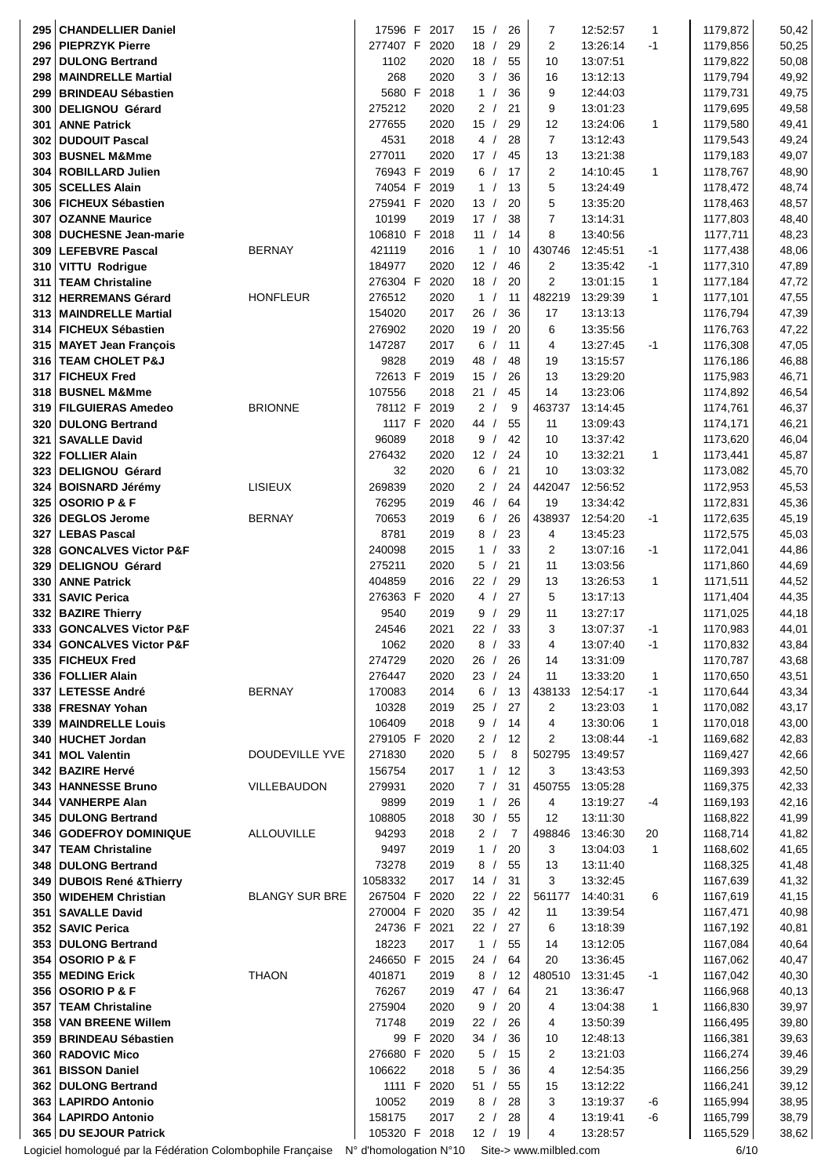| 295 | <b>CHANDELLIER Daniel</b>                                                          |                       | 17596 F       | 2017 | 15/                      | 26 | 7                      | 12:52:57 | 1            | 1179,872 | 50,42 |
|-----|------------------------------------------------------------------------------------|-----------------------|---------------|------|--------------------------|----|------------------------|----------|--------------|----------|-------|
|     | 296   PIEPRZYK Pierre                                                              |                       | 277407 F      | 2020 | 18/                      | 29 | 2                      | 13:26:14 | $-1$         | 1179,856 | 50,25 |
| 297 | <b>DULONG Bertrand</b>                                                             |                       | 1102          | 2020 | 18/                      | 55 | 10                     | 13:07:51 |              | 1179,822 | 50,08 |
| 298 | <b>MAINDRELLE Martial</b>                                                          |                       | 268           | 2020 | 3/                       | 36 | 16                     | 13:12:13 |              | 1179,794 | 49,92 |
| 299 | <b>BRINDEAU Sébastien</b>                                                          |                       | 5680 F        | 2018 | 1 /                      | 36 | 9                      | 12:44:03 |              | 1179,731 | 49,75 |
| 300 | <b>DELIGNOU Gérard</b>                                                             |                       | 275212        | 2020 | 2/                       | 21 | 9                      | 13:01:23 |              | 1179,695 | 49,58 |
|     |                                                                                    |                       |               |      | 15/                      |    |                        |          |              |          |       |
| 301 | <b>ANNE Patrick</b>                                                                |                       | 277655        | 2020 |                          | 29 | 12                     | 13:24:06 | $\mathbf{1}$ | 1179,580 | 49,41 |
| 302 | <b>DUDOUIT Pascal</b>                                                              |                       | 4531          | 2018 | 4/                       | 28 | $\overline{7}$         | 13:12:43 |              | 1179,543 | 49,24 |
|     | 303 BUSNEL M&Mme                                                                   |                       | 277011        | 2020 | 17/                      | 45 | 13                     | 13:21:38 |              | 1179,183 | 49,07 |
| 304 | <b>ROBILLARD Julien</b>                                                            |                       | 76943 F       | 2019 | 6/                       | 17 | 2                      | 14:10:45 | $\mathbf{1}$ | 1178,767 | 48,90 |
|     | 305   SCELLES Alain                                                                |                       | 74054 F       | 2019 | 1/                       | 13 | 5                      | 13:24:49 |              | 1178,472 | 48,74 |
|     | 306   FICHEUX Sébastien                                                            |                       | 275941 F      | 2020 | 13/                      | 20 | 5                      | 13:35:20 |              | 1178,463 | 48,57 |
| 307 | <b>OZANNE Maurice</b>                                                              |                       | 10199         | 2019 | 17/                      | 38 | $\overline{7}$         | 13:14:31 |              | 1177,803 | 48,40 |
| 308 | <b>DUCHESNE Jean-marie</b>                                                         |                       | 106810 F      | 2018 | 11/                      | 14 | 8                      | 13:40:56 |              | 1177,711 | 48,23 |
| 309 | <b>LEFEBVRE Pascal</b>                                                             | <b>BERNAY</b>         | 421119        | 2016 | 1/                       | 10 | 430746                 | 12:45:51 | -1           | 1177,438 | 48,06 |
| 310 | <b>VITTU Rodrigue</b>                                                              |                       | 184977        | 2020 | 12/                      | 46 | $\overline{c}$         | 13:35:42 | -1           | 1177,310 | 47,89 |
| 311 | <b>TEAM Christaline</b>                                                            |                       | 276304 F      | 2020 | 18/                      | 20 | $\overline{2}$         | 13:01:15 | 1            | 1177,184 | 47,72 |
| 312 | <b>HERREMANS Gérard</b>                                                            | <b>HONFLEUR</b>       | 276512        | 2020 | 1/                       | 11 | 482219                 | 13:29:39 | 1            | 1177,101 | 47,55 |
| 313 | <b>MAINDRELLE Martial</b>                                                          |                       | 154020        | 2017 | 26/                      | 36 | 17                     | 13:13:13 |              | 1176,794 | 47,39 |
| 314 | <b>FICHEUX Sébastien</b>                                                           |                       | 276902        | 2020 | 19/                      | 20 | 6                      | 13:35:56 |              | 1176,763 | 47,22 |
| 315 | <b>MAYET Jean François</b>                                                         |                       | 147287        | 2017 | 6/                       | 11 | 4                      | 13:27:45 | $-1$         | 1176,308 | 47,05 |
| 316 | <b>TEAM CHOLET P&amp;J</b>                                                         |                       | 9828          | 2019 | 48 /                     | 48 | 19                     | 13:15:57 |              | 1176,186 | 46,88 |
| 317 | <b>FICHEUX Fred</b>                                                                |                       | 72613 F       | 2019 | 15/                      | 26 | 13                     | 13:29:20 |              | 1175,983 | 46,71 |
|     |                                                                                    |                       |               |      |                          |    |                        |          |              |          |       |
| 318 | <b>BUSNEL M&amp;Mme</b>                                                            |                       | 107556        | 2018 | 21/                      | 45 | 14                     | 13:23:06 |              | 1174,892 | 46,54 |
| 319 | <b>FILGUIERAS Amedeo</b>                                                           | <b>BRIONNE</b>        | 78112 F       | 2019 | 2/                       | 9  | 463737                 | 13:14:45 |              | 1174,761 | 46,37 |
|     | 320 DULONG Bertrand                                                                |                       | 1117 F        | 2020 | 44 /                     | 55 | 11                     | 13:09:43 |              | 1174,171 | 46,21 |
| 321 | <b>SAVALLE David</b>                                                               |                       | 96089         | 2018 | 9/                       | 42 | 10                     | 13:37:42 |              | 1173,620 | 46,04 |
|     | 322   FOLLIER Alain                                                                |                       | 276432        | 2020 | 12/                      | 24 | 10                     | 13:32:21 | 1            | 1173,441 | 45,87 |
| 323 | <b>DELIGNOU Gérard</b>                                                             |                       | 32            | 2020 | 6/                       | 21 | 10                     | 13:03:32 |              | 1173,082 | 45,70 |
| 324 | <b>BOISNARD Jérémy</b>                                                             | LISIEUX               | 269839        | 2020 | 2/                       | 24 | 442047                 | 12:56:52 |              | 1172,953 | 45,53 |
| 325 | <b>OSORIO P &amp; F</b>                                                            |                       | 76295         | 2019 | 46<br>$\prime$           | 64 | 19                     | 13:34:42 |              | 1172,831 | 45,36 |
| 326 | <b>DEGLOS Jerome</b>                                                               | <b>BERNAY</b>         | 70653         | 2019 | 6/                       | 26 | 438937                 | 12:54:20 | $-1$         | 1172,635 | 45,19 |
| 327 | <b>LEBAS Pascal</b>                                                                |                       | 8781          | 2019 | 8<br>$\sqrt{ }$          | 23 | 4                      | 13:45:23 |              | 1172,575 | 45,03 |
| 328 | <b>GONCALVES Victor P&amp;F</b>                                                    |                       | 240098        | 2015 | $\mathbf{1}$             | 33 | 2                      | 13:07:16 | -1           | 1172,041 | 44,86 |
| 329 | <b>DELIGNOU Gérard</b>                                                             |                       | 275211        | 2020 | 5<br>$\prime$            | 21 | 11                     | 13:03:56 |              | 1171,860 | 44,69 |
| 330 | <b>ANNE Patrick</b>                                                                |                       | 404859        | 2016 | 22/                      | 29 | 13                     | 13:26:53 | 1            | 1171,511 | 44,52 |
| 331 | <b>SAVIC Perica</b>                                                                |                       | 276363 F      | 2020 | 4<br>$\prime$            | 27 | 5                      | 13:17:13 |              | 1171,404 | 44,35 |
| 332 | <b>BAZIRE Thierry</b>                                                              |                       | 9540          | 2019 | 9                        | 29 | 11                     | 13:27:17 |              | 1171,025 | 44,18 |
| 333 | <b>GONCALVES Victor P&amp;F</b>                                                    |                       | 24546         | 2021 | 22/                      | 33 | 3                      | 13:07:37 | $-1$         | 1170,983 |       |
|     |                                                                                    |                       |               |      |                          |    |                        |          |              |          | 44,01 |
| 334 | <b>GONCALVES Victor P&amp;F</b>                                                    |                       | 1062          | 2020 | 8/                       | 33 | 4                      | 13:07:40 | $-1$         | 1170,832 | 43,84 |
| 335 | <b>FICHEUX Fred</b>                                                                |                       | 274729        | 2020 | 26/                      | 26 | 14                     | 13:31:09 |              | 1170,787 | 43,68 |
|     | 336   FOLLIER Alain                                                                |                       | 276447        | 2020 | 23/                      | 24 | 11                     | 13:33:20 | 1            | 1170,650 | 43,51 |
| 337 | <b>LETESSE André</b>                                                               | <b>BERNAY</b>         | 170083        | 2014 | 6/                       | 13 | 438133                 | 12:54:17 | -1           | 1170,644 | 43,34 |
|     | 338 FRESNAY Yohan                                                                  |                       | 10328         | 2019 | 25/                      | 27 | 2                      | 13:23:03 | 1            | 1170,082 | 43,17 |
| 339 | <b>MAINDRELLE Louis</b>                                                            |                       | 106409        | 2018 | 9/                       | 14 | 4                      | 13:30:06 | 1            | 1170,018 | 43,00 |
|     | 340 HUCHET Jordan                                                                  |                       | 279105 F      | 2020 | 2/                       | 12 | 2                      | 13:08:44 | $-1$         | 1169,682 | 42,83 |
| 341 | <b>MOL Valentin</b>                                                                | DOUDEVILLE YVE        | 271830        | 2020 | 5/                       | 8  | 502795                 | 13:49:57 |              | 1169,427 | 42,66 |
| 342 | <b>BAZIRE Hervé</b>                                                                |                       | 156754        | 2017 | 1 /                      | 12 | 3                      | 13:43:53 |              | 1169,393 | 42,50 |
| 343 | <b>HANNESSE Bruno</b>                                                              | VILLEBAUDON           | 279931        | 2020 | 7/                       | 31 | 450755                 | 13:05:28 |              | 1169,375 | 42,33 |
| 344 | <b>VANHERPE Alan</b>                                                               |                       | 9899          | 2019 | 1/                       | 26 | 4                      | 13:19:27 | $-4$         | 1169,193 | 42,16 |
|     | 345   DULONG Bertrand                                                              |                       | 108805        | 2018 | 30/                      | 55 | 12                     | 13:11:30 |              | 1168,822 | 41,99 |
|     | 346   GODEFROY DOMINIQUE                                                           | ALLOUVILLE            | 94293         | 2018 | 2/                       | 7  | 498846                 | 13:46:30 | 20           | 1168,714 | 41,82 |
|     | 347   TEAM Christaline                                                             |                       | 9497          | 2019 | 1/                       | 20 | 3                      | 13:04:03 | 1            | 1168,602 | 41,65 |
|     | 348 DULONG Bertrand                                                                |                       | 73278         | 2019 | 8/                       | 55 | 13                     | 13:11:40 |              | 1168,325 | 41,48 |
|     | 349 DUBOIS René & Thierry                                                          |                       | 1058332       | 2017 | 14/                      | 31 | 3                      | 13:32:45 |              | 1167,639 | 41,32 |
| 350 | <b>WIDEHEM Christian</b>                                                           | <b>BLANGY SUR BRE</b> | 267504 F      | 2020 | 22/                      | 22 | 561177                 | 14:40:31 | 6            | 1167,619 | 41,15 |
| 351 | <b>SAVALLE David</b>                                                               |                       | 270004 F      | 2020 | 35/                      | 42 | 11                     | 13:39:54 |              | 1167,471 | 40,98 |
| 352 | <b>SAVIC Perica</b>                                                                |                       | 24736 F       | 2021 | 22/                      | 27 | 6                      | 13:18:39 |              | 1167,192 | 40,81 |
| 353 | <b>DULONG Bertrand</b>                                                             |                       | 18223         | 2017 | $\mathbf{1}$<br>$\prime$ | 55 | 14                     | 13:12:05 |              | 1167,084 | 40,64 |
| 354 | <b>OSORIO P &amp; F</b>                                                            |                       | 246650 F      | 2015 | 24/                      | 64 | 20                     | 13:36:45 |              | 1167,062 | 40,47 |
| 355 | <b>MEDING Erick</b>                                                                | <b>THAON</b>          | 401871        | 2019 | 8/                       | 12 | 480510                 | 13:31:45 | $-1$         | 1167,042 | 40,30 |
|     | 356   OSORIO P & F                                                                 |                       | 76267         | 2019 | 47 /                     | 64 | 21                     | 13:36:47 |              | 1166,968 | 40,13 |
|     | <b>TEAM Christaline</b>                                                            |                       | 275904        | 2020 | 9/                       | 20 | 4                      |          |              | 1166,830 |       |
| 357 |                                                                                    |                       |               |      |                          |    |                        | 13:04:38 | 1            |          | 39,97 |
| 358 | <b>VAN BREENE Willem</b>                                                           |                       | 71748         | 2019 | 22/                      | 26 | 4                      | 13:50:39 |              | 1166,495 | 39,80 |
|     | 359 BRINDEAU Sébastien                                                             |                       | 99 F          | 2020 | 34/                      | 36 | 10                     | 12:48:13 |              | 1166,381 | 39,63 |
| 360 | <b>RADOVIC Mico</b>                                                                |                       | 276680 F      | 2020 | 5/                       | 15 | 2                      | 13:21:03 |              | 1166,274 | 39,46 |
| 361 | <b>BISSON Daniel</b>                                                               |                       | 106622        | 2018 | 5/                       | 36 | 4                      | 12:54:35 |              | 1166,256 | 39,29 |
|     | 362 DULONG Bertrand                                                                |                       | 1111 F        | 2020 | 51<br>$\prime$           | 55 | 15                     | 13:12:22 |              | 1166,241 | 39,12 |
|     | 363   LAPIRDO Antonio                                                              |                       | 10052         | 2019 | 8/                       | 28 | 3                      | 13:19:37 | -6           | 1165,994 | 38,95 |
|     | 364   LAPIRDO Antonio                                                              |                       | 158175        | 2017 | 2/                       | 28 | 4                      | 13:19:41 | -6           | 1165,799 | 38,79 |
|     | 365 DU SEJOUR Patrick                                                              |                       | 105320 F 2018 |      | 12/                      | 19 | 4                      | 13:28:57 |              | 1165,529 | 38,62 |
|     | Logiciel homologué par la Fédération Colombophile Française N° d'homologation N°10 |                       |               |      |                          |    | Site-> www.milbled.com |          |              | 6/10     |       |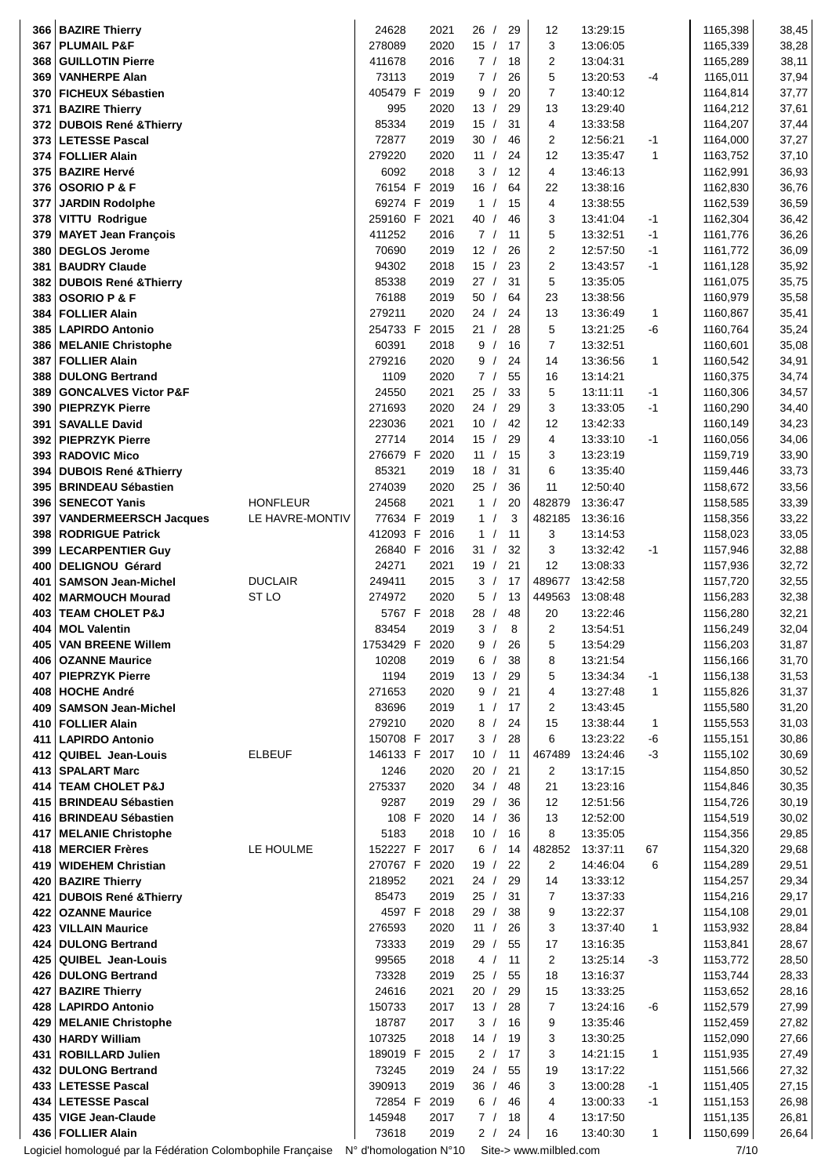|            | 366   BAZIRE Thierry                                        |                  | 24628                  | 2021         | 26 /                     |    | 29       | 12                     | 13:29:15             |              | 1165,398             | 38,45          |
|------------|-------------------------------------------------------------|------------------|------------------------|--------------|--------------------------|----|----------|------------------------|----------------------|--------------|----------------------|----------------|
| 367        | <b>PLUMAIL P&amp;F</b>                                      |                  | 278089                 | 2020         | 15/                      | 17 |          | 3                      | 13:06:05             |              | 1165,339             | 38,28          |
| 368        | <b>GUILLOTIN Pierre</b>                                     |                  | 411678                 | 2016         | 7/                       | 18 |          | $\overline{2}$         | 13:04:31             |              | 1165,289             | 38,11          |
| 369        | <b>VANHERPE Alan</b>                                        |                  | 73113                  | 2019         | 7/                       |    | 26       | 5                      | 13:20:53             | -4           | 1165,011             | 37,94          |
| 370        | <b>FICHEUX Sébastien</b>                                    |                  | 405479 F               | 2019         | 9/                       |    | 20       | $\overline{7}$         | 13:40:12             |              | 1164,814             | 37,77          |
| 371        | <b>BAZIRE Thierry</b>                                       |                  | 995                    | 2020         | 13/                      | 29 |          | 13                     | 13:29:40             |              | 1164,212             | 37,61          |
| 372        | <b>DUBOIS René &amp; Thierry</b>                            |                  | 85334                  | 2019         | 15/                      | 31 |          | 4                      | 13:33:58             |              | 1164,207             | 37,44          |
| 373        | <b>LETESSE Pascal</b>                                       |                  | 72877                  | 2019         | 30/                      |    | 46       | 2                      | 12:56:21             | $-1$         | 1164,000             | 37,27          |
|            | 374   FOLLIER Alain                                         |                  | 279220                 | 2020         | 11/                      |    | 24       | 12                     | 13:35:47             | $\mathbf{1}$ | 1163,752             | 37,10          |
|            | 375   BAZIRE Hervé                                          |                  | 6092                   | 2018         | 3/                       | 12 |          | 4                      | 13:46:13             |              | 1162,991             | 36,93          |
| 376        | <b>OSORIO P &amp; F</b>                                     |                  | 76154 F                | 2019         | 16/                      |    | 64       | 22                     | 13:38:16             |              | 1162,830             | 36,76          |
| 377        | <b>JARDIN Rodolphe</b>                                      |                  | 69274 F                | 2019         | $\mathbf{1}$<br>$\prime$ | 15 |          | 4                      | 13:38:55             |              | 1162,539             | 36,59          |
| 378        | VITTU Rodrigue                                              |                  | 259160 F               | 2021         | 40<br>$\prime$           |    | 46       | 3                      | 13:41:04             | $-1$         | 1162,304             | 36,42          |
| 379        | <b>MAYET Jean François</b>                                  |                  | 411252                 | 2016         | 7/                       | 11 |          | 5                      | 13:32:51             | -1           | 1161,776             | 36,26          |
| 380        | <b>DEGLOS Jerome</b>                                        |                  | 70690                  | 2019         | 12/                      | 26 |          | $\overline{2}$         | 12:57:50             | $-1$         | 1161,772             | 36,09          |
| 381        | <b>BAUDRY Claude</b>                                        |                  | 94302                  | 2018         | 15/                      | 23 |          | $\overline{2}$<br>5    | 13:43:57             | $-1$         | 1161,128             | 35,92          |
| 382        | <b>DUBOIS René &amp; Thierry</b>                            |                  | 85338                  | 2019         | 27/<br>50                | 31 |          | 23                     | 13:35:05             |              | 1161,075             | 35,75          |
| 383        | <b>OSORIO P &amp; F</b>                                     |                  | 76188<br>279211        | 2019<br>2020 | $\prime$<br>24/          |    | 64<br>24 | 13                     | 13:38:56<br>13:36:49 | 1            | 1160,979<br>1160,867 | 35,58          |
| 384        | <b>FOLLIER Alain</b><br><b>LAPIRDO Antonio</b>              |                  | 254733 F               | 2015         | 21/                      | 28 |          | 5                      | 13:21:25             | $-6$         | 1160,764             | 35,41<br>35,24 |
| 385        | 386   MELANIE Christophe                                    |                  | 60391                  | 2018         | 9/                       |    | 16       | 7                      | 13:32:51             |              | 1160,601             | 35,08          |
| 387        | <b>FOLLIER Alain</b>                                        |                  | 279216                 | 2020         | 9/                       |    | 24       | 14                     | 13:36:56             | 1            | 1160,542             | 34,91          |
| 388        | <b>DULONG Bertrand</b>                                      |                  | 1109                   | 2020         | 7/                       |    | 55       | 16                     | 13:14:21             |              | 1160,375             | 34,74          |
| 389        | <b>GONCALVES Victor P&amp;F</b>                             |                  | 24550                  | 2021         | 25/                      |    | 33       | 5                      | 13:11:11             | -1           | 1160,306             | 34,57          |
| 390        | <b>PIEPRZYK Pierre</b>                                      |                  | 271693                 | 2020         | 24/                      | 29 |          | 3                      | 13:33:05             | $-1$         | 1160,290             | 34,40          |
| 391        | <b>SAVALLE David</b>                                        |                  | 223036                 | 2021         | 10/                      |    | 42       | 12                     | 13:42:33             |              | 1160,149             | 34,23          |
|            | 392 PIEPRZYK Pierre                                         |                  | 27714                  | 2014         | 15/                      | 29 |          | 4                      | 13:33:10             | $-1$         | 1160,056             | 34,06          |
|            | 393   RADOVIC Mico                                          |                  | 276679 F               | 2020         | 11/                      | 15 |          | 3                      | 13:23:19             |              | 1159,719             | 33,90          |
| 394        | <b>DUBOIS René &amp; Thierry</b>                            |                  | 85321                  | 2019         | 18/                      | 31 |          | 6                      | 13:35:40             |              | 1159,446             | 33,73          |
| 395        | <b>BRINDEAU Sébastien</b>                                   |                  | 274039                 | 2020         | 25/                      |    | 36       | 11                     | 12:50:40             |              | 1158,672             | 33,56          |
| 396        | <b>SENECOT Yanis</b>                                        | <b>HONFLEUR</b>  | 24568                  | 2021         | 1/                       | 20 |          | 482879                 | 13:36:47             |              | 1158,585             | 33,39          |
| 397        | <b>VANDERMEERSCH Jacques</b>                                | LE HAVRE-MONTIV  | 77634 F                | 2019         | 1/                       |    | 3        | 482185                 | 13:36:16             |              | 1158,356             | 33,22          |
| 398        | <b>RODRIGUE Patrick</b>                                     |                  | 412093 F               | 2016         | 1/                       | 11 |          | 3                      | 13:14:53             |              | 1158,023             | 33,05          |
| 399        | <b>LECARPENTIER Guy</b>                                     |                  | 26840 F                | 2016         | 31<br>$\prime$           |    | 32       | 3                      | 13:32:42             | -1           | 1157,946             | 32,88          |
| 400        | <b>DELIGNOU Gérard</b>                                      |                  | 24271                  | 2021         | 19/                      | 21 |          | 12                     | 13:08:33             |              | 1157,936             | 32,72          |
| 401        | <b>SAMSON Jean-Michel</b>                                   | <b>DUCLAIR</b>   | 249411                 | 2015         | 3<br>$\sqrt{2}$          | 17 |          | 489677                 | 13:42:58             |              | 1157,720             | 32,55          |
| 402        | <b>MARMOUCH Mourad</b>                                      | ST <sub>LO</sub> | 274972                 | 2020         | 5/                       | 13 |          | 449563                 | 13:08:48             |              | 1156,283             | 32,38          |
| 403        | <b>TEAM CHOLET P&amp;J</b>                                  |                  | 5767 F                 | 2018         | 28 /                     | 48 |          | 20                     | 13:22:46             |              | 1156,280             | 32,21          |
| 404        | <b>MOL Valentin</b>                                         |                  | 83454                  | 2019         | 3/                       |    | 8        | 2                      | 13:54:51             |              | 1156,249             | 32,04          |
| 405        | <b>VAN BREENE Willem</b>                                    |                  | 1753429 F              | 2020         | 9                        | 26 |          | 5                      | 13:54:29             |              | 1156,203             | 31,87          |
| 406        | <b>OZANNE Maurice</b>                                       |                  | 10208                  | 2019         | 6/                       |    | 38       | 8                      | 13:21:54             |              | 1156,166             | 31,70          |
| 407        | <b>PIEPRZYK Pierre</b>                                      |                  | 1194                   | 2019         | 13/                      | 29 |          | 5                      | 13:34:34             | $-1$         | 1156,138             | 31,53          |
| 408        | <b>HOCHE André</b>                                          |                  | 271653                 | 2020         | 9<br>$\sqrt{ }$          | 21 |          | 4                      | 13:27:48             | 1            | 1155,826             | 31,37          |
| 409        | <b>SAMSON Jean-Michel</b>                                   |                  | 83696                  | 2019         | $\mathbf{1}$             | 17 |          | 2                      | 13:43:45             |              | 1155,580             | 31,20          |
| 410        | <b>FOLLIER Alain</b>                                        |                  | 279210                 | 2020         | 8/                       |    | 24       | 15                     | 13:38:44             | 1            | 1155,553             | 31,03          |
| 411        | <b>LAPIRDO Antonio</b>                                      |                  | 150708 F               | 2017         | 3/                       | 28 |          | 6                      | 13:23:22             | -6           | 1155,151             | 30,86          |
| 412        | <b>QUIBEL Jean-Louis</b>                                    | <b>ELBEUF</b>    | 146133 F               | 2017         | 10/                      | 11 |          | 467489                 | 13:24:46             | $-3$         | 1155,102             | 30,69          |
| 413        | <b>SPALART Marc</b>                                         |                  | 1246                   | 2020         | 20/                      | 21 |          | $\overline{2}$         | 13:17:15             |              | 1154,850             | 30,52          |
| 414        | <b>TEAM CHOLET P&amp;J</b>                                  |                  | 275337                 | 2020         | 34 /                     |    | 48       | 21                     | 13:23:16             |              | 1154,846             | 30,35          |
| 415        | <b>BRINDEAU Sébastien</b>                                   |                  | 9287                   | 2019         | 29/                      |    | 36       | 12                     | 12:51:56             |              | 1154,726             | 30,19          |
|            | 416 BRINDEAU Sébastien                                      |                  | 108 F                  | 2020         | 14/                      |    | 36       | 13                     | 12:52:00             |              | 1154,519             | 30,02          |
| 417        | <b>MELANIE Christophe</b>                                   |                  | 5183                   | 2018         | 10/                      | 16 |          | 8                      | 13:35:05             |              | 1154,356             | 29,85          |
| 418        | <b>MERCIER Frères</b>                                       | LE HOULME        | 152227 F               | 2017         | 6/                       | 14 |          | 482852                 | 13:37:11             | 67           | 1154,320             | 29,68          |
| 419        | <b>WIDEHEM Christian</b>                                    |                  | 270767 F<br>218952     | 2020<br>2021 | 19/<br>24 /              | 29 | 22       | $\overline{c}$<br>14   | 14:46:04             | 6            | 1154,289<br>1154,257 | 29,51          |
| 420<br>421 | <b>BAZIRE Thierry</b><br><b>DUBOIS René &amp; Thierry</b>   |                  | 85473                  | 2019         | 25/                      | 31 |          | 7                      | 13:33:12<br>13:37:33 |              | 1154,216             | 29,34<br>29,17 |
| 422        | <b>OZANNE Maurice</b>                                       |                  | 4597 F                 | 2018         | 29 /                     | 38 |          | 9                      | 13:22:37             |              | 1154,108             | 29,01          |
| 423        | <b>VILLAIN Maurice</b>                                      |                  | 276593                 | 2020         | 11/                      |    | 26       | 3                      | 13:37:40             | 1            | 1153,932             | 28,84          |
| 424        | <b>DULONG Bertrand</b>                                      |                  | 73333                  | 2019         | 29<br>$\sqrt{ }$         |    | 55       | 17                     | 13:16:35             |              | 1153,841             | 28,67          |
| 425        | <b>QUIBEL Jean-Louis</b>                                    |                  | 99565                  | 2018         | 4/                       | 11 |          | $\overline{c}$         | 13:25:14             | $-3$         | 1153,772             | 28,50          |
|            | 426 DULONG Bertrand                                         |                  | 73328                  | 2019         | 25/                      | 55 |          | 18                     | 13:16:37             |              | 1153,744             | 28,33          |
| 427        | <b>BAZIRE Thierry</b>                                       |                  | 24616                  | 2021         | 20/                      | 29 |          | 15                     | 13:33:25             |              | 1153,652             | 28,16          |
|            | 428   LAPIRDO Antonio                                       |                  | 150733                 | 2017         | 13/                      | 28 |          | 7                      | 13:24:16             | -6           | 1152,579             | 27,99          |
| 429        | <b>MELANIE Christophe</b>                                   |                  | 18787                  | 2017         | 3/                       | 16 |          | 9                      | 13:35:46             |              | 1152,459             | 27,82          |
| 430        | <b>HARDY William</b>                                        |                  | 107325                 | 2018         | 14 /                     | 19 |          | 3                      | 13:30:25             |              | 1152,090             | 27,66          |
| 431        | <b>ROBILLARD Julien</b>                                     |                  | 189019 F               | 2015         | 2/                       | 17 |          | 3                      | 14:21:15             | $\mathbf{1}$ | 1151,935             | 27,49          |
| 432        | <b>DULONG Bertrand</b>                                      |                  | 73245                  | 2019         | 24/                      |    | 55       | 19                     | 13:17:22             |              | 1151,566             | 27,32          |
|            | 433 LETESSE Pascal                                          |                  | 390913                 | 2019         | 36/                      |    | 46       | 3                      | 13:00:28             | $-1$         | 1151,405             | 27,15          |
|            | 434 LETESSE Pascal                                          |                  | 72854 F                | 2019         | 6/                       |    | 46       | 4                      | 13:00:33             | $-1$         | 1151,153             | 26,98          |
|            | 435 VIGE Jean-Claude                                        |                  | 145948                 | 2017         | 7/                       | 18 |          | 4                      | 13:17:50             |              | 1151,135             | 26,81          |
|            | 436 FOLLIER Alain                                           |                  | 73618                  | 2019         | 2/                       |    | 24       | 16                     | 13:40:30             | 1            | 1150,699             | 26,64          |
|            | Logiciel homologué par la Fédération Colombophile Française |                  | N° d'homologation N°10 |              |                          |    |          | Site-> www.milbled.com |                      |              | 7/10                 |                |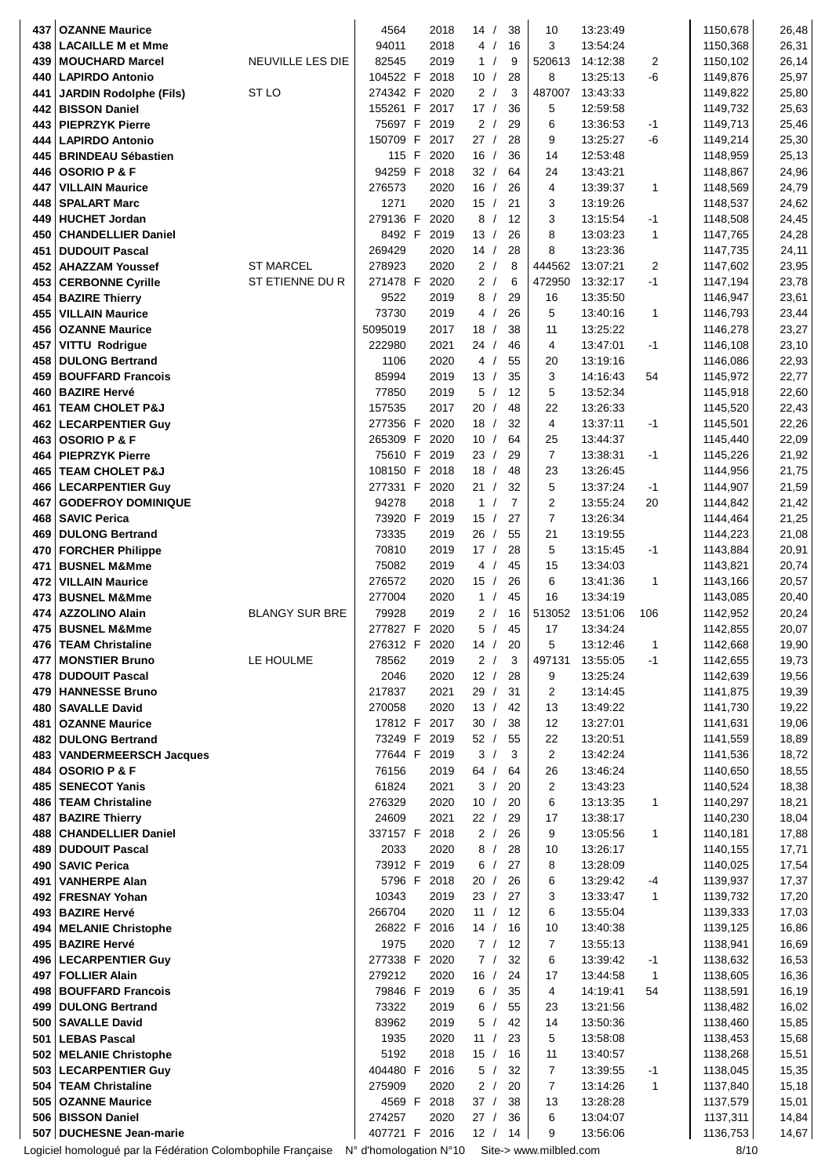| 3<br>438<br><b>LACAILLE M et Mme</b><br>94011<br>2018<br>4/<br>16<br>13:54:24<br>1150,368<br>26,31<br>82545<br>2019<br>26,14<br><b>MOUCHARD Marcel</b><br>NEUVILLE LES DIE<br>1/<br>9<br>520613<br>14:12:38<br>2<br>1150,102<br>439<br>-6<br>25,97<br>104522 F<br>2018<br>10/<br>28<br>8<br>13:25:13<br>440<br><b>LAPIRDO Antonio</b><br>1149,876<br>ST <sub>LO</sub><br>274342 F<br>2/<br>3<br>487007<br>2020<br>13:43:33<br>1149,822<br>25,80<br><b>JARDIN Rodolphe (Fils)</b><br>441<br>155261 F<br>2017<br>17/<br>36<br>5<br>12:59:58<br>1149,732<br>25,63<br>442<br><b>BISSON Daniel</b><br>6<br>75697 F<br>2/<br>29<br>443 PIEPRZYK Pierre<br>2019<br>13:36:53<br>$-1$<br>1149,713<br>25,46<br>150709 F<br>$-6$<br>2017<br>27 /<br>28<br>9<br>13:25:27<br>1149,214<br>25,30<br>444<br><b>LAPIRDO Antonio</b><br>115 F<br>36<br>25,13<br>2020<br>16/<br>14<br>12:53:48<br>1148,959<br>445<br><b>BRINDEAU Sébastien</b><br><b>OSORIO P &amp; F</b><br>446<br>94259 F<br>2018<br>32/<br>64<br>24<br>13:43:21<br>1148,867<br>24,96<br>276573<br>2020<br>16/<br>$\overline{4}$<br>13:39:37<br>1<br>24,79<br>447<br><b>VILLAIN Maurice</b><br>26<br>1148,569<br>1271<br>2020<br>24,62<br>448<br><b>SPALART Marc</b><br>15/<br>21<br>3<br>13:19:26<br>1148,537<br>279136 F<br>2020<br>8<br>3<br>24,45<br>449<br><b>HUCHET Jordan</b><br>12<br>$-1$<br>1148,508<br>$\sqrt{ }$<br>13:15:54<br>8<br><b>CHANDELLIER Daniel</b><br>8492 F 2019<br>13/<br>26<br>13:03:23<br>1<br>1147,765<br>24,28<br>450<br>269429<br>2020<br>14/<br>28<br>8<br>24,11<br><b>DUDOUIT Pascal</b><br>13:23:36<br>1147,735<br>451<br><b>ST MARCEL</b><br>278923<br>2/<br>2<br>2020<br>8<br>444562<br>13:07:21<br>1147,602<br>23,95<br>452   AHAZZAM Youssef<br>ST ETIENNE DU R<br>271478 F<br>2020<br>2/<br>6<br>$-1$<br>23,78<br>472950<br>13:32:17<br>1147,194<br>453<br><b>CERBONNE Cyrille</b><br>16<br>23,61<br>9522<br>2019<br>8/<br>29<br>13:35:50<br>1146,947<br>454<br><b>BAZIRE Thierry</b><br>73730<br>2019<br>5<br>1<br>26<br>13:40:16<br>1146,793<br>23,44<br>455<br><b>VILLAIN Maurice</b><br>4 /<br>2017<br>23,27<br>5095019<br>18/<br>38<br>11<br>13:25:22<br>1146,278<br>456<br><b>OZANNE Maurice</b><br>2021<br>457<br><b>VITTU Rodrigue</b><br>222980<br>24 /<br>4<br>13:47:01<br>23,10<br>46<br>-1<br>1146,108<br>2020<br>458<br><b>DULONG Bertrand</b><br>1106<br>4/<br>55<br>20<br>13:19:16<br>1146,086<br>22,93<br>3<br>459   BOUFFARD Francois<br>85994<br>2019<br>13/<br>35<br>14:16:43<br>54<br>1145,972<br>22,77<br>5<br>5<br>460   BAZIRE Hervé<br>77850<br>2019<br>12<br>13:52:34<br>1145,918<br>22,60<br>$\prime$<br>157535<br>2017<br>20<br>$\sqrt{2}$<br>48<br>22<br>13:26:33<br>1145,520<br>22,43<br>461<br><b>TEAM CHOLET P&amp;J</b><br>4<br>32<br>277356 F<br>2020<br>18/<br>13:37:11<br>$-1$<br>1145,501<br>22,26<br>462<br><b>LECARPENTIER Guy</b><br>22,09<br>265309 F<br>2020<br>10/<br>64<br>13:44:37<br>1145,440<br>463<br><b>OSORIO P &amp; F</b><br>25<br>$\overline{7}$<br>21,92<br>75610 F<br>2019<br>23/<br>29<br>13:38:31<br>$-1$<br>1145,226<br>464<br><b>PIEPRZYK Pierre</b><br>18/<br>21,75<br>108150 F<br>2018<br>48<br>23<br>13:26:45<br>465<br><b>TEAM CHOLET P&amp;J</b><br>1144,956<br>277331 F<br>5<br>2020<br>21/<br>32<br>13:37:24<br>1144,907<br>21,59<br>466<br><b>LECARPENTIER Guy</b><br>$-1$<br>94278<br>2018<br>$\overline{7}$<br>2<br>21,42<br>467<br><b>GODEFROY DOMINIQUE</b><br>$\mathbf{1}$<br>$\prime$<br>13:55:24<br>20<br>1144,842<br>$\overline{7}$<br>73920 F<br>2019<br>15/<br>27<br>468   SAVIC Perica<br>13:26:34<br>1144,464<br>21,25<br>2019<br>55<br>21<br>21,08<br>73335<br>26/<br>13:19:55<br>1144,223<br>469   DULONG Bertrand<br>70810<br>2019<br>17/<br>28<br>5<br>13:15:45<br>$-1$<br>1143,884<br>20,91<br><b>FORCHER Philippe</b><br>470<br>75082<br>2019<br>4/<br>45<br>15<br>13:34:03<br>1143,821<br>20,74<br>471<br><b>BUSNEL M&amp;Mme</b><br>276572<br>2020<br>6<br>1<br>20,57<br>15/<br>26<br>13:41:36<br>1143,166<br>472<br><b>VILLAIN Maurice</b><br>277004<br>2020<br>1/<br>45<br>16<br>13:34:19<br>1143,085<br>20,40<br>473<br><b>BUSNEL M&amp;Mme</b><br><b>BLANGY SUR BRE</b><br>2019<br>16<br><b>AZZOLINO Alain</b><br>79928<br>2/<br>513052<br>13:51:06<br>106<br>20,24<br>474<br>1142,952<br>475<br>277827 F<br>2020<br>5/<br>45<br>17<br>20,07<br><b>BUSNEL M&amp;Mme</b><br>13:34:24<br>1142,855<br>476   TEAM Christaline<br>5<br>13:12:46<br>1142,668<br>19,90<br>276312 F 2020<br>14/<br>20<br>1<br>2/<br>477<br><b>MONSTIER Bruno</b><br>LE HOULME<br>78562<br>2019<br>3<br>497131<br>13:55:05<br>$-1$<br>1142,655<br>19,73<br>478 DUDOUIT Pascal<br>2046<br>2020<br>12/<br>28<br>9<br>13:25:24<br>1142,639<br>19,56<br>217837<br>2021<br>29<br>31<br>2<br>1141,875<br>19,39<br>479   HANNESSE Bruno<br>$\sqrt{2}$<br>13:14:45<br>270058<br>2020<br>13/<br>1141,730<br>19,22<br>480 <br><b>SAVALLE David</b><br>42<br>13<br>13:49:22<br>19,06<br>17812 F 2017<br>30<br>38<br>12<br>13:27:01<br>481<br><b>OZANNE Maurice</b><br>1141,631<br>$\sqrt{ }$<br>73249 F<br>52/<br>55<br>22<br>18,89<br><b>DULONG Bertrand</b><br>2019<br>13:20:51<br>1141,559<br>482<br>3<br>$\overline{c}$<br>77644 F<br>2019<br>3<br>13:42:24<br>18,72<br>483<br>1141,536<br><b>VANDERMEERSCH Jacques</b><br>$\prime$<br>76156<br>64/<br>64<br>26<br>18,55<br>484   OSORIO P & F<br>2019<br>13:46:24<br>1140,650<br>$\overline{c}$<br>61824<br>2021<br>3<br>20<br>1140,524<br>18,38<br>485   SENECOT Yanis<br>$\sqrt{2}$<br>13:43:23<br>486   TEAM Christaline<br>276329<br>2020<br>10<br>20<br>6<br>1<br>1140,297<br>18,21<br>$\sqrt{2}$<br>13:13:35<br>487<br><b>BAZIRE Thierry</b><br>24609<br>2021<br>22/<br>29<br>17<br>1140,230<br>18,04<br>13:38:17<br>488 CHANDELLIER Daniel<br>337157 F 2018<br>2/<br>26<br>9<br>13:05:56<br>1<br>1140,181<br>17,88<br>489 DUDOUIT Pascal<br>2033<br>2020<br>13:26:17<br>17,71<br>8 /<br>28<br>10<br>1140,155<br>73912 F 2019<br>1140,025<br>17,54<br>490<br><b>SAVIC Perica</b><br>6/<br>27<br>8<br>13:28:09<br>5796 F 2018<br>20/<br>26<br>6<br>1139,937<br>17,37<br><b>VANHERPE Alan</b><br>13:29:42<br>-4<br>491<br>10343<br>2019<br>23/<br>27<br>3<br>1<br>1139,732<br>17,20<br>492 FRESNAY Yohan<br>13:33:47<br>6<br>266704<br>2020<br>11 /<br>12<br>1139,333<br>17,03<br>493   BAZIRE Hervé<br>13:55:04<br>26822 F 2016<br>14/<br>16<br>10<br>13:40:38<br>1139,125<br>16,86<br>494   MELANIE Christophe<br>1975<br>2020<br>7/<br>7<br>1138,941<br>16,69<br>495   BAZIRE Hervé<br>12<br>13:55:13<br>277338 F 2020<br>7/<br>32<br>6<br>1138,632<br>16,53<br>496   LECARPENTIER Guy<br>13:39:42<br>$-1$<br>16,36<br><b>FOLLIER Alain</b><br>279212<br>2020<br>16/<br>24<br>17<br>13:44:58<br>1138,605<br>497<br>1<br>498 BOUFFARD Francois<br>79846 F<br>2019<br>6/<br>35<br>4<br>14:19:41<br>54<br>1138,591<br>16,19<br>73322<br>2019<br>6/<br>55<br>16,02<br>499   DULONG Bertrand<br>23<br>13:21:56<br>1138,482<br>83962<br>2019<br>5<br>42<br>14<br>1138,460<br>15,85<br>500   SAVALLE David<br>13:50:36<br>$\sqrt{2}$<br>2020<br>23<br>5<br>15,68<br>501   LEBAS Pascal<br>1935<br>11<br>$\prime$<br>13:58:08<br>1138,453<br>5192<br>2018<br>15/<br>16<br>11<br>1138,268<br>15,51<br>502 MELANIE Christophe<br>13:40:57<br>404480 F<br>2016<br>5/<br>32<br>7<br>503   LECARPENTIER Guy<br>13:39:55<br>$-1$<br>1138,045<br>15,35<br>$\overline{7}$<br>504   TEAM Christaline<br>275909<br>2020<br>2/<br>20<br>1<br>1137,840<br>15,18<br>13:14:26<br>505   OZANNE Maurice<br>4569 F 2018<br>37/<br>38<br>13<br>13:28:28<br>1137,579<br>15,01<br>506 BISSON Daniel<br>6<br>2020<br>36<br>13:04:07<br>1137,311<br>14,84<br>274257<br>27 /<br>407721 F 2016<br>507 DUCHESNE Jean-marie<br>12/<br>14<br>9<br>13:56:06<br>1136,753<br>14,67<br>Logiciel homologué par la Fédération Colombophile Française<br>N° d'homologation N°10<br>Site-> www.milbled.com<br>8/10 | 437 | <b>OZANNE Maurice</b> | 4564 | 2018 | 14/ | 38 | 10 | 13:23:49 |  | 1150,678 | 26,48 |
|---------------------------------------------------------------------------------------------------------------------------------------------------------------------------------------------------------------------------------------------------------------------------------------------------------------------------------------------------------------------------------------------------------------------------------------------------------------------------------------------------------------------------------------------------------------------------------------------------------------------------------------------------------------------------------------------------------------------------------------------------------------------------------------------------------------------------------------------------------------------------------------------------------------------------------------------------------------------------------------------------------------------------------------------------------------------------------------------------------------------------------------------------------------------------------------------------------------------------------------------------------------------------------------------------------------------------------------------------------------------------------------------------------------------------------------------------------------------------------------------------------------------------------------------------------------------------------------------------------------------------------------------------------------------------------------------------------------------------------------------------------------------------------------------------------------------------------------------------------------------------------------------------------------------------------------------------------------------------------------------------------------------------------------------------------------------------------------------------------------------------------------------------------------------------------------------------------------------------------------------------------------------------------------------------------------------------------------------------------------------------------------------------------------------------------------------------------------------------------------------------------------------------------------------------------------------------------------------------------------------------------------------------------------------------------------------------------------------------------------------------------------------------------------------------------------------------------------------------------------------------------------------------------------------------------------------------------------------------------------------------------------------------------------------------------------------------------------------------------------------------------------------------------------------------------------------------------------------------------------------------------------------------------------------------------------------------------------------------------------------------------------------------------------------------------------------------------------------------------------------------------------------------------------------------------------------------------------------------------------------------------------------------------------------------------------------------------------------------------------------------------------------------------------------------------------------------------------------------------------------------------------------------------------------------------------------------------------------------------------------------------------------------------------------------------------------------------------------------------------------------------------------------------------------------------------------------------------------------------------------------------------------------------------------------------------------------------------------------------------------------------------------------------------------------------------------------------------------------------------------------------------------------------------------------------------------------------------------------------------------------------------------------------------------------------------------------------------------------------------------------------------------------------------------------------------------------------------------------------------------------------------------------------------------------------------------------------------------------------------------------------------------------------------------------------------------------------------------------------------------------------------------------------------------------------------------------------------------------------------------------------------------------------------------------------------------------------------------------------------------------------------------------------------------------------------------------------------------------------------------------------------------------------------------------------------------------------------------------------------------------------------------------------------------------------------------------------------------------------------------------------------------------------------------------------------------------------------------------------------------------------------------------------------------------------------------------------------------------------------------------------------------------------------------------------------------------------------------------------------------------------------------------------------------------------------------------------------------------------------------------------------------------------------------------------------------------------------------------------------------------------------------------------------------------------------------------------------------------------------------------------------------------------------------------------------------------------------------------------------------------------------------------------------------------------------------------------------------------------------------------------------------------------------------------------------------------------------------------------------------------------------------------------------------------------------------------------------------------------------------------------------------------------------------------------------------------------------------------------------------------------------------------------------------------------------------------------------------------------------------------------------------------------------------------------------------------------------------------------------------------------------------------------------------------------------------------------------------------------------------------------------------------------------------------------------------------------------------------------------------------------------------------------------------------------------------------------------------------------------------------------------------------------------------------------------------------------------------------------------------------------|-----|-----------------------|------|------|-----|----|----|----------|--|----------|-------|
|                                                                                                                                                                                                                                                                                                                                                                                                                                                                                                                                                                                                                                                                                                                                                                                                                                                                                                                                                                                                                                                                                                                                                                                                                                                                                                                                                                                                                                                                                                                                                                                                                                                                                                                                                                                                                                                                                                                                                                                                                                                                                                                                                                                                                                                                                                                                                                                                                                                                                                                                                                                                                                                                                                                                                                                                                                                                                                                                                                                                                                                                                                                                                                                                                                                                                                                                                                                                                                                                                                                                                                                                                                                                                                                                                                                                                                                                                                                                                                                                                                                                                                                                                                                                                                                                                                                                                                                                                                                                                                                                                                                                                                                                                                                                                                                                                                                                                                                                                                                                                                                                                                                                                                                                                                                                                                                                                                                                                                                                                                                                                                                                                                                                                                                                                                                                                                                                                                                                                                                                                                                                                                                                                                                                                                                                                                                                                                                                                                                                                                                                                                                                                                                                                                                                                                                                                                                                                                                                                                                                                                                                                                                                                                                                                                                                                                                                                                                                                                                                                                                                                                                                                                                                                                                                                                                                                                                                                 |     |                       |      |      |     |    |    |          |  |          |       |
|                                                                                                                                                                                                                                                                                                                                                                                                                                                                                                                                                                                                                                                                                                                                                                                                                                                                                                                                                                                                                                                                                                                                                                                                                                                                                                                                                                                                                                                                                                                                                                                                                                                                                                                                                                                                                                                                                                                                                                                                                                                                                                                                                                                                                                                                                                                                                                                                                                                                                                                                                                                                                                                                                                                                                                                                                                                                                                                                                                                                                                                                                                                                                                                                                                                                                                                                                                                                                                                                                                                                                                                                                                                                                                                                                                                                                                                                                                                                                                                                                                                                                                                                                                                                                                                                                                                                                                                                                                                                                                                                                                                                                                                                                                                                                                                                                                                                                                                                                                                                                                                                                                                                                                                                                                                                                                                                                                                                                                                                                                                                                                                                                                                                                                                                                                                                                                                                                                                                                                                                                                                                                                                                                                                                                                                                                                                                                                                                                                                                                                                                                                                                                                                                                                                                                                                                                                                                                                                                                                                                                                                                                                                                                                                                                                                                                                                                                                                                                                                                                                                                                                                                                                                                                                                                                                                                                                                                                 |     |                       |      |      |     |    |    |          |  |          |       |
|                                                                                                                                                                                                                                                                                                                                                                                                                                                                                                                                                                                                                                                                                                                                                                                                                                                                                                                                                                                                                                                                                                                                                                                                                                                                                                                                                                                                                                                                                                                                                                                                                                                                                                                                                                                                                                                                                                                                                                                                                                                                                                                                                                                                                                                                                                                                                                                                                                                                                                                                                                                                                                                                                                                                                                                                                                                                                                                                                                                                                                                                                                                                                                                                                                                                                                                                                                                                                                                                                                                                                                                                                                                                                                                                                                                                                                                                                                                                                                                                                                                                                                                                                                                                                                                                                                                                                                                                                                                                                                                                                                                                                                                                                                                                                                                                                                                                                                                                                                                                                                                                                                                                                                                                                                                                                                                                                                                                                                                                                                                                                                                                                                                                                                                                                                                                                                                                                                                                                                                                                                                                                                                                                                                                                                                                                                                                                                                                                                                                                                                                                                                                                                                                                                                                                                                                                                                                                                                                                                                                                                                                                                                                                                                                                                                                                                                                                                                                                                                                                                                                                                                                                                                                                                                                                                                                                                                                                 |     |                       |      |      |     |    |    |          |  |          |       |
|                                                                                                                                                                                                                                                                                                                                                                                                                                                                                                                                                                                                                                                                                                                                                                                                                                                                                                                                                                                                                                                                                                                                                                                                                                                                                                                                                                                                                                                                                                                                                                                                                                                                                                                                                                                                                                                                                                                                                                                                                                                                                                                                                                                                                                                                                                                                                                                                                                                                                                                                                                                                                                                                                                                                                                                                                                                                                                                                                                                                                                                                                                                                                                                                                                                                                                                                                                                                                                                                                                                                                                                                                                                                                                                                                                                                                                                                                                                                                                                                                                                                                                                                                                                                                                                                                                                                                                                                                                                                                                                                                                                                                                                                                                                                                                                                                                                                                                                                                                                                                                                                                                                                                                                                                                                                                                                                                                                                                                                                                                                                                                                                                                                                                                                                                                                                                                                                                                                                                                                                                                                                                                                                                                                                                                                                                                                                                                                                                                                                                                                                                                                                                                                                                                                                                                                                                                                                                                                                                                                                                                                                                                                                                                                                                                                                                                                                                                                                                                                                                                                                                                                                                                                                                                                                                                                                                                                                                 |     |                       |      |      |     |    |    |          |  |          |       |
|                                                                                                                                                                                                                                                                                                                                                                                                                                                                                                                                                                                                                                                                                                                                                                                                                                                                                                                                                                                                                                                                                                                                                                                                                                                                                                                                                                                                                                                                                                                                                                                                                                                                                                                                                                                                                                                                                                                                                                                                                                                                                                                                                                                                                                                                                                                                                                                                                                                                                                                                                                                                                                                                                                                                                                                                                                                                                                                                                                                                                                                                                                                                                                                                                                                                                                                                                                                                                                                                                                                                                                                                                                                                                                                                                                                                                                                                                                                                                                                                                                                                                                                                                                                                                                                                                                                                                                                                                                                                                                                                                                                                                                                                                                                                                                                                                                                                                                                                                                                                                                                                                                                                                                                                                                                                                                                                                                                                                                                                                                                                                                                                                                                                                                                                                                                                                                                                                                                                                                                                                                                                                                                                                                                                                                                                                                                                                                                                                                                                                                                                                                                                                                                                                                                                                                                                                                                                                                                                                                                                                                                                                                                                                                                                                                                                                                                                                                                                                                                                                                                                                                                                                                                                                                                                                                                                                                                                                 |     |                       |      |      |     |    |    |          |  |          |       |
|                                                                                                                                                                                                                                                                                                                                                                                                                                                                                                                                                                                                                                                                                                                                                                                                                                                                                                                                                                                                                                                                                                                                                                                                                                                                                                                                                                                                                                                                                                                                                                                                                                                                                                                                                                                                                                                                                                                                                                                                                                                                                                                                                                                                                                                                                                                                                                                                                                                                                                                                                                                                                                                                                                                                                                                                                                                                                                                                                                                                                                                                                                                                                                                                                                                                                                                                                                                                                                                                                                                                                                                                                                                                                                                                                                                                                                                                                                                                                                                                                                                                                                                                                                                                                                                                                                                                                                                                                                                                                                                                                                                                                                                                                                                                                                                                                                                                                                                                                                                                                                                                                                                                                                                                                                                                                                                                                                                                                                                                                                                                                                                                                                                                                                                                                                                                                                                                                                                                                                                                                                                                                                                                                                                                                                                                                                                                                                                                                                                                                                                                                                                                                                                                                                                                                                                                                                                                                                                                                                                                                                                                                                                                                                                                                                                                                                                                                                                                                                                                                                                                                                                                                                                                                                                                                                                                                                                                                 |     |                       |      |      |     |    |    |          |  |          |       |
|                                                                                                                                                                                                                                                                                                                                                                                                                                                                                                                                                                                                                                                                                                                                                                                                                                                                                                                                                                                                                                                                                                                                                                                                                                                                                                                                                                                                                                                                                                                                                                                                                                                                                                                                                                                                                                                                                                                                                                                                                                                                                                                                                                                                                                                                                                                                                                                                                                                                                                                                                                                                                                                                                                                                                                                                                                                                                                                                                                                                                                                                                                                                                                                                                                                                                                                                                                                                                                                                                                                                                                                                                                                                                                                                                                                                                                                                                                                                                                                                                                                                                                                                                                                                                                                                                                                                                                                                                                                                                                                                                                                                                                                                                                                                                                                                                                                                                                                                                                                                                                                                                                                                                                                                                                                                                                                                                                                                                                                                                                                                                                                                                                                                                                                                                                                                                                                                                                                                                                                                                                                                                                                                                                                                                                                                                                                                                                                                                                                                                                                                                                                                                                                                                                                                                                                                                                                                                                                                                                                                                                                                                                                                                                                                                                                                                                                                                                                                                                                                                                                                                                                                                                                                                                                                                                                                                                                                                 |     |                       |      |      |     |    |    |          |  |          |       |
|                                                                                                                                                                                                                                                                                                                                                                                                                                                                                                                                                                                                                                                                                                                                                                                                                                                                                                                                                                                                                                                                                                                                                                                                                                                                                                                                                                                                                                                                                                                                                                                                                                                                                                                                                                                                                                                                                                                                                                                                                                                                                                                                                                                                                                                                                                                                                                                                                                                                                                                                                                                                                                                                                                                                                                                                                                                                                                                                                                                                                                                                                                                                                                                                                                                                                                                                                                                                                                                                                                                                                                                                                                                                                                                                                                                                                                                                                                                                                                                                                                                                                                                                                                                                                                                                                                                                                                                                                                                                                                                                                                                                                                                                                                                                                                                                                                                                                                                                                                                                                                                                                                                                                                                                                                                                                                                                                                                                                                                                                                                                                                                                                                                                                                                                                                                                                                                                                                                                                                                                                                                                                                                                                                                                                                                                                                                                                                                                                                                                                                                                                                                                                                                                                                                                                                                                                                                                                                                                                                                                                                                                                                                                                                                                                                                                                                                                                                                                                                                                                                                                                                                                                                                                                                                                                                                                                                                                                 |     |                       |      |      |     |    |    |          |  |          |       |
|                                                                                                                                                                                                                                                                                                                                                                                                                                                                                                                                                                                                                                                                                                                                                                                                                                                                                                                                                                                                                                                                                                                                                                                                                                                                                                                                                                                                                                                                                                                                                                                                                                                                                                                                                                                                                                                                                                                                                                                                                                                                                                                                                                                                                                                                                                                                                                                                                                                                                                                                                                                                                                                                                                                                                                                                                                                                                                                                                                                                                                                                                                                                                                                                                                                                                                                                                                                                                                                                                                                                                                                                                                                                                                                                                                                                                                                                                                                                                                                                                                                                                                                                                                                                                                                                                                                                                                                                                                                                                                                                                                                                                                                                                                                                                                                                                                                                                                                                                                                                                                                                                                                                                                                                                                                                                                                                                                                                                                                                                                                                                                                                                                                                                                                                                                                                                                                                                                                                                                                                                                                                                                                                                                                                                                                                                                                                                                                                                                                                                                                                                                                                                                                                                                                                                                                                                                                                                                                                                                                                                                                                                                                                                                                                                                                                                                                                                                                                                                                                                                                                                                                                                                                                                                                                                                                                                                                                                 |     |                       |      |      |     |    |    |          |  |          |       |
|                                                                                                                                                                                                                                                                                                                                                                                                                                                                                                                                                                                                                                                                                                                                                                                                                                                                                                                                                                                                                                                                                                                                                                                                                                                                                                                                                                                                                                                                                                                                                                                                                                                                                                                                                                                                                                                                                                                                                                                                                                                                                                                                                                                                                                                                                                                                                                                                                                                                                                                                                                                                                                                                                                                                                                                                                                                                                                                                                                                                                                                                                                                                                                                                                                                                                                                                                                                                                                                                                                                                                                                                                                                                                                                                                                                                                                                                                                                                                                                                                                                                                                                                                                                                                                                                                                                                                                                                                                                                                                                                                                                                                                                                                                                                                                                                                                                                                                                                                                                                                                                                                                                                                                                                                                                                                                                                                                                                                                                                                                                                                                                                                                                                                                                                                                                                                                                                                                                                                                                                                                                                                                                                                                                                                                                                                                                                                                                                                                                                                                                                                                                                                                                                                                                                                                                                                                                                                                                                                                                                                                                                                                                                                                                                                                                                                                                                                                                                                                                                                                                                                                                                                                                                                                                                                                                                                                                                                 |     |                       |      |      |     |    |    |          |  |          |       |
|                                                                                                                                                                                                                                                                                                                                                                                                                                                                                                                                                                                                                                                                                                                                                                                                                                                                                                                                                                                                                                                                                                                                                                                                                                                                                                                                                                                                                                                                                                                                                                                                                                                                                                                                                                                                                                                                                                                                                                                                                                                                                                                                                                                                                                                                                                                                                                                                                                                                                                                                                                                                                                                                                                                                                                                                                                                                                                                                                                                                                                                                                                                                                                                                                                                                                                                                                                                                                                                                                                                                                                                                                                                                                                                                                                                                                                                                                                                                                                                                                                                                                                                                                                                                                                                                                                                                                                                                                                                                                                                                                                                                                                                                                                                                                                                                                                                                                                                                                                                                                                                                                                                                                                                                                                                                                                                                                                                                                                                                                                                                                                                                                                                                                                                                                                                                                                                                                                                                                                                                                                                                                                                                                                                                                                                                                                                                                                                                                                                                                                                                                                                                                                                                                                                                                                                                                                                                                                                                                                                                                                                                                                                                                                                                                                                                                                                                                                                                                                                                                                                                                                                                                                                                                                                                                                                                                                                                                 |     |                       |      |      |     |    |    |          |  |          |       |
|                                                                                                                                                                                                                                                                                                                                                                                                                                                                                                                                                                                                                                                                                                                                                                                                                                                                                                                                                                                                                                                                                                                                                                                                                                                                                                                                                                                                                                                                                                                                                                                                                                                                                                                                                                                                                                                                                                                                                                                                                                                                                                                                                                                                                                                                                                                                                                                                                                                                                                                                                                                                                                                                                                                                                                                                                                                                                                                                                                                                                                                                                                                                                                                                                                                                                                                                                                                                                                                                                                                                                                                                                                                                                                                                                                                                                                                                                                                                                                                                                                                                                                                                                                                                                                                                                                                                                                                                                                                                                                                                                                                                                                                                                                                                                                                                                                                                                                                                                                                                                                                                                                                                                                                                                                                                                                                                                                                                                                                                                                                                                                                                                                                                                                                                                                                                                                                                                                                                                                                                                                                                                                                                                                                                                                                                                                                                                                                                                                                                                                                                                                                                                                                                                                                                                                                                                                                                                                                                                                                                                                                                                                                                                                                                                                                                                                                                                                                                                                                                                                                                                                                                                                                                                                                                                                                                                                                                                 |     |                       |      |      |     |    |    |          |  |          |       |
|                                                                                                                                                                                                                                                                                                                                                                                                                                                                                                                                                                                                                                                                                                                                                                                                                                                                                                                                                                                                                                                                                                                                                                                                                                                                                                                                                                                                                                                                                                                                                                                                                                                                                                                                                                                                                                                                                                                                                                                                                                                                                                                                                                                                                                                                                                                                                                                                                                                                                                                                                                                                                                                                                                                                                                                                                                                                                                                                                                                                                                                                                                                                                                                                                                                                                                                                                                                                                                                                                                                                                                                                                                                                                                                                                                                                                                                                                                                                                                                                                                                                                                                                                                                                                                                                                                                                                                                                                                                                                                                                                                                                                                                                                                                                                                                                                                                                                                                                                                                                                                                                                                                                                                                                                                                                                                                                                                                                                                                                                                                                                                                                                                                                                                                                                                                                                                                                                                                                                                                                                                                                                                                                                                                                                                                                                                                                                                                                                                                                                                                                                                                                                                                                                                                                                                                                                                                                                                                                                                                                                                                                                                                                                                                                                                                                                                                                                                                                                                                                                                                                                                                                                                                                                                                                                                                                                                                                                 |     |                       |      |      |     |    |    |          |  |          |       |
|                                                                                                                                                                                                                                                                                                                                                                                                                                                                                                                                                                                                                                                                                                                                                                                                                                                                                                                                                                                                                                                                                                                                                                                                                                                                                                                                                                                                                                                                                                                                                                                                                                                                                                                                                                                                                                                                                                                                                                                                                                                                                                                                                                                                                                                                                                                                                                                                                                                                                                                                                                                                                                                                                                                                                                                                                                                                                                                                                                                                                                                                                                                                                                                                                                                                                                                                                                                                                                                                                                                                                                                                                                                                                                                                                                                                                                                                                                                                                                                                                                                                                                                                                                                                                                                                                                                                                                                                                                                                                                                                                                                                                                                                                                                                                                                                                                                                                                                                                                                                                                                                                                                                                                                                                                                                                                                                                                                                                                                                                                                                                                                                                                                                                                                                                                                                                                                                                                                                                                                                                                                                                                                                                                                                                                                                                                                                                                                                                                                                                                                                                                                                                                                                                                                                                                                                                                                                                                                                                                                                                                                                                                                                                                                                                                                                                                                                                                                                                                                                                                                                                                                                                                                                                                                                                                                                                                                                                 |     |                       |      |      |     |    |    |          |  |          |       |
|                                                                                                                                                                                                                                                                                                                                                                                                                                                                                                                                                                                                                                                                                                                                                                                                                                                                                                                                                                                                                                                                                                                                                                                                                                                                                                                                                                                                                                                                                                                                                                                                                                                                                                                                                                                                                                                                                                                                                                                                                                                                                                                                                                                                                                                                                                                                                                                                                                                                                                                                                                                                                                                                                                                                                                                                                                                                                                                                                                                                                                                                                                                                                                                                                                                                                                                                                                                                                                                                                                                                                                                                                                                                                                                                                                                                                                                                                                                                                                                                                                                                                                                                                                                                                                                                                                                                                                                                                                                                                                                                                                                                                                                                                                                                                                                                                                                                                                                                                                                                                                                                                                                                                                                                                                                                                                                                                                                                                                                                                                                                                                                                                                                                                                                                                                                                                                                                                                                                                                                                                                                                                                                                                                                                                                                                                                                                                                                                                                                                                                                                                                                                                                                                                                                                                                                                                                                                                                                                                                                                                                                                                                                                                                                                                                                                                                                                                                                                                                                                                                                                                                                                                                                                                                                                                                                                                                                                                 |     |                       |      |      |     |    |    |          |  |          |       |
|                                                                                                                                                                                                                                                                                                                                                                                                                                                                                                                                                                                                                                                                                                                                                                                                                                                                                                                                                                                                                                                                                                                                                                                                                                                                                                                                                                                                                                                                                                                                                                                                                                                                                                                                                                                                                                                                                                                                                                                                                                                                                                                                                                                                                                                                                                                                                                                                                                                                                                                                                                                                                                                                                                                                                                                                                                                                                                                                                                                                                                                                                                                                                                                                                                                                                                                                                                                                                                                                                                                                                                                                                                                                                                                                                                                                                                                                                                                                                                                                                                                                                                                                                                                                                                                                                                                                                                                                                                                                                                                                                                                                                                                                                                                                                                                                                                                                                                                                                                                                                                                                                                                                                                                                                                                                                                                                                                                                                                                                                                                                                                                                                                                                                                                                                                                                                                                                                                                                                                                                                                                                                                                                                                                                                                                                                                                                                                                                                                                                                                                                                                                                                                                                                                                                                                                                                                                                                                                                                                                                                                                                                                                                                                                                                                                                                                                                                                                                                                                                                                                                                                                                                                                                                                                                                                                                                                                                                 |     |                       |      |      |     |    |    |          |  |          |       |
|                                                                                                                                                                                                                                                                                                                                                                                                                                                                                                                                                                                                                                                                                                                                                                                                                                                                                                                                                                                                                                                                                                                                                                                                                                                                                                                                                                                                                                                                                                                                                                                                                                                                                                                                                                                                                                                                                                                                                                                                                                                                                                                                                                                                                                                                                                                                                                                                                                                                                                                                                                                                                                                                                                                                                                                                                                                                                                                                                                                                                                                                                                                                                                                                                                                                                                                                                                                                                                                                                                                                                                                                                                                                                                                                                                                                                                                                                                                                                                                                                                                                                                                                                                                                                                                                                                                                                                                                                                                                                                                                                                                                                                                                                                                                                                                                                                                                                                                                                                                                                                                                                                                                                                                                                                                                                                                                                                                                                                                                                                                                                                                                                                                                                                                                                                                                                                                                                                                                                                                                                                                                                                                                                                                                                                                                                                                                                                                                                                                                                                                                                                                                                                                                                                                                                                                                                                                                                                                                                                                                                                                                                                                                                                                                                                                                                                                                                                                                                                                                                                                                                                                                                                                                                                                                                                                                                                                                                 |     |                       |      |      |     |    |    |          |  |          |       |
|                                                                                                                                                                                                                                                                                                                                                                                                                                                                                                                                                                                                                                                                                                                                                                                                                                                                                                                                                                                                                                                                                                                                                                                                                                                                                                                                                                                                                                                                                                                                                                                                                                                                                                                                                                                                                                                                                                                                                                                                                                                                                                                                                                                                                                                                                                                                                                                                                                                                                                                                                                                                                                                                                                                                                                                                                                                                                                                                                                                                                                                                                                                                                                                                                                                                                                                                                                                                                                                                                                                                                                                                                                                                                                                                                                                                                                                                                                                                                                                                                                                                                                                                                                                                                                                                                                                                                                                                                                                                                                                                                                                                                                                                                                                                                                                                                                                                                                                                                                                                                                                                                                                                                                                                                                                                                                                                                                                                                                                                                                                                                                                                                                                                                                                                                                                                                                                                                                                                                                                                                                                                                                                                                                                                                                                                                                                                                                                                                                                                                                                                                                                                                                                                                                                                                                                                                                                                                                                                                                                                                                                                                                                                                                                                                                                                                                                                                                                                                                                                                                                                                                                                                                                                                                                                                                                                                                                                                 |     |                       |      |      |     |    |    |          |  |          |       |
|                                                                                                                                                                                                                                                                                                                                                                                                                                                                                                                                                                                                                                                                                                                                                                                                                                                                                                                                                                                                                                                                                                                                                                                                                                                                                                                                                                                                                                                                                                                                                                                                                                                                                                                                                                                                                                                                                                                                                                                                                                                                                                                                                                                                                                                                                                                                                                                                                                                                                                                                                                                                                                                                                                                                                                                                                                                                                                                                                                                                                                                                                                                                                                                                                                                                                                                                                                                                                                                                                                                                                                                                                                                                                                                                                                                                                                                                                                                                                                                                                                                                                                                                                                                                                                                                                                                                                                                                                                                                                                                                                                                                                                                                                                                                                                                                                                                                                                                                                                                                                                                                                                                                                                                                                                                                                                                                                                                                                                                                                                                                                                                                                                                                                                                                                                                                                                                                                                                                                                                                                                                                                                                                                                                                                                                                                                                                                                                                                                                                                                                                                                                                                                                                                                                                                                                                                                                                                                                                                                                                                                                                                                                                                                                                                                                                                                                                                                                                                                                                                                                                                                                                                                                                                                                                                                                                                                                                                 |     |                       |      |      |     |    |    |          |  |          |       |
|                                                                                                                                                                                                                                                                                                                                                                                                                                                                                                                                                                                                                                                                                                                                                                                                                                                                                                                                                                                                                                                                                                                                                                                                                                                                                                                                                                                                                                                                                                                                                                                                                                                                                                                                                                                                                                                                                                                                                                                                                                                                                                                                                                                                                                                                                                                                                                                                                                                                                                                                                                                                                                                                                                                                                                                                                                                                                                                                                                                                                                                                                                                                                                                                                                                                                                                                                                                                                                                                                                                                                                                                                                                                                                                                                                                                                                                                                                                                                                                                                                                                                                                                                                                                                                                                                                                                                                                                                                                                                                                                                                                                                                                                                                                                                                                                                                                                                                                                                                                                                                                                                                                                                                                                                                                                                                                                                                                                                                                                                                                                                                                                                                                                                                                                                                                                                                                                                                                                                                                                                                                                                                                                                                                                                                                                                                                                                                                                                                                                                                                                                                                                                                                                                                                                                                                                                                                                                                                                                                                                                                                                                                                                                                                                                                                                                                                                                                                                                                                                                                                                                                                                                                                                                                                                                                                                                                                                                 |     |                       |      |      |     |    |    |          |  |          |       |
|                                                                                                                                                                                                                                                                                                                                                                                                                                                                                                                                                                                                                                                                                                                                                                                                                                                                                                                                                                                                                                                                                                                                                                                                                                                                                                                                                                                                                                                                                                                                                                                                                                                                                                                                                                                                                                                                                                                                                                                                                                                                                                                                                                                                                                                                                                                                                                                                                                                                                                                                                                                                                                                                                                                                                                                                                                                                                                                                                                                                                                                                                                                                                                                                                                                                                                                                                                                                                                                                                                                                                                                                                                                                                                                                                                                                                                                                                                                                                                                                                                                                                                                                                                                                                                                                                                                                                                                                                                                                                                                                                                                                                                                                                                                                                                                                                                                                                                                                                                                                                                                                                                                                                                                                                                                                                                                                                                                                                                                                                                                                                                                                                                                                                                                                                                                                                                                                                                                                                                                                                                                                                                                                                                                                                                                                                                                                                                                                                                                                                                                                                                                                                                                                                                                                                                                                                                                                                                                                                                                                                                                                                                                                                                                                                                                                                                                                                                                                                                                                                                                                                                                                                                                                                                                                                                                                                                                                                 |     |                       |      |      |     |    |    |          |  |          |       |
|                                                                                                                                                                                                                                                                                                                                                                                                                                                                                                                                                                                                                                                                                                                                                                                                                                                                                                                                                                                                                                                                                                                                                                                                                                                                                                                                                                                                                                                                                                                                                                                                                                                                                                                                                                                                                                                                                                                                                                                                                                                                                                                                                                                                                                                                                                                                                                                                                                                                                                                                                                                                                                                                                                                                                                                                                                                                                                                                                                                                                                                                                                                                                                                                                                                                                                                                                                                                                                                                                                                                                                                                                                                                                                                                                                                                                                                                                                                                                                                                                                                                                                                                                                                                                                                                                                                                                                                                                                                                                                                                                                                                                                                                                                                                                                                                                                                                                                                                                                                                                                                                                                                                                                                                                                                                                                                                                                                                                                                                                                                                                                                                                                                                                                                                                                                                                                                                                                                                                                                                                                                                                                                                                                                                                                                                                                                                                                                                                                                                                                                                                                                                                                                                                                                                                                                                                                                                                                                                                                                                                                                                                                                                                                                                                                                                                                                                                                                                                                                                                                                                                                                                                                                                                                                                                                                                                                                                                 |     |                       |      |      |     |    |    |          |  |          |       |
|                                                                                                                                                                                                                                                                                                                                                                                                                                                                                                                                                                                                                                                                                                                                                                                                                                                                                                                                                                                                                                                                                                                                                                                                                                                                                                                                                                                                                                                                                                                                                                                                                                                                                                                                                                                                                                                                                                                                                                                                                                                                                                                                                                                                                                                                                                                                                                                                                                                                                                                                                                                                                                                                                                                                                                                                                                                                                                                                                                                                                                                                                                                                                                                                                                                                                                                                                                                                                                                                                                                                                                                                                                                                                                                                                                                                                                                                                                                                                                                                                                                                                                                                                                                                                                                                                                                                                                                                                                                                                                                                                                                                                                                                                                                                                                                                                                                                                                                                                                                                                                                                                                                                                                                                                                                                                                                                                                                                                                                                                                                                                                                                                                                                                                                                                                                                                                                                                                                                                                                                                                                                                                                                                                                                                                                                                                                                                                                                                                                                                                                                                                                                                                                                                                                                                                                                                                                                                                                                                                                                                                                                                                                                                                                                                                                                                                                                                                                                                                                                                                                                                                                                                                                                                                                                                                                                                                                                                 |     |                       |      |      |     |    |    |          |  |          |       |
|                                                                                                                                                                                                                                                                                                                                                                                                                                                                                                                                                                                                                                                                                                                                                                                                                                                                                                                                                                                                                                                                                                                                                                                                                                                                                                                                                                                                                                                                                                                                                                                                                                                                                                                                                                                                                                                                                                                                                                                                                                                                                                                                                                                                                                                                                                                                                                                                                                                                                                                                                                                                                                                                                                                                                                                                                                                                                                                                                                                                                                                                                                                                                                                                                                                                                                                                                                                                                                                                                                                                                                                                                                                                                                                                                                                                                                                                                                                                                                                                                                                                                                                                                                                                                                                                                                                                                                                                                                                                                                                                                                                                                                                                                                                                                                                                                                                                                                                                                                                                                                                                                                                                                                                                                                                                                                                                                                                                                                                                                                                                                                                                                                                                                                                                                                                                                                                                                                                                                                                                                                                                                                                                                                                                                                                                                                                                                                                                                                                                                                                                                                                                                                                                                                                                                                                                                                                                                                                                                                                                                                                                                                                                                                                                                                                                                                                                                                                                                                                                                                                                                                                                                                                                                                                                                                                                                                                                                 |     |                       |      |      |     |    |    |          |  |          |       |
|                                                                                                                                                                                                                                                                                                                                                                                                                                                                                                                                                                                                                                                                                                                                                                                                                                                                                                                                                                                                                                                                                                                                                                                                                                                                                                                                                                                                                                                                                                                                                                                                                                                                                                                                                                                                                                                                                                                                                                                                                                                                                                                                                                                                                                                                                                                                                                                                                                                                                                                                                                                                                                                                                                                                                                                                                                                                                                                                                                                                                                                                                                                                                                                                                                                                                                                                                                                                                                                                                                                                                                                                                                                                                                                                                                                                                                                                                                                                                                                                                                                                                                                                                                                                                                                                                                                                                                                                                                                                                                                                                                                                                                                                                                                                                                                                                                                                                                                                                                                                                                                                                                                                                                                                                                                                                                                                                                                                                                                                                                                                                                                                                                                                                                                                                                                                                                                                                                                                                                                                                                                                                                                                                                                                                                                                                                                                                                                                                                                                                                                                                                                                                                                                                                                                                                                                                                                                                                                                                                                                                                                                                                                                                                                                                                                                                                                                                                                                                                                                                                                                                                                                                                                                                                                                                                                                                                                                                 |     |                       |      |      |     |    |    |          |  |          |       |
|                                                                                                                                                                                                                                                                                                                                                                                                                                                                                                                                                                                                                                                                                                                                                                                                                                                                                                                                                                                                                                                                                                                                                                                                                                                                                                                                                                                                                                                                                                                                                                                                                                                                                                                                                                                                                                                                                                                                                                                                                                                                                                                                                                                                                                                                                                                                                                                                                                                                                                                                                                                                                                                                                                                                                                                                                                                                                                                                                                                                                                                                                                                                                                                                                                                                                                                                                                                                                                                                                                                                                                                                                                                                                                                                                                                                                                                                                                                                                                                                                                                                                                                                                                                                                                                                                                                                                                                                                                                                                                                                                                                                                                                                                                                                                                                                                                                                                                                                                                                                                                                                                                                                                                                                                                                                                                                                                                                                                                                                                                                                                                                                                                                                                                                                                                                                                                                                                                                                                                                                                                                                                                                                                                                                                                                                                                                                                                                                                                                                                                                                                                                                                                                                                                                                                                                                                                                                                                                                                                                                                                                                                                                                                                                                                                                                                                                                                                                                                                                                                                                                                                                                                                                                                                                                                                                                                                                                                 |     |                       |      |      |     |    |    |          |  |          |       |
|                                                                                                                                                                                                                                                                                                                                                                                                                                                                                                                                                                                                                                                                                                                                                                                                                                                                                                                                                                                                                                                                                                                                                                                                                                                                                                                                                                                                                                                                                                                                                                                                                                                                                                                                                                                                                                                                                                                                                                                                                                                                                                                                                                                                                                                                                                                                                                                                                                                                                                                                                                                                                                                                                                                                                                                                                                                                                                                                                                                                                                                                                                                                                                                                                                                                                                                                                                                                                                                                                                                                                                                                                                                                                                                                                                                                                                                                                                                                                                                                                                                                                                                                                                                                                                                                                                                                                                                                                                                                                                                                                                                                                                                                                                                                                                                                                                                                                                                                                                                                                                                                                                                                                                                                                                                                                                                                                                                                                                                                                                                                                                                                                                                                                                                                                                                                                                                                                                                                                                                                                                                                                                                                                                                                                                                                                                                                                                                                                                                                                                                                                                                                                                                                                                                                                                                                                                                                                                                                                                                                                                                                                                                                                                                                                                                                                                                                                                                                                                                                                                                                                                                                                                                                                                                                                                                                                                                                                 |     |                       |      |      |     |    |    |          |  |          |       |
|                                                                                                                                                                                                                                                                                                                                                                                                                                                                                                                                                                                                                                                                                                                                                                                                                                                                                                                                                                                                                                                                                                                                                                                                                                                                                                                                                                                                                                                                                                                                                                                                                                                                                                                                                                                                                                                                                                                                                                                                                                                                                                                                                                                                                                                                                                                                                                                                                                                                                                                                                                                                                                                                                                                                                                                                                                                                                                                                                                                                                                                                                                                                                                                                                                                                                                                                                                                                                                                                                                                                                                                                                                                                                                                                                                                                                                                                                                                                                                                                                                                                                                                                                                                                                                                                                                                                                                                                                                                                                                                                                                                                                                                                                                                                                                                                                                                                                                                                                                                                                                                                                                                                                                                                                                                                                                                                                                                                                                                                                                                                                                                                                                                                                                                                                                                                                                                                                                                                                                                                                                                                                                                                                                                                                                                                                                                                                                                                                                                                                                                                                                                                                                                                                                                                                                                                                                                                                                                                                                                                                                                                                                                                                                                                                                                                                                                                                                                                                                                                                                                                                                                                                                                                                                                                                                                                                                                                                 |     |                       |      |      |     |    |    |          |  |          |       |
|                                                                                                                                                                                                                                                                                                                                                                                                                                                                                                                                                                                                                                                                                                                                                                                                                                                                                                                                                                                                                                                                                                                                                                                                                                                                                                                                                                                                                                                                                                                                                                                                                                                                                                                                                                                                                                                                                                                                                                                                                                                                                                                                                                                                                                                                                                                                                                                                                                                                                                                                                                                                                                                                                                                                                                                                                                                                                                                                                                                                                                                                                                                                                                                                                                                                                                                                                                                                                                                                                                                                                                                                                                                                                                                                                                                                                                                                                                                                                                                                                                                                                                                                                                                                                                                                                                                                                                                                                                                                                                                                                                                                                                                                                                                                                                                                                                                                                                                                                                                                                                                                                                                                                                                                                                                                                                                                                                                                                                                                                                                                                                                                                                                                                                                                                                                                                                                                                                                                                                                                                                                                                                                                                                                                                                                                                                                                                                                                                                                                                                                                                                                                                                                                                                                                                                                                                                                                                                                                                                                                                                                                                                                                                                                                                                                                                                                                                                                                                                                                                                                                                                                                                                                                                                                                                                                                                                                                                 |     |                       |      |      |     |    |    |          |  |          |       |
|                                                                                                                                                                                                                                                                                                                                                                                                                                                                                                                                                                                                                                                                                                                                                                                                                                                                                                                                                                                                                                                                                                                                                                                                                                                                                                                                                                                                                                                                                                                                                                                                                                                                                                                                                                                                                                                                                                                                                                                                                                                                                                                                                                                                                                                                                                                                                                                                                                                                                                                                                                                                                                                                                                                                                                                                                                                                                                                                                                                                                                                                                                                                                                                                                                                                                                                                                                                                                                                                                                                                                                                                                                                                                                                                                                                                                                                                                                                                                                                                                                                                                                                                                                                                                                                                                                                                                                                                                                                                                                                                                                                                                                                                                                                                                                                                                                                                                                                                                                                                                                                                                                                                                                                                                                                                                                                                                                                                                                                                                                                                                                                                                                                                                                                                                                                                                                                                                                                                                                                                                                                                                                                                                                                                                                                                                                                                                                                                                                                                                                                                                                                                                                                                                                                                                                                                                                                                                                                                                                                                                                                                                                                                                                                                                                                                                                                                                                                                                                                                                                                                                                                                                                                                                                                                                                                                                                                                                 |     |                       |      |      |     |    |    |          |  |          |       |
|                                                                                                                                                                                                                                                                                                                                                                                                                                                                                                                                                                                                                                                                                                                                                                                                                                                                                                                                                                                                                                                                                                                                                                                                                                                                                                                                                                                                                                                                                                                                                                                                                                                                                                                                                                                                                                                                                                                                                                                                                                                                                                                                                                                                                                                                                                                                                                                                                                                                                                                                                                                                                                                                                                                                                                                                                                                                                                                                                                                                                                                                                                                                                                                                                                                                                                                                                                                                                                                                                                                                                                                                                                                                                                                                                                                                                                                                                                                                                                                                                                                                                                                                                                                                                                                                                                                                                                                                                                                                                                                                                                                                                                                                                                                                                                                                                                                                                                                                                                                                                                                                                                                                                                                                                                                                                                                                                                                                                                                                                                                                                                                                                                                                                                                                                                                                                                                                                                                                                                                                                                                                                                                                                                                                                                                                                                                                                                                                                                                                                                                                                                                                                                                                                                                                                                                                                                                                                                                                                                                                                                                                                                                                                                                                                                                                                                                                                                                                                                                                                                                                                                                                                                                                                                                                                                                                                                                                                 |     |                       |      |      |     |    |    |          |  |          |       |
|                                                                                                                                                                                                                                                                                                                                                                                                                                                                                                                                                                                                                                                                                                                                                                                                                                                                                                                                                                                                                                                                                                                                                                                                                                                                                                                                                                                                                                                                                                                                                                                                                                                                                                                                                                                                                                                                                                                                                                                                                                                                                                                                                                                                                                                                                                                                                                                                                                                                                                                                                                                                                                                                                                                                                                                                                                                                                                                                                                                                                                                                                                                                                                                                                                                                                                                                                                                                                                                                                                                                                                                                                                                                                                                                                                                                                                                                                                                                                                                                                                                                                                                                                                                                                                                                                                                                                                                                                                                                                                                                                                                                                                                                                                                                                                                                                                                                                                                                                                                                                                                                                                                                                                                                                                                                                                                                                                                                                                                                                                                                                                                                                                                                                                                                                                                                                                                                                                                                                                                                                                                                                                                                                                                                                                                                                                                                                                                                                                                                                                                                                                                                                                                                                                                                                                                                                                                                                                                                                                                                                                                                                                                                                                                                                                                                                                                                                                                                                                                                                                                                                                                                                                                                                                                                                                                                                                                                                 |     |                       |      |      |     |    |    |          |  |          |       |
|                                                                                                                                                                                                                                                                                                                                                                                                                                                                                                                                                                                                                                                                                                                                                                                                                                                                                                                                                                                                                                                                                                                                                                                                                                                                                                                                                                                                                                                                                                                                                                                                                                                                                                                                                                                                                                                                                                                                                                                                                                                                                                                                                                                                                                                                                                                                                                                                                                                                                                                                                                                                                                                                                                                                                                                                                                                                                                                                                                                                                                                                                                                                                                                                                                                                                                                                                                                                                                                                                                                                                                                                                                                                                                                                                                                                                                                                                                                                                                                                                                                                                                                                                                                                                                                                                                                                                                                                                                                                                                                                                                                                                                                                                                                                                                                                                                                                                                                                                                                                                                                                                                                                                                                                                                                                                                                                                                                                                                                                                                                                                                                                                                                                                                                                                                                                                                                                                                                                                                                                                                                                                                                                                                                                                                                                                                                                                                                                                                                                                                                                                                                                                                                                                                                                                                                                                                                                                                                                                                                                                                                                                                                                                                                                                                                                                                                                                                                                                                                                                                                                                                                                                                                                                                                                                                                                                                                                                 |     |                       |      |      |     |    |    |          |  |          |       |
|                                                                                                                                                                                                                                                                                                                                                                                                                                                                                                                                                                                                                                                                                                                                                                                                                                                                                                                                                                                                                                                                                                                                                                                                                                                                                                                                                                                                                                                                                                                                                                                                                                                                                                                                                                                                                                                                                                                                                                                                                                                                                                                                                                                                                                                                                                                                                                                                                                                                                                                                                                                                                                                                                                                                                                                                                                                                                                                                                                                                                                                                                                                                                                                                                                                                                                                                                                                                                                                                                                                                                                                                                                                                                                                                                                                                                                                                                                                                                                                                                                                                                                                                                                                                                                                                                                                                                                                                                                                                                                                                                                                                                                                                                                                                                                                                                                                                                                                                                                                                                                                                                                                                                                                                                                                                                                                                                                                                                                                                                                                                                                                                                                                                                                                                                                                                                                                                                                                                                                                                                                                                                                                                                                                                                                                                                                                                                                                                                                                                                                                                                                                                                                                                                                                                                                                                                                                                                                                                                                                                                                                                                                                                                                                                                                                                                                                                                                                                                                                                                                                                                                                                                                                                                                                                                                                                                                                                                 |     |                       |      |      |     |    |    |          |  |          |       |
|                                                                                                                                                                                                                                                                                                                                                                                                                                                                                                                                                                                                                                                                                                                                                                                                                                                                                                                                                                                                                                                                                                                                                                                                                                                                                                                                                                                                                                                                                                                                                                                                                                                                                                                                                                                                                                                                                                                                                                                                                                                                                                                                                                                                                                                                                                                                                                                                                                                                                                                                                                                                                                                                                                                                                                                                                                                                                                                                                                                                                                                                                                                                                                                                                                                                                                                                                                                                                                                                                                                                                                                                                                                                                                                                                                                                                                                                                                                                                                                                                                                                                                                                                                                                                                                                                                                                                                                                                                                                                                                                                                                                                                                                                                                                                                                                                                                                                                                                                                                                                                                                                                                                                                                                                                                                                                                                                                                                                                                                                                                                                                                                                                                                                                                                                                                                                                                                                                                                                                                                                                                                                                                                                                                                                                                                                                                                                                                                                                                                                                                                                                                                                                                                                                                                                                                                                                                                                                                                                                                                                                                                                                                                                                                                                                                                                                                                                                                                                                                                                                                                                                                                                                                                                                                                                                                                                                                                                 |     |                       |      |      |     |    |    |          |  |          |       |
|                                                                                                                                                                                                                                                                                                                                                                                                                                                                                                                                                                                                                                                                                                                                                                                                                                                                                                                                                                                                                                                                                                                                                                                                                                                                                                                                                                                                                                                                                                                                                                                                                                                                                                                                                                                                                                                                                                                                                                                                                                                                                                                                                                                                                                                                                                                                                                                                                                                                                                                                                                                                                                                                                                                                                                                                                                                                                                                                                                                                                                                                                                                                                                                                                                                                                                                                                                                                                                                                                                                                                                                                                                                                                                                                                                                                                                                                                                                                                                                                                                                                                                                                                                                                                                                                                                                                                                                                                                                                                                                                                                                                                                                                                                                                                                                                                                                                                                                                                                                                                                                                                                                                                                                                                                                                                                                                                                                                                                                                                                                                                                                                                                                                                                                                                                                                                                                                                                                                                                                                                                                                                                                                                                                                                                                                                                                                                                                                                                                                                                                                                                                                                                                                                                                                                                                                                                                                                                                                                                                                                                                                                                                                                                                                                                                                                                                                                                                                                                                                                                                                                                                                                                                                                                                                                                                                                                                                                 |     |                       |      |      |     |    |    |          |  |          |       |
|                                                                                                                                                                                                                                                                                                                                                                                                                                                                                                                                                                                                                                                                                                                                                                                                                                                                                                                                                                                                                                                                                                                                                                                                                                                                                                                                                                                                                                                                                                                                                                                                                                                                                                                                                                                                                                                                                                                                                                                                                                                                                                                                                                                                                                                                                                                                                                                                                                                                                                                                                                                                                                                                                                                                                                                                                                                                                                                                                                                                                                                                                                                                                                                                                                                                                                                                                                                                                                                                                                                                                                                                                                                                                                                                                                                                                                                                                                                                                                                                                                                                                                                                                                                                                                                                                                                                                                                                                                                                                                                                                                                                                                                                                                                                                                                                                                                                                                                                                                                                                                                                                                                                                                                                                                                                                                                                                                                                                                                                                                                                                                                                                                                                                                                                                                                                                                                                                                                                                                                                                                                                                                                                                                                                                                                                                                                                                                                                                                                                                                                                                                                                                                                                                                                                                                                                                                                                                                                                                                                                                                                                                                                                                                                                                                                                                                                                                                                                                                                                                                                                                                                                                                                                                                                                                                                                                                                                                 |     |                       |      |      |     |    |    |          |  |          |       |
|                                                                                                                                                                                                                                                                                                                                                                                                                                                                                                                                                                                                                                                                                                                                                                                                                                                                                                                                                                                                                                                                                                                                                                                                                                                                                                                                                                                                                                                                                                                                                                                                                                                                                                                                                                                                                                                                                                                                                                                                                                                                                                                                                                                                                                                                                                                                                                                                                                                                                                                                                                                                                                                                                                                                                                                                                                                                                                                                                                                                                                                                                                                                                                                                                                                                                                                                                                                                                                                                                                                                                                                                                                                                                                                                                                                                                                                                                                                                                                                                                                                                                                                                                                                                                                                                                                                                                                                                                                                                                                                                                                                                                                                                                                                                                                                                                                                                                                                                                                                                                                                                                                                                                                                                                                                                                                                                                                                                                                                                                                                                                                                                                                                                                                                                                                                                                                                                                                                                                                                                                                                                                                                                                                                                                                                                                                                                                                                                                                                                                                                                                                                                                                                                                                                                                                                                                                                                                                                                                                                                                                                                                                                                                                                                                                                                                                                                                                                                                                                                                                                                                                                                                                                                                                                                                                                                                                                                                 |     |                       |      |      |     |    |    |          |  |          |       |
|                                                                                                                                                                                                                                                                                                                                                                                                                                                                                                                                                                                                                                                                                                                                                                                                                                                                                                                                                                                                                                                                                                                                                                                                                                                                                                                                                                                                                                                                                                                                                                                                                                                                                                                                                                                                                                                                                                                                                                                                                                                                                                                                                                                                                                                                                                                                                                                                                                                                                                                                                                                                                                                                                                                                                                                                                                                                                                                                                                                                                                                                                                                                                                                                                                                                                                                                                                                                                                                                                                                                                                                                                                                                                                                                                                                                                                                                                                                                                                                                                                                                                                                                                                                                                                                                                                                                                                                                                                                                                                                                                                                                                                                                                                                                                                                                                                                                                                                                                                                                                                                                                                                                                                                                                                                                                                                                                                                                                                                                                                                                                                                                                                                                                                                                                                                                                                                                                                                                                                                                                                                                                                                                                                                                                                                                                                                                                                                                                                                                                                                                                                                                                                                                                                                                                                                                                                                                                                                                                                                                                                                                                                                                                                                                                                                                                                                                                                                                                                                                                                                                                                                                                                                                                                                                                                                                                                                                                 |     |                       |      |      |     |    |    |          |  |          |       |
|                                                                                                                                                                                                                                                                                                                                                                                                                                                                                                                                                                                                                                                                                                                                                                                                                                                                                                                                                                                                                                                                                                                                                                                                                                                                                                                                                                                                                                                                                                                                                                                                                                                                                                                                                                                                                                                                                                                                                                                                                                                                                                                                                                                                                                                                                                                                                                                                                                                                                                                                                                                                                                                                                                                                                                                                                                                                                                                                                                                                                                                                                                                                                                                                                                                                                                                                                                                                                                                                                                                                                                                                                                                                                                                                                                                                                                                                                                                                                                                                                                                                                                                                                                                                                                                                                                                                                                                                                                                                                                                                                                                                                                                                                                                                                                                                                                                                                                                                                                                                                                                                                                                                                                                                                                                                                                                                                                                                                                                                                                                                                                                                                                                                                                                                                                                                                                                                                                                                                                                                                                                                                                                                                                                                                                                                                                                                                                                                                                                                                                                                                                                                                                                                                                                                                                                                                                                                                                                                                                                                                                                                                                                                                                                                                                                                                                                                                                                                                                                                                                                                                                                                                                                                                                                                                                                                                                                                                 |     |                       |      |      |     |    |    |          |  |          |       |
|                                                                                                                                                                                                                                                                                                                                                                                                                                                                                                                                                                                                                                                                                                                                                                                                                                                                                                                                                                                                                                                                                                                                                                                                                                                                                                                                                                                                                                                                                                                                                                                                                                                                                                                                                                                                                                                                                                                                                                                                                                                                                                                                                                                                                                                                                                                                                                                                                                                                                                                                                                                                                                                                                                                                                                                                                                                                                                                                                                                                                                                                                                                                                                                                                                                                                                                                                                                                                                                                                                                                                                                                                                                                                                                                                                                                                                                                                                                                                                                                                                                                                                                                                                                                                                                                                                                                                                                                                                                                                                                                                                                                                                                                                                                                                                                                                                                                                                                                                                                                                                                                                                                                                                                                                                                                                                                                                                                                                                                                                                                                                                                                                                                                                                                                                                                                                                                                                                                                                                                                                                                                                                                                                                                                                                                                                                                                                                                                                                                                                                                                                                                                                                                                                                                                                                                                                                                                                                                                                                                                                                                                                                                                                                                                                                                                                                                                                                                                                                                                                                                                                                                                                                                                                                                                                                                                                                                                                 |     |                       |      |      |     |    |    |          |  |          |       |
|                                                                                                                                                                                                                                                                                                                                                                                                                                                                                                                                                                                                                                                                                                                                                                                                                                                                                                                                                                                                                                                                                                                                                                                                                                                                                                                                                                                                                                                                                                                                                                                                                                                                                                                                                                                                                                                                                                                                                                                                                                                                                                                                                                                                                                                                                                                                                                                                                                                                                                                                                                                                                                                                                                                                                                                                                                                                                                                                                                                                                                                                                                                                                                                                                                                                                                                                                                                                                                                                                                                                                                                                                                                                                                                                                                                                                                                                                                                                                                                                                                                                                                                                                                                                                                                                                                                                                                                                                                                                                                                                                                                                                                                                                                                                                                                                                                                                                                                                                                                                                                                                                                                                                                                                                                                                                                                                                                                                                                                                                                                                                                                                                                                                                                                                                                                                                                                                                                                                                                                                                                                                                                                                                                                                                                                                                                                                                                                                                                                                                                                                                                                                                                                                                                                                                                                                                                                                                                                                                                                                                                                                                                                                                                                                                                                                                                                                                                                                                                                                                                                                                                                                                                                                                                                                                                                                                                                                                 |     |                       |      |      |     |    |    |          |  |          |       |
|                                                                                                                                                                                                                                                                                                                                                                                                                                                                                                                                                                                                                                                                                                                                                                                                                                                                                                                                                                                                                                                                                                                                                                                                                                                                                                                                                                                                                                                                                                                                                                                                                                                                                                                                                                                                                                                                                                                                                                                                                                                                                                                                                                                                                                                                                                                                                                                                                                                                                                                                                                                                                                                                                                                                                                                                                                                                                                                                                                                                                                                                                                                                                                                                                                                                                                                                                                                                                                                                                                                                                                                                                                                                                                                                                                                                                                                                                                                                                                                                                                                                                                                                                                                                                                                                                                                                                                                                                                                                                                                                                                                                                                                                                                                                                                                                                                                                                                                                                                                                                                                                                                                                                                                                                                                                                                                                                                                                                                                                                                                                                                                                                                                                                                                                                                                                                                                                                                                                                                                                                                                                                                                                                                                                                                                                                                                                                                                                                                                                                                                                                                                                                                                                                                                                                                                                                                                                                                                                                                                                                                                                                                                                                                                                                                                                                                                                                                                                                                                                                                                                                                                                                                                                                                                                                                                                                                                                                 |     |                       |      |      |     |    |    |          |  |          |       |
|                                                                                                                                                                                                                                                                                                                                                                                                                                                                                                                                                                                                                                                                                                                                                                                                                                                                                                                                                                                                                                                                                                                                                                                                                                                                                                                                                                                                                                                                                                                                                                                                                                                                                                                                                                                                                                                                                                                                                                                                                                                                                                                                                                                                                                                                                                                                                                                                                                                                                                                                                                                                                                                                                                                                                                                                                                                                                                                                                                                                                                                                                                                                                                                                                                                                                                                                                                                                                                                                                                                                                                                                                                                                                                                                                                                                                                                                                                                                                                                                                                                                                                                                                                                                                                                                                                                                                                                                                                                                                                                                                                                                                                                                                                                                                                                                                                                                                                                                                                                                                                                                                                                                                                                                                                                                                                                                                                                                                                                                                                                                                                                                                                                                                                                                                                                                                                                                                                                                                                                                                                                                                                                                                                                                                                                                                                                                                                                                                                                                                                                                                                                                                                                                                                                                                                                                                                                                                                                                                                                                                                                                                                                                                                                                                                                                                                                                                                                                                                                                                                                                                                                                                                                                                                                                                                                                                                                                                 |     |                       |      |      |     |    |    |          |  |          |       |
|                                                                                                                                                                                                                                                                                                                                                                                                                                                                                                                                                                                                                                                                                                                                                                                                                                                                                                                                                                                                                                                                                                                                                                                                                                                                                                                                                                                                                                                                                                                                                                                                                                                                                                                                                                                                                                                                                                                                                                                                                                                                                                                                                                                                                                                                                                                                                                                                                                                                                                                                                                                                                                                                                                                                                                                                                                                                                                                                                                                                                                                                                                                                                                                                                                                                                                                                                                                                                                                                                                                                                                                                                                                                                                                                                                                                                                                                                                                                                                                                                                                                                                                                                                                                                                                                                                                                                                                                                                                                                                                                                                                                                                                                                                                                                                                                                                                                                                                                                                                                                                                                                                                                                                                                                                                                                                                                                                                                                                                                                                                                                                                                                                                                                                                                                                                                                                                                                                                                                                                                                                                                                                                                                                                                                                                                                                                                                                                                                                                                                                                                                                                                                                                                                                                                                                                                                                                                                                                                                                                                                                                                                                                                                                                                                                                                                                                                                                                                                                                                                                                                                                                                                                                                                                                                                                                                                                                                                 |     |                       |      |      |     |    |    |          |  |          |       |
|                                                                                                                                                                                                                                                                                                                                                                                                                                                                                                                                                                                                                                                                                                                                                                                                                                                                                                                                                                                                                                                                                                                                                                                                                                                                                                                                                                                                                                                                                                                                                                                                                                                                                                                                                                                                                                                                                                                                                                                                                                                                                                                                                                                                                                                                                                                                                                                                                                                                                                                                                                                                                                                                                                                                                                                                                                                                                                                                                                                                                                                                                                                                                                                                                                                                                                                                                                                                                                                                                                                                                                                                                                                                                                                                                                                                                                                                                                                                                                                                                                                                                                                                                                                                                                                                                                                                                                                                                                                                                                                                                                                                                                                                                                                                                                                                                                                                                                                                                                                                                                                                                                                                                                                                                                                                                                                                                                                                                                                                                                                                                                                                                                                                                                                                                                                                                                                                                                                                                                                                                                                                                                                                                                                                                                                                                                                                                                                                                                                                                                                                                                                                                                                                                                                                                                                                                                                                                                                                                                                                                                                                                                                                                                                                                                                                                                                                                                                                                                                                                                                                                                                                                                                                                                                                                                                                                                                                                 |     |                       |      |      |     |    |    |          |  |          |       |
|                                                                                                                                                                                                                                                                                                                                                                                                                                                                                                                                                                                                                                                                                                                                                                                                                                                                                                                                                                                                                                                                                                                                                                                                                                                                                                                                                                                                                                                                                                                                                                                                                                                                                                                                                                                                                                                                                                                                                                                                                                                                                                                                                                                                                                                                                                                                                                                                                                                                                                                                                                                                                                                                                                                                                                                                                                                                                                                                                                                                                                                                                                                                                                                                                                                                                                                                                                                                                                                                                                                                                                                                                                                                                                                                                                                                                                                                                                                                                                                                                                                                                                                                                                                                                                                                                                                                                                                                                                                                                                                                                                                                                                                                                                                                                                                                                                                                                                                                                                                                                                                                                                                                                                                                                                                                                                                                                                                                                                                                                                                                                                                                                                                                                                                                                                                                                                                                                                                                                                                                                                                                                                                                                                                                                                                                                                                                                                                                                                                                                                                                                                                                                                                                                                                                                                                                                                                                                                                                                                                                                                                                                                                                                                                                                                                                                                                                                                                                                                                                                                                                                                                                                                                                                                                                                                                                                                                                                 |     |                       |      |      |     |    |    |          |  |          |       |
|                                                                                                                                                                                                                                                                                                                                                                                                                                                                                                                                                                                                                                                                                                                                                                                                                                                                                                                                                                                                                                                                                                                                                                                                                                                                                                                                                                                                                                                                                                                                                                                                                                                                                                                                                                                                                                                                                                                                                                                                                                                                                                                                                                                                                                                                                                                                                                                                                                                                                                                                                                                                                                                                                                                                                                                                                                                                                                                                                                                                                                                                                                                                                                                                                                                                                                                                                                                                                                                                                                                                                                                                                                                                                                                                                                                                                                                                                                                                                                                                                                                                                                                                                                                                                                                                                                                                                                                                                                                                                                                                                                                                                                                                                                                                                                                                                                                                                                                                                                                                                                                                                                                                                                                                                                                                                                                                                                                                                                                                                                                                                                                                                                                                                                                                                                                                                                                                                                                                                                                                                                                                                                                                                                                                                                                                                                                                                                                                                                                                                                                                                                                                                                                                                                                                                                                                                                                                                                                                                                                                                                                                                                                                                                                                                                                                                                                                                                                                                                                                                                                                                                                                                                                                                                                                                                                                                                                                                 |     |                       |      |      |     |    |    |          |  |          |       |
|                                                                                                                                                                                                                                                                                                                                                                                                                                                                                                                                                                                                                                                                                                                                                                                                                                                                                                                                                                                                                                                                                                                                                                                                                                                                                                                                                                                                                                                                                                                                                                                                                                                                                                                                                                                                                                                                                                                                                                                                                                                                                                                                                                                                                                                                                                                                                                                                                                                                                                                                                                                                                                                                                                                                                                                                                                                                                                                                                                                                                                                                                                                                                                                                                                                                                                                                                                                                                                                                                                                                                                                                                                                                                                                                                                                                                                                                                                                                                                                                                                                                                                                                                                                                                                                                                                                                                                                                                                                                                                                                                                                                                                                                                                                                                                                                                                                                                                                                                                                                                                                                                                                                                                                                                                                                                                                                                                                                                                                                                                                                                                                                                                                                                                                                                                                                                                                                                                                                                                                                                                                                                                                                                                                                                                                                                                                                                                                                                                                                                                                                                                                                                                                                                                                                                                                                                                                                                                                                                                                                                                                                                                                                                                                                                                                                                                                                                                                                                                                                                                                                                                                                                                                                                                                                                                                                                                                                                 |     |                       |      |      |     |    |    |          |  |          |       |
|                                                                                                                                                                                                                                                                                                                                                                                                                                                                                                                                                                                                                                                                                                                                                                                                                                                                                                                                                                                                                                                                                                                                                                                                                                                                                                                                                                                                                                                                                                                                                                                                                                                                                                                                                                                                                                                                                                                                                                                                                                                                                                                                                                                                                                                                                                                                                                                                                                                                                                                                                                                                                                                                                                                                                                                                                                                                                                                                                                                                                                                                                                                                                                                                                                                                                                                                                                                                                                                                                                                                                                                                                                                                                                                                                                                                                                                                                                                                                                                                                                                                                                                                                                                                                                                                                                                                                                                                                                                                                                                                                                                                                                                                                                                                                                                                                                                                                                                                                                                                                                                                                                                                                                                                                                                                                                                                                                                                                                                                                                                                                                                                                                                                                                                                                                                                                                                                                                                                                                                                                                                                                                                                                                                                                                                                                                                                                                                                                                                                                                                                                                                                                                                                                                                                                                                                                                                                                                                                                                                                                                                                                                                                                                                                                                                                                                                                                                                                                                                                                                                                                                                                                                                                                                                                                                                                                                                                                 |     |                       |      |      |     |    |    |          |  |          |       |
|                                                                                                                                                                                                                                                                                                                                                                                                                                                                                                                                                                                                                                                                                                                                                                                                                                                                                                                                                                                                                                                                                                                                                                                                                                                                                                                                                                                                                                                                                                                                                                                                                                                                                                                                                                                                                                                                                                                                                                                                                                                                                                                                                                                                                                                                                                                                                                                                                                                                                                                                                                                                                                                                                                                                                                                                                                                                                                                                                                                                                                                                                                                                                                                                                                                                                                                                                                                                                                                                                                                                                                                                                                                                                                                                                                                                                                                                                                                                                                                                                                                                                                                                                                                                                                                                                                                                                                                                                                                                                                                                                                                                                                                                                                                                                                                                                                                                                                                                                                                                                                                                                                                                                                                                                                                                                                                                                                                                                                                                                                                                                                                                                                                                                                                                                                                                                                                                                                                                                                                                                                                                                                                                                                                                                                                                                                                                                                                                                                                                                                                                                                                                                                                                                                                                                                                                                                                                                                                                                                                                                                                                                                                                                                                                                                                                                                                                                                                                                                                                                                                                                                                                                                                                                                                                                                                                                                                                                 |     |                       |      |      |     |    |    |          |  |          |       |
|                                                                                                                                                                                                                                                                                                                                                                                                                                                                                                                                                                                                                                                                                                                                                                                                                                                                                                                                                                                                                                                                                                                                                                                                                                                                                                                                                                                                                                                                                                                                                                                                                                                                                                                                                                                                                                                                                                                                                                                                                                                                                                                                                                                                                                                                                                                                                                                                                                                                                                                                                                                                                                                                                                                                                                                                                                                                                                                                                                                                                                                                                                                                                                                                                                                                                                                                                                                                                                                                                                                                                                                                                                                                                                                                                                                                                                                                                                                                                                                                                                                                                                                                                                                                                                                                                                                                                                                                                                                                                                                                                                                                                                                                                                                                                                                                                                                                                                                                                                                                                                                                                                                                                                                                                                                                                                                                                                                                                                                                                                                                                                                                                                                                                                                                                                                                                                                                                                                                                                                                                                                                                                                                                                                                                                                                                                                                                                                                                                                                                                                                                                                                                                                                                                                                                                                                                                                                                                                                                                                                                                                                                                                                                                                                                                                                                                                                                                                                                                                                                                                                                                                                                                                                                                                                                                                                                                                                                 |     |                       |      |      |     |    |    |          |  |          |       |
|                                                                                                                                                                                                                                                                                                                                                                                                                                                                                                                                                                                                                                                                                                                                                                                                                                                                                                                                                                                                                                                                                                                                                                                                                                                                                                                                                                                                                                                                                                                                                                                                                                                                                                                                                                                                                                                                                                                                                                                                                                                                                                                                                                                                                                                                                                                                                                                                                                                                                                                                                                                                                                                                                                                                                                                                                                                                                                                                                                                                                                                                                                                                                                                                                                                                                                                                                                                                                                                                                                                                                                                                                                                                                                                                                                                                                                                                                                                                                                                                                                                                                                                                                                                                                                                                                                                                                                                                                                                                                                                                                                                                                                                                                                                                                                                                                                                                                                                                                                                                                                                                                                                                                                                                                                                                                                                                                                                                                                                                                                                                                                                                                                                                                                                                                                                                                                                                                                                                                                                                                                                                                                                                                                                                                                                                                                                                                                                                                                                                                                                                                                                                                                                                                                                                                                                                                                                                                                                                                                                                                                                                                                                                                                                                                                                                                                                                                                                                                                                                                                                                                                                                                                                                                                                                                                                                                                                                                 |     |                       |      |      |     |    |    |          |  |          |       |
|                                                                                                                                                                                                                                                                                                                                                                                                                                                                                                                                                                                                                                                                                                                                                                                                                                                                                                                                                                                                                                                                                                                                                                                                                                                                                                                                                                                                                                                                                                                                                                                                                                                                                                                                                                                                                                                                                                                                                                                                                                                                                                                                                                                                                                                                                                                                                                                                                                                                                                                                                                                                                                                                                                                                                                                                                                                                                                                                                                                                                                                                                                                                                                                                                                                                                                                                                                                                                                                                                                                                                                                                                                                                                                                                                                                                                                                                                                                                                                                                                                                                                                                                                                                                                                                                                                                                                                                                                                                                                                                                                                                                                                                                                                                                                                                                                                                                                                                                                                                                                                                                                                                                                                                                                                                                                                                                                                                                                                                                                                                                                                                                                                                                                                                                                                                                                                                                                                                                                                                                                                                                                                                                                                                                                                                                                                                                                                                                                                                                                                                                                                                                                                                                                                                                                                                                                                                                                                                                                                                                                                                                                                                                                                                                                                                                                                                                                                                                                                                                                                                                                                                                                                                                                                                                                                                                                                                                                 |     |                       |      |      |     |    |    |          |  |          |       |
|                                                                                                                                                                                                                                                                                                                                                                                                                                                                                                                                                                                                                                                                                                                                                                                                                                                                                                                                                                                                                                                                                                                                                                                                                                                                                                                                                                                                                                                                                                                                                                                                                                                                                                                                                                                                                                                                                                                                                                                                                                                                                                                                                                                                                                                                                                                                                                                                                                                                                                                                                                                                                                                                                                                                                                                                                                                                                                                                                                                                                                                                                                                                                                                                                                                                                                                                                                                                                                                                                                                                                                                                                                                                                                                                                                                                                                                                                                                                                                                                                                                                                                                                                                                                                                                                                                                                                                                                                                                                                                                                                                                                                                                                                                                                                                                                                                                                                                                                                                                                                                                                                                                                                                                                                                                                                                                                                                                                                                                                                                                                                                                                                                                                                                                                                                                                                                                                                                                                                                                                                                                                                                                                                                                                                                                                                                                                                                                                                                                                                                                                                                                                                                                                                                                                                                                                                                                                                                                                                                                                                                                                                                                                                                                                                                                                                                                                                                                                                                                                                                                                                                                                                                                                                                                                                                                                                                                                                 |     |                       |      |      |     |    |    |          |  |          |       |
|                                                                                                                                                                                                                                                                                                                                                                                                                                                                                                                                                                                                                                                                                                                                                                                                                                                                                                                                                                                                                                                                                                                                                                                                                                                                                                                                                                                                                                                                                                                                                                                                                                                                                                                                                                                                                                                                                                                                                                                                                                                                                                                                                                                                                                                                                                                                                                                                                                                                                                                                                                                                                                                                                                                                                                                                                                                                                                                                                                                                                                                                                                                                                                                                                                                                                                                                                                                                                                                                                                                                                                                                                                                                                                                                                                                                                                                                                                                                                                                                                                                                                                                                                                                                                                                                                                                                                                                                                                                                                                                                                                                                                                                                                                                                                                                                                                                                                                                                                                                                                                                                                                                                                                                                                                                                                                                                                                                                                                                                                                                                                                                                                                                                                                                                                                                                                                                                                                                                                                                                                                                                                                                                                                                                                                                                                                                                                                                                                                                                                                                                                                                                                                                                                                                                                                                                                                                                                                                                                                                                                                                                                                                                                                                                                                                                                                                                                                                                                                                                                                                                                                                                                                                                                                                                                                                                                                                                                 |     |                       |      |      |     |    |    |          |  |          |       |
|                                                                                                                                                                                                                                                                                                                                                                                                                                                                                                                                                                                                                                                                                                                                                                                                                                                                                                                                                                                                                                                                                                                                                                                                                                                                                                                                                                                                                                                                                                                                                                                                                                                                                                                                                                                                                                                                                                                                                                                                                                                                                                                                                                                                                                                                                                                                                                                                                                                                                                                                                                                                                                                                                                                                                                                                                                                                                                                                                                                                                                                                                                                                                                                                                                                                                                                                                                                                                                                                                                                                                                                                                                                                                                                                                                                                                                                                                                                                                                                                                                                                                                                                                                                                                                                                                                                                                                                                                                                                                                                                                                                                                                                                                                                                                                                                                                                                                                                                                                                                                                                                                                                                                                                                                                                                                                                                                                                                                                                                                                                                                                                                                                                                                                                                                                                                                                                                                                                                                                                                                                                                                                                                                                                                                                                                                                                                                                                                                                                                                                                                                                                                                                                                                                                                                                                                                                                                                                                                                                                                                                                                                                                                                                                                                                                                                                                                                                                                                                                                                                                                                                                                                                                                                                                                                                                                                                                                                 |     |                       |      |      |     |    |    |          |  |          |       |
|                                                                                                                                                                                                                                                                                                                                                                                                                                                                                                                                                                                                                                                                                                                                                                                                                                                                                                                                                                                                                                                                                                                                                                                                                                                                                                                                                                                                                                                                                                                                                                                                                                                                                                                                                                                                                                                                                                                                                                                                                                                                                                                                                                                                                                                                                                                                                                                                                                                                                                                                                                                                                                                                                                                                                                                                                                                                                                                                                                                                                                                                                                                                                                                                                                                                                                                                                                                                                                                                                                                                                                                                                                                                                                                                                                                                                                                                                                                                                                                                                                                                                                                                                                                                                                                                                                                                                                                                                                                                                                                                                                                                                                                                                                                                                                                                                                                                                                                                                                                                                                                                                                                                                                                                                                                                                                                                                                                                                                                                                                                                                                                                                                                                                                                                                                                                                                                                                                                                                                                                                                                                                                                                                                                                                                                                                                                                                                                                                                                                                                                                                                                                                                                                                                                                                                                                                                                                                                                                                                                                                                                                                                                                                                                                                                                                                                                                                                                                                                                                                                                                                                                                                                                                                                                                                                                                                                                                                 |     |                       |      |      |     |    |    |          |  |          |       |
|                                                                                                                                                                                                                                                                                                                                                                                                                                                                                                                                                                                                                                                                                                                                                                                                                                                                                                                                                                                                                                                                                                                                                                                                                                                                                                                                                                                                                                                                                                                                                                                                                                                                                                                                                                                                                                                                                                                                                                                                                                                                                                                                                                                                                                                                                                                                                                                                                                                                                                                                                                                                                                                                                                                                                                                                                                                                                                                                                                                                                                                                                                                                                                                                                                                                                                                                                                                                                                                                                                                                                                                                                                                                                                                                                                                                                                                                                                                                                                                                                                                                                                                                                                                                                                                                                                                                                                                                                                                                                                                                                                                                                                                                                                                                                                                                                                                                                                                                                                                                                                                                                                                                                                                                                                                                                                                                                                                                                                                                                                                                                                                                                                                                                                                                                                                                                                                                                                                                                                                                                                                                                                                                                                                                                                                                                                                                                                                                                                                                                                                                                                                                                                                                                                                                                                                                                                                                                                                                                                                                                                                                                                                                                                                                                                                                                                                                                                                                                                                                                                                                                                                                                                                                                                                                                                                                                                                                                 |     |                       |      |      |     |    |    |          |  |          |       |
|                                                                                                                                                                                                                                                                                                                                                                                                                                                                                                                                                                                                                                                                                                                                                                                                                                                                                                                                                                                                                                                                                                                                                                                                                                                                                                                                                                                                                                                                                                                                                                                                                                                                                                                                                                                                                                                                                                                                                                                                                                                                                                                                                                                                                                                                                                                                                                                                                                                                                                                                                                                                                                                                                                                                                                                                                                                                                                                                                                                                                                                                                                                                                                                                                                                                                                                                                                                                                                                                                                                                                                                                                                                                                                                                                                                                                                                                                                                                                                                                                                                                                                                                                                                                                                                                                                                                                                                                                                                                                                                                                                                                                                                                                                                                                                                                                                                                                                                                                                                                                                                                                                                                                                                                                                                                                                                                                                                                                                                                                                                                                                                                                                                                                                                                                                                                                                                                                                                                                                                                                                                                                                                                                                                                                                                                                                                                                                                                                                                                                                                                                                                                                                                                                                                                                                                                                                                                                                                                                                                                                                                                                                                                                                                                                                                                                                                                                                                                                                                                                                                                                                                                                                                                                                                                                                                                                                                                                 |     |                       |      |      |     |    |    |          |  |          |       |
|                                                                                                                                                                                                                                                                                                                                                                                                                                                                                                                                                                                                                                                                                                                                                                                                                                                                                                                                                                                                                                                                                                                                                                                                                                                                                                                                                                                                                                                                                                                                                                                                                                                                                                                                                                                                                                                                                                                                                                                                                                                                                                                                                                                                                                                                                                                                                                                                                                                                                                                                                                                                                                                                                                                                                                                                                                                                                                                                                                                                                                                                                                                                                                                                                                                                                                                                                                                                                                                                                                                                                                                                                                                                                                                                                                                                                                                                                                                                                                                                                                                                                                                                                                                                                                                                                                                                                                                                                                                                                                                                                                                                                                                                                                                                                                                                                                                                                                                                                                                                                                                                                                                                                                                                                                                                                                                                                                                                                                                                                                                                                                                                                                                                                                                                                                                                                                                                                                                                                                                                                                                                                                                                                                                                                                                                                                                                                                                                                                                                                                                                                                                                                                                                                                                                                                                                                                                                                                                                                                                                                                                                                                                                                                                                                                                                                                                                                                                                                                                                                                                                                                                                                                                                                                                                                                                                                                                                                 |     |                       |      |      |     |    |    |          |  |          |       |
|                                                                                                                                                                                                                                                                                                                                                                                                                                                                                                                                                                                                                                                                                                                                                                                                                                                                                                                                                                                                                                                                                                                                                                                                                                                                                                                                                                                                                                                                                                                                                                                                                                                                                                                                                                                                                                                                                                                                                                                                                                                                                                                                                                                                                                                                                                                                                                                                                                                                                                                                                                                                                                                                                                                                                                                                                                                                                                                                                                                                                                                                                                                                                                                                                                                                                                                                                                                                                                                                                                                                                                                                                                                                                                                                                                                                                                                                                                                                                                                                                                                                                                                                                                                                                                                                                                                                                                                                                                                                                                                                                                                                                                                                                                                                                                                                                                                                                                                                                                                                                                                                                                                                                                                                                                                                                                                                                                                                                                                                                                                                                                                                                                                                                                                                                                                                                                                                                                                                                                                                                                                                                                                                                                                                                                                                                                                                                                                                                                                                                                                                                                                                                                                                                                                                                                                                                                                                                                                                                                                                                                                                                                                                                                                                                                                                                                                                                                                                                                                                                                                                                                                                                                                                                                                                                                                                                                                                                 |     |                       |      |      |     |    |    |          |  |          |       |
|                                                                                                                                                                                                                                                                                                                                                                                                                                                                                                                                                                                                                                                                                                                                                                                                                                                                                                                                                                                                                                                                                                                                                                                                                                                                                                                                                                                                                                                                                                                                                                                                                                                                                                                                                                                                                                                                                                                                                                                                                                                                                                                                                                                                                                                                                                                                                                                                                                                                                                                                                                                                                                                                                                                                                                                                                                                                                                                                                                                                                                                                                                                                                                                                                                                                                                                                                                                                                                                                                                                                                                                                                                                                                                                                                                                                                                                                                                                                                                                                                                                                                                                                                                                                                                                                                                                                                                                                                                                                                                                                                                                                                                                                                                                                                                                                                                                                                                                                                                                                                                                                                                                                                                                                                                                                                                                                                                                                                                                                                                                                                                                                                                                                                                                                                                                                                                                                                                                                                                                                                                                                                                                                                                                                                                                                                                                                                                                                                                                                                                                                                                                                                                                                                                                                                                                                                                                                                                                                                                                                                                                                                                                                                                                                                                                                                                                                                                                                                                                                                                                                                                                                                                                                                                                                                                                                                                                                                 |     |                       |      |      |     |    |    |          |  |          |       |
|                                                                                                                                                                                                                                                                                                                                                                                                                                                                                                                                                                                                                                                                                                                                                                                                                                                                                                                                                                                                                                                                                                                                                                                                                                                                                                                                                                                                                                                                                                                                                                                                                                                                                                                                                                                                                                                                                                                                                                                                                                                                                                                                                                                                                                                                                                                                                                                                                                                                                                                                                                                                                                                                                                                                                                                                                                                                                                                                                                                                                                                                                                                                                                                                                                                                                                                                                                                                                                                                                                                                                                                                                                                                                                                                                                                                                                                                                                                                                                                                                                                                                                                                                                                                                                                                                                                                                                                                                                                                                                                                                                                                                                                                                                                                                                                                                                                                                                                                                                                                                                                                                                                                                                                                                                                                                                                                                                                                                                                                                                                                                                                                                                                                                                                                                                                                                                                                                                                                                                                                                                                                                                                                                                                                                                                                                                                                                                                                                                                                                                                                                                                                                                                                                                                                                                                                                                                                                                                                                                                                                                                                                                                                                                                                                                                                                                                                                                                                                                                                                                                                                                                                                                                                                                                                                                                                                                                                                 |     |                       |      |      |     |    |    |          |  |          |       |
|                                                                                                                                                                                                                                                                                                                                                                                                                                                                                                                                                                                                                                                                                                                                                                                                                                                                                                                                                                                                                                                                                                                                                                                                                                                                                                                                                                                                                                                                                                                                                                                                                                                                                                                                                                                                                                                                                                                                                                                                                                                                                                                                                                                                                                                                                                                                                                                                                                                                                                                                                                                                                                                                                                                                                                                                                                                                                                                                                                                                                                                                                                                                                                                                                                                                                                                                                                                                                                                                                                                                                                                                                                                                                                                                                                                                                                                                                                                                                                                                                                                                                                                                                                                                                                                                                                                                                                                                                                                                                                                                                                                                                                                                                                                                                                                                                                                                                                                                                                                                                                                                                                                                                                                                                                                                                                                                                                                                                                                                                                                                                                                                                                                                                                                                                                                                                                                                                                                                                                                                                                                                                                                                                                                                                                                                                                                                                                                                                                                                                                                                                                                                                                                                                                                                                                                                                                                                                                                                                                                                                                                                                                                                                                                                                                                                                                                                                                                                                                                                                                                                                                                                                                                                                                                                                                                                                                                                                 |     |                       |      |      |     |    |    |          |  |          |       |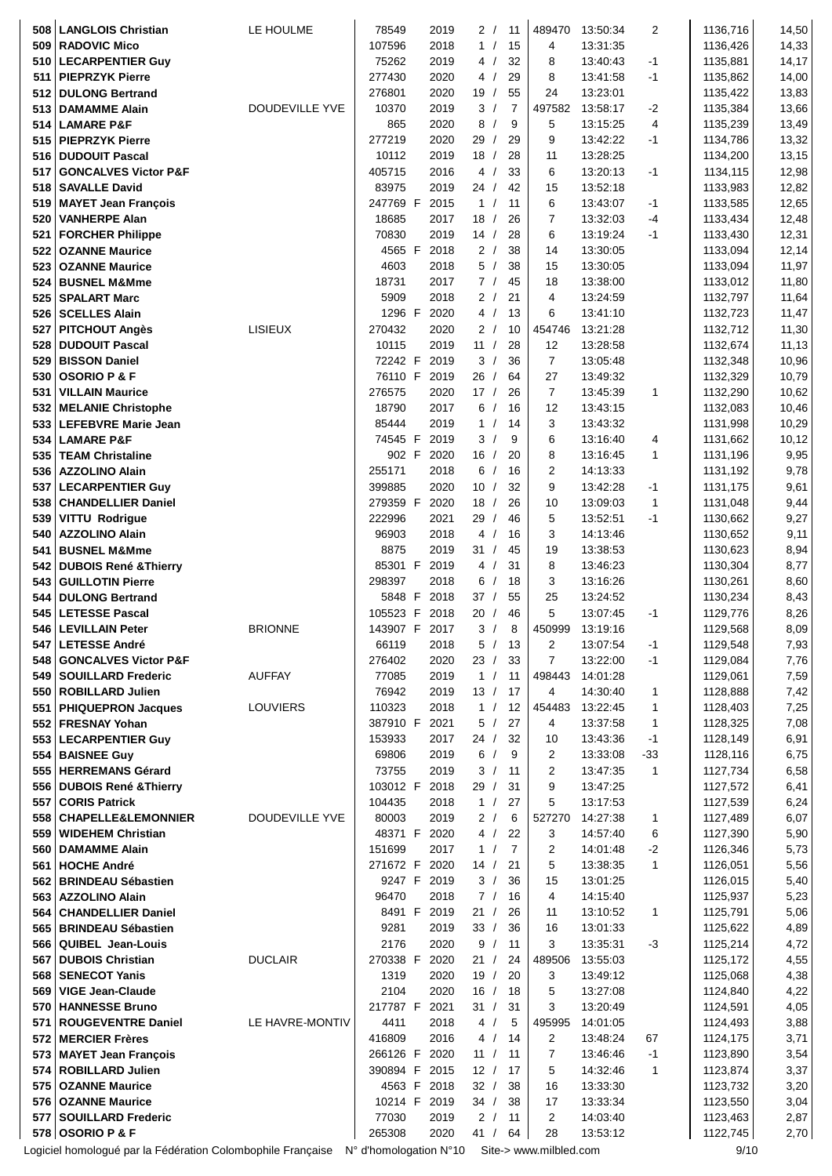| 508        | <b>LANGLOIS Christian</b>                                   | LE HOULME       | 78549                   | 2019         |                 | 2/               | 11                   | 489470                 | 13:50:34             | 2            | 1136,716             | 14,50          |
|------------|-------------------------------------------------------------|-----------------|-------------------------|--------------|-----------------|------------------|----------------------|------------------------|----------------------|--------------|----------------------|----------------|
| 509        | <b>RADOVIC Mico</b>                                         |                 | 107596                  | 2018         |                 | 1/               | 15                   | 4                      | 13:31:35             |              | 1136,426             | 14,33          |
| 510        | <b>LECARPENTIER Guy</b>                                     |                 | 75262                   | 2019         |                 | 4/               | 32                   | 8                      | 13:40:43             | $-1$         | 1135,881             | 14,17          |
| 511        | <b>PIEPRZYK Pierre</b>                                      |                 | 277430                  | 2020         |                 | 4 /              | 29                   | 8                      | 13:41:58             | $-1$         | 1135,862             | 14,00          |
| 512        | <b>DULONG Bertrand</b>                                      | DOUDEVILLE YVE  | 276801<br>10370         | 2020<br>2019 | 19/             | 3/               | 55<br>$\overline{7}$ | 24<br>497582           | 13:23:01<br>13:58:17 | $-2$         | 1135,422<br>1135,384 | 13,83          |
|            | 513   DAMAMME Alain<br>514 LAMARE P&F                       |                 | 865                     | 2020         | 8               | $\sqrt{ }$       | 9                    | 5                      | 13:15:25             | 4            | 1135,239             | 13,66<br>13,49 |
| 515        | <b>PIEPRZYK Pierre</b>                                      |                 | 277219                  | 2020         | 29              | $\sqrt{ }$       | 29                   | 9                      | 13:42:22             | $-1$         | 1134,786             | 13,32          |
| 516        | <b>DUDOUIT Pascal</b>                                       |                 | 10112                   | 2019         | 18/             |                  | 28                   | 11                     | 13:28:25             |              | 1134,200             | 13,15          |
| 517        | <b>GONCALVES Victor P&amp;F</b>                             |                 | 405715                  | 2016         |                 | 4/               | 33                   | 6                      | 13:20:13             | $-1$         | 1134,115             | 12,98          |
| 518        | <b>SAVALLE David</b>                                        |                 | 83975                   | 2019         | 24 /            |                  | 42                   | 15                     | 13:52:18             |              | 1133,983             | 12,82          |
| 519        | <b>MAYET Jean François</b>                                  |                 | 247769 F                | 2015         |                 | 1/               | 11                   | 6                      | 13:43:07             | -1           | 1133,585             | 12,65          |
| 520        | <b>VANHERPE Alan</b>                                        |                 | 18685                   | 2017         | 18/             |                  | 26                   | 7                      | 13:32:03             | -4           | 1133,434             | 12,48          |
| 521        | <b>FORCHER Philippe</b>                                     |                 | 70830                   | 2019         | 14/             |                  | 28                   | 6                      | 13:19:24             | $-1$         | 1133,430             | 12,31          |
|            | 522   OZANNE Maurice                                        |                 | 4565 F                  | 2018         |                 | 2/               | 38                   | 14                     | 13:30:05             |              | 1133,094             | 12,14          |
|            | 523 OZANNE Maurice                                          |                 | 4603                    | 2018         |                 | 5/               | 38                   | 15                     | 13:30:05             |              | 1133,094             | 11,97          |
| 524        | <b>BUSNEL M&amp;Mme</b>                                     |                 | 18731                   | 2017         |                 | 7/               | 45                   | 18                     | 13:38:00             |              | 1133,012             | 11,80          |
| 525        | <b>SPALART Marc</b>                                         |                 | 5909                    | 2018         |                 | 2/               | 21                   | 4                      | 13:24:59             |              | 1132,797             | 11,64          |
|            | 526 SCELLES Alain                                           |                 | 1296 F                  | 2020         |                 | 4/               | 13                   | 6                      | 13:41:10             |              | 1132,723             | 11,47          |
| 527        | <b>PITCHOUT Angès</b>                                       | <b>LISIEUX</b>  | 270432                  | 2020         |                 | 2/               | 10                   | 454746                 | 13:21:28             |              | 1132,712             | 11,30          |
| 528        | <b>DUDOUIT Pascal</b>                                       |                 | 10115                   | 2019         |                 | 11 /             | 28                   | 12                     | 13:28:58             |              | 1132,674             | 11,13          |
| 529        | <b>BISSON Daniel</b><br>530 OSORIO P & F                    |                 | 72242 F<br>76110 F 2019 | 2019         | 26              | 3/<br>$\sqrt{ }$ | 36<br>64             | $\overline{7}$<br>27   | 13:05:48<br>13:49:32 |              | 1132,348<br>1132,329 | 10,96<br>10,79 |
| 531        | <b>VILLAIN Maurice</b>                                      |                 | 276575                  | 2020         | 17/             |                  | 26                   | $\overline{7}$         | 13:45:39             | 1            | 1132,290             | 10,62          |
| 532        | <b>MELANIE Christophe</b>                                   |                 | 18790                   | 2017         |                 | 6/               | 16                   | 12                     | 13:43:15             |              | 1132,083             | 10,46          |
| 533        | <b>LEFEBVRE Marie Jean</b>                                  |                 | 85444                   | 2019         |                 | 1/               | 14                   | 3                      | 13:43:32             |              | 1131,998             | 10,29          |
| 534        | <b>LAMARE P&amp;F</b>                                       |                 | 74545 F 2019            |              |                 | 3/               | 9                    | 6                      | 13:16:40             | 4            | 1131,662             | 10,12          |
| 535        | <b>TEAM Christaline</b>                                     |                 | 902 F                   | 2020         |                 | 16/              | 20                   | 8                      | 13:16:45             | $\mathbf{1}$ | 1131,196             | 9,95           |
| 536        | <b>AZZOLINO Alain</b>                                       |                 | 255171                  | 2018         |                 | 6/               | 16                   | $\overline{2}$         | 14:13:33             |              | 1131,192             | 9,78           |
| 537        | <b>LECARPENTIER Guy</b>                                     |                 | 399885                  | 2020         | 10 <sup>1</sup> | $\sqrt{ }$       | 32                   | 9                      | 13:42:28             | $-1$         | 1131,175             | 9,61           |
|            | 538   CHANDELLIER Daniel                                    |                 | 279359 F                | 2020         | 18              |                  | 26                   | 10                     | 13:09:03             | 1            | 1131,048             | 9,44           |
| 539        | <b>VITTU Rodrigue</b>                                       |                 | 222996                  | 2021         | 29              | $\prime$         | 46                   | 5                      | 13:52:51             | $-1$         | 1130,662             | 9,27           |
|            | 540 AZZOLINO Alain<br><b>BUSNEL M&amp;Mme</b>               |                 | 96903<br>8875           | 2018<br>2019 | 4<br>31/        | $\sqrt{ }$       | 16<br>45             | 3<br>19                | 14:13:46<br>13:38:53 |              | 1130,652<br>1130,623 | 9,11<br>8,94   |
| 541<br>542 | <b>DUBOIS René &amp; Thierry</b>                            |                 | 85301 F 2019            |              |                 | 4/               | 31                   | 8                      | 13:46:23             |              | 1130,304             | 8,77           |
| 543        | <b>GUILLOTIN Pierre</b>                                     |                 | 298397                  | 2018         | 6               | $\sqrt{ }$       | 18                   | 3                      | 13:16:26             |              | 1130,261             | 8,60           |
| 544        | <b>DULONG Bertrand</b>                                      |                 | 5848 F                  | 2018         | 37/             |                  | 55                   | 25                     | 13:24:52             |              | 1130,234             | 8,43           |
| 545        | <b>LETESSE Pascal</b>                                       |                 | 105523 F                | 2018         | 20              |                  | 46                   | 5                      | 13:07:45             | -1           | 1129,776             | 8,26           |
|            | 546   LEVILLAIN Peter                                       | <b>BRIONNE</b>  | 143907 F                | 2017         | 3               |                  | 8                    | 450999                 | 13:19:16             |              | 1129,568             | 8,09           |
| 547        | <b>LETESSE André</b>                                        |                 | 66119                   | 2018         |                 | 5/               | 13                   | 2                      | 13:07:54             | $-1$         | 1129,548             | 7,93           |
|            | 548   GONCALVES Victor P&F                                  |                 | 276402                  | 2020         |                 | 23 /             | 33                   | $\overline{7}$         | 13:22:00             | $-1$         | 1129,084             | 7,76           |
|            | 549   SOUILLARD Frederic                                    | <b>AUFFAY</b>   | 77085<br>76942          | 2019<br>2019 | 13/             | 1 /              | 11<br>17             | 498443<br>4            | 14:01:28<br>14:30:40 | 1            | 1129,061<br>1128,888 | 7,59           |
| 551        | 550 ROBILLARD Julien<br><b>PHIQUEPRON Jacques</b>           | <b>LOUVIERS</b> | 110323                  | 2018         |                 | 1 /              | 12                   | 454483                 | 13:22:45             | 1            | 1128,403             | 7,42<br>7,25   |
|            | 552 FRESNAY Yohan                                           |                 | 387910 F                | 2021         |                 | 5/               | 27                   | 4                      | 13:37:58             | 1            | 1128,325             | 7,08           |
|            | 553   LECARPENTIER Guy                                      |                 | 153933                  | 2017         |                 | 24 /             | 32                   | 10                     | 13:43:36             | $-1$         | 1128,149             | 6,91           |
| 554        | <b>BAISNEE Guy</b>                                          |                 | 69806                   | 2019         | 6               | $\sqrt{ }$       | 9                    | $\overline{c}$         | 13:33:08             | $-33$        | 1128,116             | 6,75           |
|            | 555   HERREMANS Gérard                                      |                 | 73755                   | 2019         |                 | 3/               | 11                   | $\overline{c}$         | 13:47:35             | 1            | 1127,734             | 6,58           |
|            | 556 DUBOIS René & Thierry                                   |                 | 103012 F                | 2018         |                 | 29/              | 31                   | 9                      | 13:47:25             |              | 1127,572             | 6,41           |
|            | 557 CORIS Patrick                                           |                 | 104435                  | 2018         |                 | 1 /              | 27                   | 5                      | 13:17:53             |              | 1127,539             | 6,24           |
|            | 558 CHAPELLE&LEMONNIER                                      | DOUDEVILLE YVE  | 80003                   | 2019         |                 | 2/               | 6                    | 527270                 | 14:27:38             | 1            | 1127,489             | 6,07           |
| 559        | <b>WIDEHEM Christian</b><br>560 DAMAMME Alain               |                 | 48371 F 2020<br>151699  | 2017         |                 | 4/<br>1 /        | 22<br>$\overline{7}$ | 3<br>$\overline{c}$    | 14:57:40<br>14:01:48 | 6<br>$-2$    | 1127,390<br>1126,346 | 5,90<br>5,73   |
| 561        | <b>HOCHE André</b>                                          |                 | 271672 F                | 2020         |                 | 14 $/$           | 21                   | 5                      | 13:38:35             | 1            | 1126,051             | 5,56           |
|            | 562 BRINDEAU Sébastien                                      |                 |                         | 9247 F 2019  |                 | 3/               | 36                   | 15                     | 13:01:25             |              | 1126,015             | 5,40           |
|            | 563   AZZOLINO Alain                                        |                 | 96470                   | 2018         |                 | 7/               | 16                   | 4                      | 14:15:40             |              | 1125,937             | 5,23           |
|            | 564 CHANDELLIER Daniel                                      |                 |                         | 8491 F 2019  | 21/             |                  | 26                   | 11                     | 13:10:52             | 1            | 1125,791             | 5,06           |
|            | 565 BRINDEAU Sébastien                                      |                 | 9281                    | 2019         |                 | 33/              | 36                   | 16                     | 13:01:33             |              | 1125,622             | 4,89           |
|            | 566 QUIBEL Jean-Louis                                       |                 | 2176                    | 2020         | 9               | $\sqrt{2}$       | 11                   | 3                      | 13:35:31             | $-3$         | 1125,214             | 4,72           |
| 567        | <b>DUBOIS Christian</b>                                     | <b>DUCLAIR</b>  | 270338 F 2020           |              | 21/             |                  | 24                   | 489506                 | 13:55:03             |              | 1125,172             | 4,55           |
|            | 568 SENECOT Yanis                                           |                 | 1319                    | 2020         |                 | 19/              | 20                   | 3                      | 13:49:12             |              | 1125,068             | 4,38           |
| 569        | <b>VIGE Jean-Claude</b><br>570   HANNESSE Bruno             |                 | 2104<br>217787 F        | 2020<br>2021 |                 | 16/<br>31 /      | 18<br>31             | 5<br>3                 | 13:27:08<br>13:20:49 |              | 1124,840<br>1124,591 | 4,22<br>4,05   |
| 571        | <b>ROUGEVENTRE Daniel</b>                                   | LE HAVRE-MONTIV | 4411                    | 2018         |                 | 4/               | 5                    | 495995                 | 14:01:05             |              | 1124,493             | 3,88           |
|            | 572 MERCIER Frères                                          |                 | 416809                  | 2016         |                 | 4/               | 14                   | 2                      | 13:48:24             | 67           | 1124,175             | 3,71           |
|            | 573 MAYET Jean François                                     |                 | 266126 F                | 2020         |                 | 11 /             | 11                   | $\overline{7}$         | 13:46:46             | $-1$         | 1123,890             | 3,54           |
|            | 574   ROBILLARD Julien                                      |                 | 390894 F                | 2015         | 12/             |                  | 17                   | 5                      | 14:32:46             | 1            | 1123,874             | 3,37           |
|            | 575   OZANNE Maurice                                        |                 |                         | 4563 F 2018  | 32/             |                  | 38                   | 16                     | 13:33:30             |              | 1123,732             | 3,20           |
|            | 576   OZANNE Maurice                                        |                 | 10214 F 2019            |              |                 | 34 /             | 38                   | 17                     | 13:33:34             |              | 1123,550             | 3,04           |
| 577        | <b>SOUILLARD Frederic</b>                                   |                 | 77030                   | 2019         |                 | 2/               | 11                   | $\overline{c}$         | 14:03:40             |              | 1123,463             | 2,87           |
|            | 578 OSORIO P & F                                            |                 | 265308                  | 2020         | 41/             |                  | 64                   | 28                     | 13:53:12             |              | 1122,745             | 2,70           |
|            | Logiciel homologué par la Fédération Colombophile Française |                 | N° d'homologation N°10  |              |                 |                  |                      | Site-> www.milbled.com |                      |              | 9/10                 |                |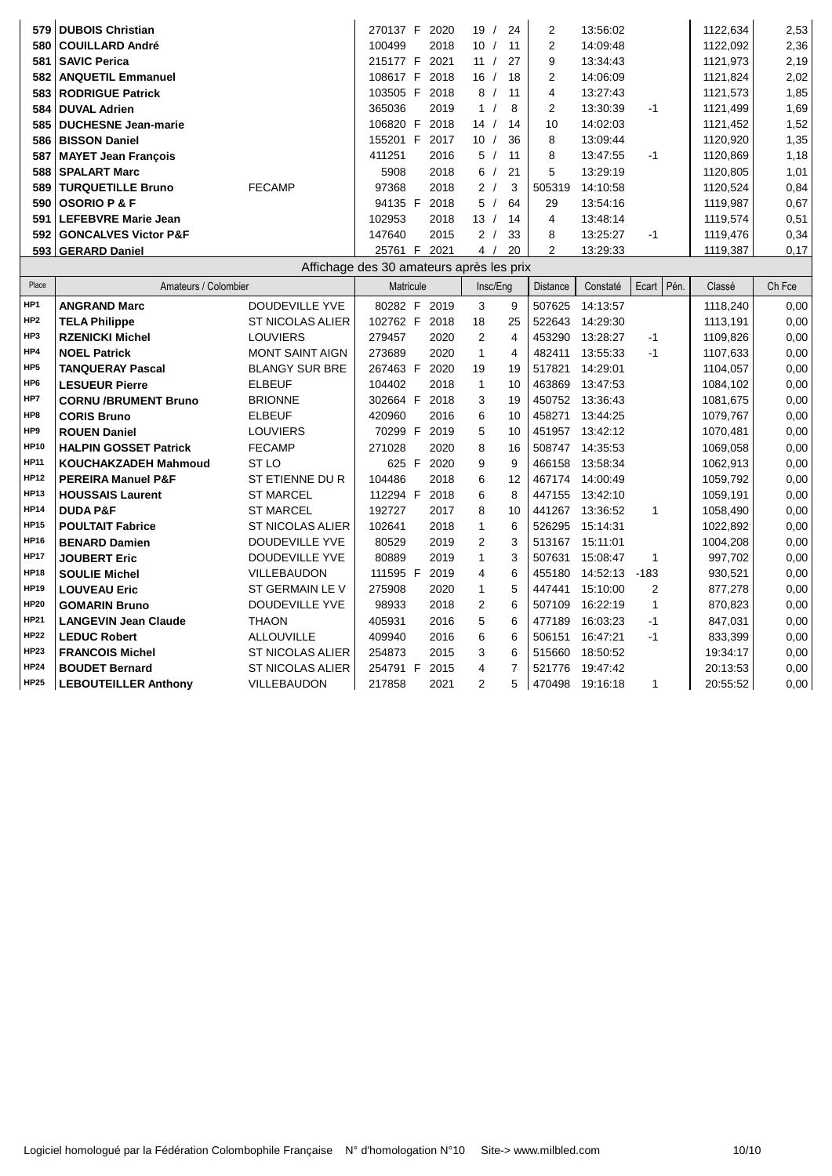| 579              | <b>DUBOIS Christian</b>         |                                          | 270137 F |    | 2020 | 19               | 24  | 2      | 13:56:02 |    | 1122,634 | 2,53 |
|------------------|---------------------------------|------------------------------------------|----------|----|------|------------------|-----|--------|----------|----|----------|------|
|                  | 580   COUILLARD André           |                                          | 100499   |    | 2018 | 10               | -11 | 2      | 14:09:48 |    | 1122,092 | 2,36 |
| 581              | <b>SAVIC Perica</b>             |                                          | 215177 F |    | 2021 | 11               | 27  | 9      | 13:34:43 |    | 1121.973 | 2,19 |
| 582 <sub>1</sub> | <b>ANQUETIL Emmanuel</b>        |                                          | 108617 F |    | 2018 | 16               | -18 | 2      | 14:06:09 |    | 1121,824 | 2,02 |
| 583              | <b>RODRIGUE Patrick</b>         |                                          | 103505 F |    | 2018 | 8/               | 11  | 4      | 13:27:43 |    | 1121,573 | 1,85 |
|                  | 584 DUVAL Adrien                |                                          | 365036   |    | 2019 | 1/               | 8   | 2      | 13:30:39 | -1 | 1121,499 | 1,69 |
| 585              | <b>DUCHESNE Jean-marie</b>      |                                          | 106820   | -F | 2018 | 14 <sub>1</sub>  | 14  | 10     | 14:02:03 |    | 1121.452 | 1,52 |
| 586              | <b>BISSON Daniel</b>            |                                          | 155201   | -F | 2017 | 10               | 36  | 8      | 13:09:44 |    | 1120.920 | 1,35 |
| 587              | <b>MAYET Jean Francois</b>      |                                          | 411251   |    | 2016 | 5/               | 11  | 8      | 13:47:55 | -1 | 1120.869 | 1,18 |
|                  | 588   SPALART Marc              |                                          | 5908     |    | 2018 | 6/               | 21  | 5      | 13:29:19 |    | 1120.805 | 1,01 |
| 589              | <b>TURQUETILLE Bruno</b>        | <b>FECAMP</b>                            | 97368    |    | 2018 | 2/               | 3   | 505319 | 14:10:58 |    | 1120.524 | 0,84 |
|                  | $590$ OSORIO P & F              |                                          | 94135 F  |    | 2018 | 5                | 64  | 29     | 13:54:16 |    | 1119.987 | 0,67 |
|                  | 591   LEFEBVRE Marie Jean       |                                          | 102953   |    | 2018 | 13 <sup>13</sup> | 14  | 4      | 13:48:14 |    | 1119,574 | 0,51 |
| $592 \mid$       | <b>GONCALVES Victor P&amp;F</b> |                                          | 147640   |    | 2015 | 2/               | 33  | 8      | 13:25:27 | -1 | 1119,476 | 0,34 |
|                  | 593   GERARD Daniel             |                                          | 25761    | -F | 2021 | $4 \quad$        | 20  | 2      | 13:29:33 |    | 1119,387 | 0,17 |
|                  |                                 | Affichage des 30 amateurs après les prix |          |    |      |                  |     |        |          |    |          |      |

| Place           | Amateurs / Colombier          |                         | <i>mondgo</i> doo oo dindiodio apioo ioo piix<br>Matricule |      |                | Insc/Eng       | Distance | Constaté | Ecart | Pén. | Classé   | Ch Fce |
|-----------------|-------------------------------|-------------------------|------------------------------------------------------------|------|----------------|----------------|----------|----------|-------|------|----------|--------|
| HP1             | <b>ANGRAND Marc</b>           | <b>DOUDEVILLE YVE</b>   | 80282 F                                                    | 2019 | 3              | 9              | 507625   | 14:13:57 |       |      | 1118,240 | 0,00   |
| HP <sub>2</sub> | <b>TELA Philippe</b>          | <b>ST NICOLAS ALIER</b> | 102762 F                                                   | 2018 | 18             | 25             | 522643   | 14:29:30 |       |      | 1113,191 | 0,00   |
| HP3             | <b>RZENICKI Michel</b>        | <b>LOUVIERS</b>         | 279457                                                     | 2020 | 2              | 4              | 453290   | 13:28:27 | $-1$  |      | 1109.826 | 0,00   |
| HP4             | <b>NOEL Patrick</b>           | <b>MONT SAINT AIGN</b>  | 273689                                                     | 2020 | $\mathbf{1}$   | 4              | 482411   | 13:55:33 | -1    |      | 1107,633 | 0,00   |
| HP <sub>5</sub> | <b>TANQUERAY Pascal</b>       | <b>BLANGY SUR BRE</b>   | 267463 F                                                   | 2020 | 19             | 19             | 517821   | 14:29:01 |       |      | 1104,057 | 0,00   |
| HP <sub>6</sub> | <b>LESUEUR Pierre</b>         | <b>ELBEUF</b>           | 104402                                                     | 2018 | 1              | 10             | 463869   | 13:47:53 |       |      | 1084.102 | 0,00   |
| HP7             | <b>CORNU /BRUMENT Bruno</b>   | <b>BRIONNE</b>          | 302664 F                                                   | 2018 | 3              | 19             | 450752   | 13:36:43 |       |      | 1081,675 | 0,00   |
| HP8             | <b>CORIS Bruno</b>            | <b>ELBEUF</b>           | 420960                                                     | 2016 | 6              | 10             | 458271   | 13:44:25 |       |      | 1079,767 | 0,00   |
| HP9             | <b>ROUEN Daniel</b>           | <b>LOUVIERS</b>         | 70299 F                                                    | 2019 | 5              | 10             | 451957   | 13:42:12 |       |      | 1070,481 | 0,00   |
| <b>HP10</b>     | <b>HALPIN GOSSET Patrick</b>  | <b>FECAMP</b>           | 271028                                                     | 2020 | 8              | 16             | 508747   | 14:35:53 |       |      | 1069.058 | 0,00   |
| <b>HP11</b>     | <b>KOUCHAKZADEH Mahmoud</b>   | ST <sub>LO</sub>        | 625 F                                                      | 2020 | 9              | 9              | 466158   | 13:58:34 |       |      | 1062,913 | 0,00   |
| <b>HP12</b>     | <b>PEREIRA Manuel P&amp;F</b> | ST ETIENNE DU R         | 104486                                                     | 2018 | 6              | 12             | 467174   | 14:00:49 |       |      | 1059.792 | 0,00   |
| <b>HP13</b>     | <b>HOUSSAIS Laurent</b>       | <b>ST MARCEL</b>        | 112294 F                                                   | 2018 | 6              | 8              | 447155   | 13:42:10 |       |      | 1059,191 | 0,00   |
| <b>HP14</b>     | <b>DUDA P&amp;F</b>           | <b>ST MARCEL</b>        | 192727                                                     | 2017 | 8              | 10             | 441267   | 13:36:52 | 1     |      | 1058,490 | 0,00   |
| <b>HP15</b>     | <b>POULTAIT Fabrice</b>       | <b>ST NICOLAS ALIER</b> | 102641                                                     | 2018 | 1              | 6              | 526295   | 15:14:31 |       |      | 1022.892 | 0.00   |
| <b>HP16</b>     | <b>BENARD Damien</b>          | <b>DOUDEVILLE YVE</b>   | 80529                                                      | 2019 | $\overline{2}$ | 3              | 513167   | 15:11:01 |       |      | 1004,208 | 0,00   |
| <b>HP17</b>     | <b>JOUBERT Eric</b>           | DOUDEVILLE YVE          | 80889                                                      | 2019 | 1              | 3              | 507631   | 15:08:47 | 1     |      | 997,702  | 0,00   |
| <b>HP18</b>     | <b>SOULIE Michel</b>          | VILLEBAUDON             | 111595 F                                                   | 2019 | 4              | 6              | 455180   | 14:52:13 | -183  |      | 930,521  | 0,00   |
| <b>HP19</b>     | <b>LOUVEAU Eric</b>           | ST GERMAIN LE V         | 275908                                                     | 2020 | 1              | 5              | 447441   | 15:10:00 | 2     |      | 877,278  | 0,00   |
| <b>HP20</b>     | <b>GOMARIN Bruno</b>          | DOUDEVILLE YVE          | 98933                                                      | 2018 | 2              | 6              | 507109   | 16:22:19 | 1     |      | 870,823  | 0,00   |
| <b>HP21</b>     | <b>LANGEVIN Jean Claude</b>   | <b>THAON</b>            | 405931                                                     | 2016 | 5              | 6              | 477189   | 16:03:23 | $-1$  |      | 847,031  | 0,00   |
| <b>HP22</b>     | <b>LEDUC Robert</b>           | <b>ALLOUVILLE</b>       | 409940                                                     | 2016 | 6              | 6              | 506151   | 16:47:21 | -1    |      | 833,399  | 0,00   |
| <b>HP23</b>     | <b>FRANCOIS Michel</b>        | ST NICOLAS ALIER        | 254873                                                     | 2015 | 3              | 6              | 515660   | 18:50:52 |       |      | 19:34:17 | 0,00   |
| <b>HP24</b>     | <b>BOUDET Bernard</b>         | <b>ST NICOLAS ALIER</b> | 254791 F                                                   | 2015 | 4              | $\overline{7}$ | 521776   | 19:47:42 |       |      | 20:13:53 | 0,00   |
| <b>HP25</b>     | <b>LEBOUTEILLER Anthony</b>   | <b>VILLEBAUDON</b>      | 217858                                                     | 2021 | 2              | 5              | 470498   | 19:16:18 | 1     |      | 20:55:52 | 0,00   |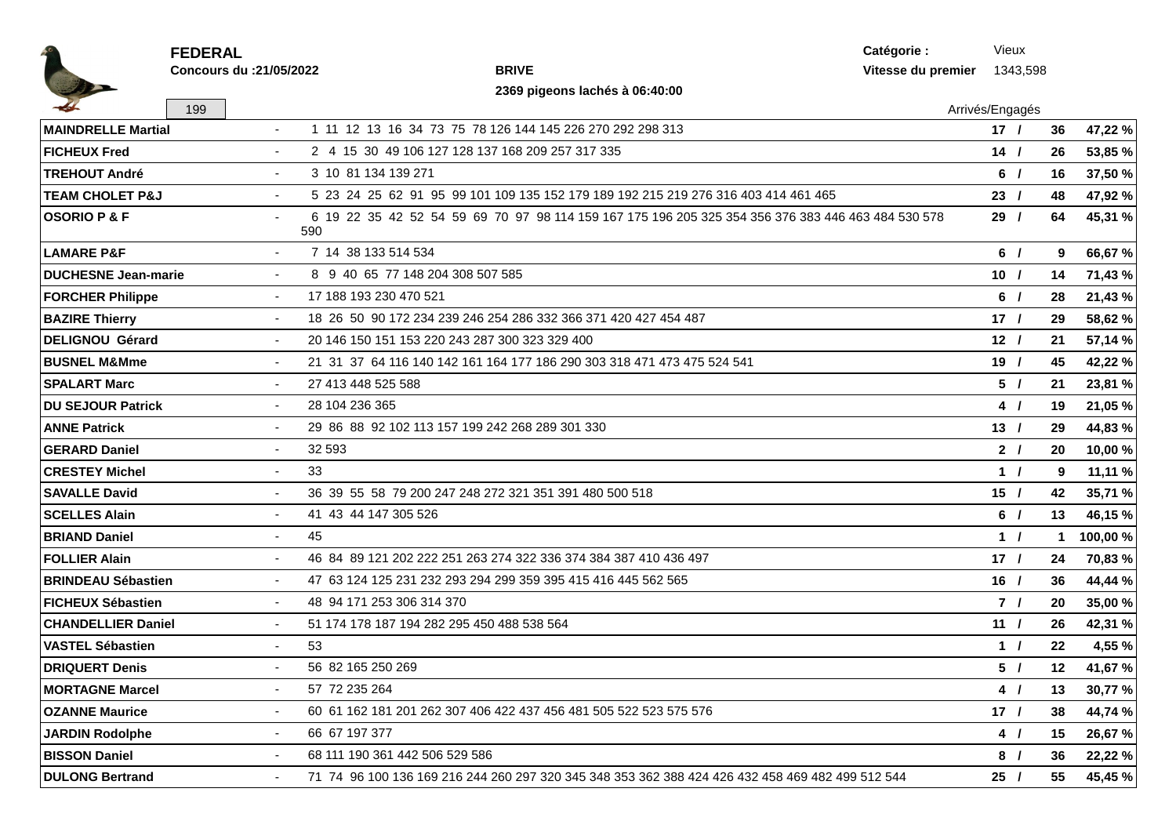|                            | <b>FEDERAL</b>           | Catégorie :                                                                                               |                    | Vieux           |          |                 |          |
|----------------------------|--------------------------|-----------------------------------------------------------------------------------------------------------|--------------------|-----------------|----------|-----------------|----------|
|                            | Concours du : 21/05/2022 | <b>BRIVE</b>                                                                                              | Vitesse du premier |                 | 1343,598 |                 |          |
|                            |                          | 2369 pigeons lachés à 06:40:00                                                                            |                    |                 |          |                 |          |
|                            | 199                      |                                                                                                           | Arrivés/Engagés    |                 |          |                 |          |
| <b>MAINDRELLE Martial</b>  | $\sim$                   | 1 11 12 13 16 34 73 75 78 126 144 145 226 270 292 298 313                                                 |                    | 17/             |          | 36              | 47,22 %  |
| <b>FICHEUX Fred</b>        |                          | 2 4 15 30 49 106 127 128 137 168 209 257 317 335                                                          |                    | $14$ /          |          | 26              | 53,85 %  |
| <b>TREHOUT André</b>       | $\sim$                   | 3 10 81 134 139 271                                                                                       |                    | 6/              |          | 16              | 37,50 %  |
| <b>TEAM CHOLET P&amp;J</b> |                          | 5 23 24 25 62 91 95 99 101 109 135 152 179 189 192 215 219 276 316 403 414 461 465                        |                    | 23/             |          | 48              | 47,92 %  |
| <b>OSORIO P &amp; F</b>    |                          | 6 19 22 35 42 52 54 59 69 70 97 98 114 159 167 175 196 205 325 354 356 376 383 446 463 484 530 578<br>590 |                    | 29/             |          | 64              | 45,31 %  |
| <b>LAMARE P&amp;F</b>      |                          | 7 14 38 133 514 534                                                                                       |                    | 6/              |          | 9               | 66,67 %  |
| <b>DUCHESNE Jean-marie</b> |                          | 8 9 40 65 77 148 204 308 507 585                                                                          |                    | 10 <sub>1</sub> |          | 14              | 71,43 %  |
| <b>FORCHER Philippe</b>    | $\sim$                   | 17 188 193 230 470 521                                                                                    |                    | 6/              |          | 28              | 21,43 %  |
| <b>BAZIRE Thierry</b>      |                          | 18 26 50 90 172 234 239 246 254 286 332 366 371 420 427 454 487                                           |                    | 17/             |          | 29              | 58,62 %  |
| <b>DELIGNOU Gérard</b>     | $\sim$                   | 20 146 150 151 153 220 243 287 300 323 329 400                                                            |                    | 12 <sub>1</sub> |          | 21              | 57,14 %  |
| <b>BUSNEL M&amp;Mme</b>    |                          | 21 31 37 64 116 140 142 161 164 177 186 290 303 318 471 473 475 524 541                                   |                    | 19/             |          | 45              | 42,22 %  |
| <b>SPALART Marc</b>        | $\sim$                   | 27 413 448 525 588                                                                                        |                    | 5/              |          | 21              | 23,81 %  |
| <b>DU SEJOUR Patrick</b>   | $\sim$                   | 28 104 236 365                                                                                            |                    | 4/              |          | 19              | 21,05 %  |
| <b>ANNE Patrick</b>        |                          | 29 86 88 92 102 113 157 199 242 268 289 301 330                                                           |                    | 13/             |          | 29              | 44,83 %  |
| <b>GERARD Daniel</b>       | $\sim$                   | 32 593                                                                                                    |                    | 2 <sub>1</sub>  |          | 20              | 10,00 %  |
| <b>CRESTEY Michel</b>      | $\sim$                   | 33                                                                                                        |                    | 1/              |          | 9               | 11,11 %  |
| <b>SAVALLE David</b>       | $\sim$                   | 36 39 55 58 79 200 247 248 272 321 351 391 480 500 518                                                    |                    | 15/             |          | 42              | 35,71 %  |
| <b>SCELLES Alain</b>       | $\sim$                   | 41 43 44 147 305 526                                                                                      |                    | 6/              |          | 13              | 46,15 %  |
| <b>BRIAND Daniel</b>       | $\sim$                   | 45                                                                                                        |                    | 1 /             |          | 1               | 100,00 % |
| <b>FOLLIER Alain</b>       | $\sim$                   | 46 84 89 121 202 222 251 263 274 322 336 374 384 387 410 436 497                                          |                    | 17/             |          | 24              | 70,83 %  |
| <b>BRINDEAU Sébastien</b>  | $\sim$                   | 47 63 124 125 231 232 293 294 299 359 395 415 416 445 562 565                                             |                    | 16/             |          | 36              | 44,44 %  |
| <b>FICHEUX Sébastien</b>   | $\sim$                   | 48 94 171 253 306 314 370                                                                                 |                    | 7/              |          | 20              | 35,00 %  |
| <b>CHANDELLIER Daniel</b>  | $\sim$                   | 51 174 178 187 194 282 295 450 488 538 564                                                                |                    | 11 <sub>1</sub> |          | 26              | 42,31 %  |
| <b>VASTEL Sébastien</b>    | $\sim$                   | 53                                                                                                        |                    | 1 /             |          | 22              | 4,55 %   |
| <b>DRIQUERT Denis</b>      |                          | 56 82 165 250 269                                                                                         |                    | 5/              |          | 12 <sup>7</sup> | 41,67 %  |
| <b>MORTAGNE Marcel</b>     |                          | 57 72 235 264                                                                                             |                    | 4/              |          | 13              | 30,77 %  |
| <b>OZANNE Maurice</b>      | $\sim$                   | 60 61 162 181 201 262 307 406 422 437 456 481 505 522 523 575 576                                         |                    | 17 <sub>l</sub> |          | 38              | 44,74 %  |
| <b>JARDIN Rodolphe</b>     | $\sim$                   | 66 67 197 377                                                                                             |                    | 4/              |          | 15              | 26,67 %  |
| <b>BISSON Daniel</b>       |                          | 68 111 190 361 442 506 529 586                                                                            |                    | 8/              |          | 36              | 22,22 %  |
| <b>DULONG Bertrand</b>     | $\sim$                   | 71 74 96 100 136 169 216 244 260 297 320 345 348 353 362 388 424 426 432 458 469 482 499 512 544          |                    | 25/             |          | 55              | 45,45 %  |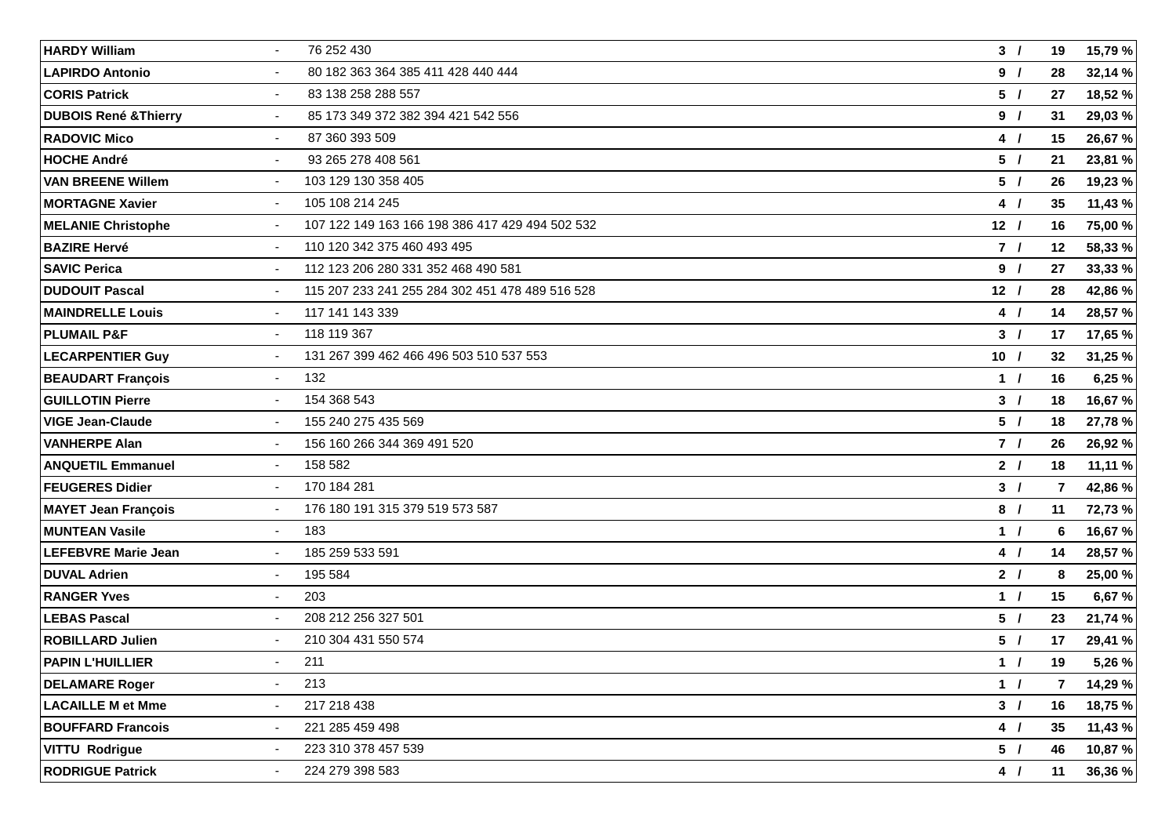| <b>HARDY William</b>             | 76 252 430                                      | 3/              | 19             | 15,79 % |
|----------------------------------|-------------------------------------------------|-----------------|----------------|---------|
| <b>LAPIRDO Antonio</b>           | 80 182 363 364 385 411 428 440 444              | 9/              | 28             | 32,14 % |
| <b>CORIS Patrick</b>             | 83 138 258 288 557                              | 5/              | 27             | 18,52 % |
| <b>DUBOIS René &amp; Thierry</b> | 85 173 349 372 382 394 421 542 556              | 9/              | 31             | 29,03 % |
| <b>RADOVIC Mico</b>              | 87 360 393 509                                  | 4/              | 15             | 26,67 % |
| <b>HOCHE André</b>               | 93 265 278 408 561                              | 5/              | 21             | 23,81 % |
| <b>VAN BREENE Willem</b>         | 103 129 130 358 405                             | 5/              | 26             | 19,23 % |
| <b>MORTAGNE Xavier</b>           | 105 108 214 245                                 | 4/              | 35             | 11,43 % |
| <b>MELANIE Christophe</b>        | 107 122 149 163 166 198 386 417 429 494 502 532 | 12 <sub>1</sub> | 16             | 75,00 % |
| <b>BAZIRE Hervé</b>              | 110 120 342 375 460 493 495                     | 7 <sub>1</sub>  | 12             | 58,33 % |
| <b>SAVIC Perica</b>              | 112 123 206 280 331 352 468 490 581             | 9/              | 27             | 33,33 % |
| <b>DUDOUIT Pascal</b>            | 115 207 233 241 255 284 302 451 478 489 516 528 | 12 <sub>1</sub> | 28             | 42,86 % |
| <b>MAINDRELLE Louis</b>          | 117 141 143 339                                 | 4/              | 14             | 28,57 % |
| <b>PLUMAIL P&amp;F</b>           | 118 119 367                                     | 3/              | 17             | 17,65 % |
| <b>LECARPENTIER Guy</b>          | 131 267 399 462 466 496 503 510 537 553         | 10/             | 32             | 31,25 % |
| <b>BEAUDART François</b>         | 132                                             | 1 /             | 16             | 6,25 %  |
| <b>GUILLOTIN Pierre</b>          | 154 368 543                                     | 3/              | 18             | 16,67 % |
| <b>VIGE Jean-Claude</b>          | 155 240 275 435 569                             | 5/              | 18             | 27,78 % |
| <b>VANHERPE Alan</b>             | 156 160 266 344 369 491 520                     | 7/              | 26             | 26,92 % |
| <b>ANQUETIL Emmanuel</b>         | 158 582                                         | 2 <sub>1</sub>  | 18             | 11,11 % |
| <b>FEUGERES Didier</b>           | 170 184 281                                     | 3/              | $\overline{7}$ | 42,86 % |
| <b>MAYET Jean François</b>       | 176 180 191 315 379 519 573 587                 | 8/              | 11             | 72,73 % |
| <b>MUNTEAN Vasile</b>            | 183                                             | 1 /             | 6              | 16,67 % |
| <b>LEFEBVRE Marie Jean</b>       | 185 259 533 591                                 | 4/              | 14             | 28,57 % |
| <b>DUVAL Adrien</b>              | 195 584                                         | 2 <sub>1</sub>  | 8              | 25,00 % |
| <b>RANGER Yves</b>               | 203                                             | 1 <sub>1</sub>  | 15             | 6,67 %  |
| <b>LEBAS Pascal</b>              | 208 212 256 327 501                             | 5/              | 23             | 21,74 % |
| <b>ROBILLARD Julien</b>          | 210 304 431 550 574                             | 5/              | 17             | 29,41 % |
| <b>PAPIN L'HUILLIER</b>          | 211                                             | 1 <sub>1</sub>  | 19             | 5,26 %  |
| <b>DELAMARE Roger</b>            | 213                                             | 1 /             | $\overline{7}$ | 14,29 % |
| <b>LACAILLE M et Mme</b>         | 217 218 438                                     | 3/              | 16             | 18,75 % |
| <b>BOUFFARD Francois</b>         | 221 285 459 498                                 | 4/              | 35             | 11,43 % |
| <b>VITTU Rodrigue</b>            | 223 310 378 457 539                             | 5/              | 46             | 10,87 % |
| <b>RODRIGUE Patrick</b>          | 224 279 398 583                                 | 4/              | 11             | 36,36 % |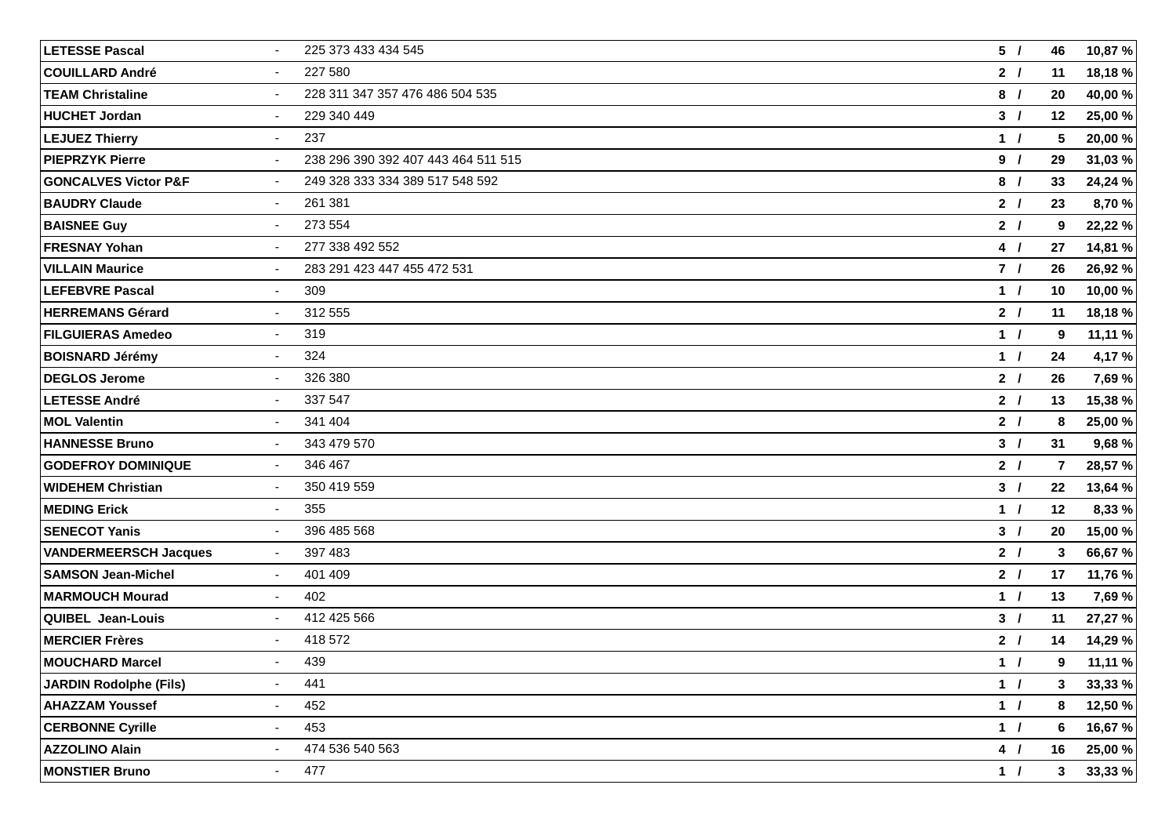| <b>LETESSE Pascal</b>           | $\sim$                   | 225 373 433 434 545                 | 5/             | 46 | 10,87 % |
|---------------------------------|--------------------------|-------------------------------------|----------------|----|---------|
| <b>COUILLARD André</b>          | $\blacksquare$           | 227 580                             | 2 <sub>1</sub> | 11 | 18,18 % |
| <b>TEAM Christaline</b>         | $\blacksquare$           | 228 311 347 357 476 486 504 535     | 8/             | 20 | 40,00 % |
| <b>HUCHET Jordan</b>            | $\blacksquare$           | 229 340 449                         | 3/             | 12 | 25,00 % |
| <b>LEJUEZ Thierry</b>           | $\sim$                   | 237                                 | 1/             | 5  | 20,00 % |
| <b>PIEPRZYK Pierre</b>          | $\blacksquare$           | 238 296 390 392 407 443 464 511 515 | 9/             | 29 | 31,03 % |
| <b>GONCALVES Victor P&amp;F</b> | $\blacksquare$           | 249 328 333 334 389 517 548 592     | 8/             | 33 | 24,24 % |
| <b>BAUDRY Claude</b>            | $\overline{\phantom{a}}$ | 261 381                             | 2 <sub>1</sub> | 23 | 8,70 %  |
| <b>BAISNEE Guy</b>              | $\blacksquare$           | 273 554                             | 2 <sub>1</sub> | 9  | 22,22 % |
| <b>FRESNAY Yohan</b>            | $\blacksquare$           | 277 338 492 552                     | 4/             | 27 | 14,81 % |
| <b>VILLAIN Maurice</b>          | $\sim$                   | 283 291 423 447 455 472 531         | 7 <sub>1</sub> | 26 | 26,92 % |
| <b>LEFEBVRE Pascal</b>          | $\blacksquare$           | 309                                 | 1/             | 10 | 10,00 % |
| <b>HERREMANS Gérard</b>         | $\blacksquare$           | 312 555                             | 2 <sub>1</sub> | 11 | 18,18%  |
| <b>FILGUIERAS Amedeo</b>        | $\blacksquare$           | 319                                 | 1/             | 9  | 11,11 % |
| <b>BOISNARD Jérémy</b>          | $\blacksquare$           | 324                                 | 1/             | 24 | 4,17%   |
| <b>DEGLOS Jerome</b>            | $\blacksquare$           | 326 380                             | 2 <sub>1</sub> | 26 | 7,69 %  |
| <b>LETESSE André</b>            | $\overline{\phantom{a}}$ | 337 547                             | 2 <sub>1</sub> | 13 | 15,38 % |
| <b>MOL Valentin</b>             | $\blacksquare$           | 341 404                             | 2 <sub>1</sub> | 8  | 25,00 % |
| <b>HANNESSE Bruno</b>           | $\blacksquare$           | 343 479 570                         | 3/             | 31 | 9,68 %  |
| <b>GODEFROY DOMINIQUE</b>       | $\blacksquare$           | 346 467                             | 2 <sub>1</sub> | 7  | 28,57 % |
| <b>WIDEHEM Christian</b>        | $\sim$                   | 350 419 559                         | 3/             | 22 | 13,64 % |
| <b>MEDING Erick</b>             | $\blacksquare$           | 355                                 | 1 /            | 12 | 8,33 %  |
| <b>SENECOT Yanis</b>            | $\blacksquare$           | 396 485 568                         | 3/             | 20 | 15,00 % |
| <b>VANDERMEERSCH Jacques</b>    | $\blacksquare$           | 397 483                             | 2 <sub>1</sub> | 3  | 66,67 % |
| <b>SAMSON Jean-Michel</b>       | $\blacksquare$           | 401 409                             | 2 <sub>1</sub> | 17 | 11,76 % |
| <b>MARMOUCH Mourad</b>          | $\blacksquare$           | 402                                 | 1/             | 13 | 7,69 %  |
| QUIBEL Jean-Louis               | $\blacksquare$           | 412 425 566                         | 3/             | 11 | 27,27 % |
| <b>MERCIER Frères</b>           |                          | 418 572                             | 2 <sub>1</sub> | 14 | 14,29 % |
| <b>MOUCHARD Marcel</b>          | $\overline{\phantom{a}}$ | 439                                 | 1 /            | 9  | 11,11 % |
| <b>JARDIN Rodolphe (Fils)</b>   |                          | 441                                 | 1 /            | 3  | 33,33 % |
| <b>AHAZZAM Youssef</b>          | $\blacksquare$           | 452                                 | 1 /            | 8  | 12,50 % |
| <b>CERBONNE Cyrille</b>         | $\overline{\phantom{a}}$ | 453                                 | 1 /            | 6  | 16,67 % |
| <b>AZZOLINO Alain</b>           |                          | 474 536 540 563                     | 4/             | 16 | 25,00 % |
| <b>MONSTIER Bruno</b>           | $\blacksquare$           | 477                                 | 1 /            | 3  | 33,33 % |